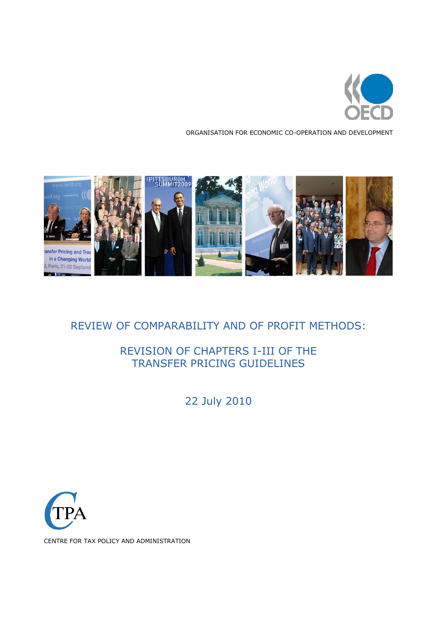

ORGANISATION FOR ECONOMIC CO-OPERATION AND DEVELOPMENT



# REVIEW OF COMPARABILITY AND OF PROFIT METHODS:

# REVISION OF CHAPTERS I-III OF THE TRANSFER PRICING GUIDELINES

22 July 2010



CENTRE FOR TAX POLICY AND ADMINISTRATION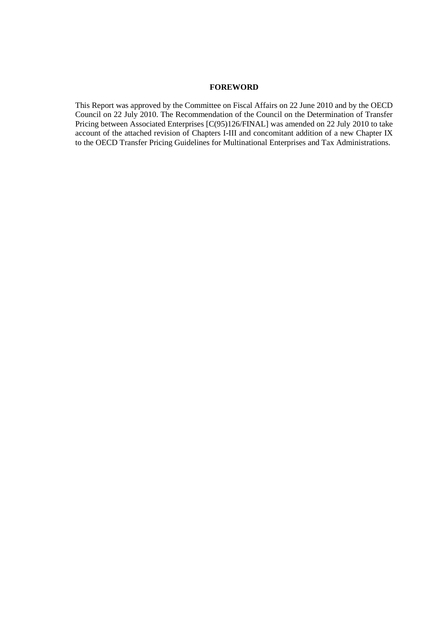## **FOREWORD**

This Report was approved by the Committee on Fiscal Affairs on 22 June 2010 and by the OECD Council on 22 July 2010. The Recommendation of the Council on the Determination of Transfer Pricing between Associated Enterprises [C(95)126/FINAL] was amended on 22 July 2010 to take account of the attached revision of Chapters I-III and concomitant addition of a new Chapter IX to the OECD Transfer Pricing Guidelines for Multinational Enterprises and Tax Administrations.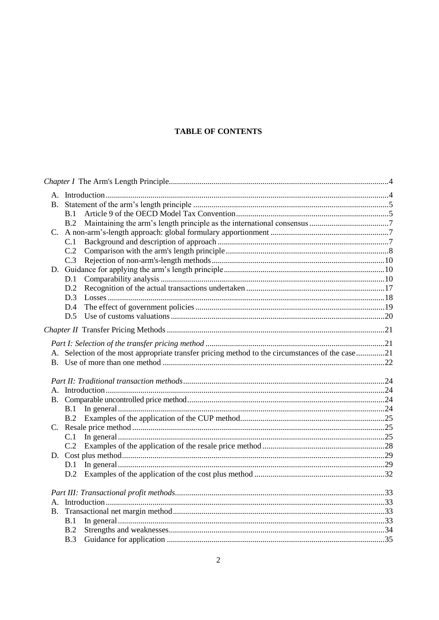## **TABLE OF CONTENTS**

|                                                                                                 | B.1 |  |  |  |
|-------------------------------------------------------------------------------------------------|-----|--|--|--|
|                                                                                                 | B.2 |  |  |  |
|                                                                                                 |     |  |  |  |
|                                                                                                 | C.1 |  |  |  |
|                                                                                                 | C.2 |  |  |  |
|                                                                                                 | C.3 |  |  |  |
|                                                                                                 |     |  |  |  |
|                                                                                                 | D.1 |  |  |  |
|                                                                                                 | D.2 |  |  |  |
|                                                                                                 | D.3 |  |  |  |
|                                                                                                 | D.4 |  |  |  |
|                                                                                                 | D.5 |  |  |  |
|                                                                                                 |     |  |  |  |
|                                                                                                 |     |  |  |  |
| A. Selection of the most appropriate transfer pricing method to the circumstances of the case21 |     |  |  |  |
|                                                                                                 |     |  |  |  |
|                                                                                                 |     |  |  |  |
|                                                                                                 |     |  |  |  |
|                                                                                                 |     |  |  |  |
|                                                                                                 |     |  |  |  |
|                                                                                                 | B.1 |  |  |  |
|                                                                                                 |     |  |  |  |
|                                                                                                 |     |  |  |  |
|                                                                                                 | C.1 |  |  |  |
|                                                                                                 |     |  |  |  |
|                                                                                                 |     |  |  |  |
|                                                                                                 | D.1 |  |  |  |
|                                                                                                 |     |  |  |  |
|                                                                                                 |     |  |  |  |
|                                                                                                 |     |  |  |  |
|                                                                                                 |     |  |  |  |
|                                                                                                 | B.1 |  |  |  |
|                                                                                                 | B.2 |  |  |  |
|                                                                                                 | B.3 |  |  |  |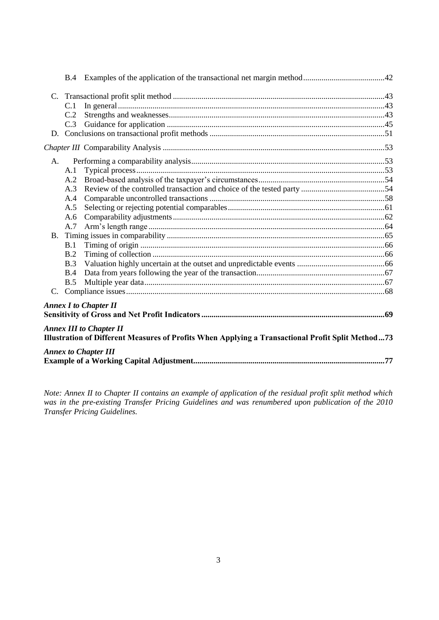|    | C.1 |                                                                                                                                     |  |
|----|-----|-------------------------------------------------------------------------------------------------------------------------------------|--|
|    | C.2 |                                                                                                                                     |  |
|    | C.3 |                                                                                                                                     |  |
|    |     |                                                                                                                                     |  |
|    |     |                                                                                                                                     |  |
| A. |     |                                                                                                                                     |  |
|    | A.1 |                                                                                                                                     |  |
|    | A.2 |                                                                                                                                     |  |
|    | A.3 |                                                                                                                                     |  |
|    | A.4 |                                                                                                                                     |  |
|    | A.5 |                                                                                                                                     |  |
|    | A.6 |                                                                                                                                     |  |
|    | A.7 |                                                                                                                                     |  |
|    |     |                                                                                                                                     |  |
|    | B.1 |                                                                                                                                     |  |
|    | B.2 |                                                                                                                                     |  |
|    | B.3 |                                                                                                                                     |  |
|    | B.4 |                                                                                                                                     |  |
|    | B.5 |                                                                                                                                     |  |
|    |     |                                                                                                                                     |  |
|    |     | <b>Annex I to Chapter II</b>                                                                                                        |  |
|    |     |                                                                                                                                     |  |
|    |     | <b>Annex III to Chapter II</b><br>Illustration of Different Measures of Profits When Applying a Transactional Profit Split Method73 |  |
|    |     | <b>Annex to Chapter III</b>                                                                                                         |  |
|    |     |                                                                                                                                     |  |

*Note: Annex II to Chapter II contains an example of application of the residual profit split method which*  was in the pre-existing Transfer Pricing Guidelines and was renumbered upon publication of the 2010 *Transfer Pricing Guidelines.*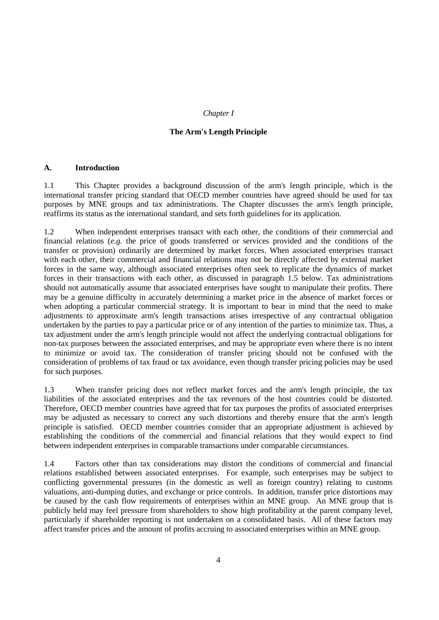#### *Chapter I*

#### **The Arm's Length Principle**

#### **A. Introduction**

1.1 This Chapter provides a background discussion of the arm's length principle, which is the international transfer pricing standard that OECD member countries have agreed should be used for tax purposes by MNE groups and tax administrations. The Chapter discusses the arm's length principle, reaffirms its status as the international standard, and sets forth guidelines for its application.

1.2 When independent enterprises transact with each other, the conditions of their commercial and financial relations (*e.g.* the price of goods transferred or services provided and the conditions of the transfer or provision) ordinarily are determined by market forces. When associated enterprises transact with each other, their commercial and financial relations may not be directly affected by external market forces in the same way, although associated enterprises often seek to replicate the dynamics of market forces in their transactions with each other, as discussed in paragraph 1.5 below. Tax administrations should not automatically assume that associated enterprises have sought to manipulate their profits. There may be a genuine difficulty in accurately determining a market price in the absence of market forces or when adopting a particular commercial strategy. It is important to bear in mind that the need to make adjustments to approximate arm's length transactions arises irrespective of any contractual obligation undertaken by the parties to pay a particular price or of any intention of the parties to minimize tax. Thus, a tax adjustment under the arm's length principle would not affect the underlying contractual obligations for non-tax purposes between the associated enterprises, and may be appropriate even where there is no intent to minimize or avoid tax. The consideration of transfer pricing should not be confused with the consideration of problems of tax fraud or tax avoidance, even though transfer pricing policies may be used for such purposes.

1.3 When transfer pricing does not reflect market forces and the arm's length principle, the tax liabilities of the associated enterprises and the tax revenues of the host countries could be distorted. Therefore, OECD member countries have agreed that for tax purposes the profits of associated enterprises may be adjusted as necessary to correct any such distortions and thereby ensure that the arm's length principle is satisfied. OECD member countries consider that an appropriate adjustment is achieved by establishing the conditions of the commercial and financial relations that they would expect to find between independent enterprises in comparable transactions under comparable circumstances.

1.4 Factors other than tax considerations may distort the conditions of commercial and financial relations established between associated enterprises. For example, such enterprises may be subject to conflicting governmental pressures (in the domestic as well as foreign country) relating to customs valuations, anti-dumping duties, and exchange or price controls. In addition, transfer price distortions may be caused by the cash flow requirements of enterprises within an MNE group. An MNE group that is publicly held may feel pressure from shareholders to show high profitability at the parent company level, particularly if shareholder reporting is not undertaken on a consolidated basis. All of these factors may affect transfer prices and the amount of profits accruing to associated enterprises within an MNE group.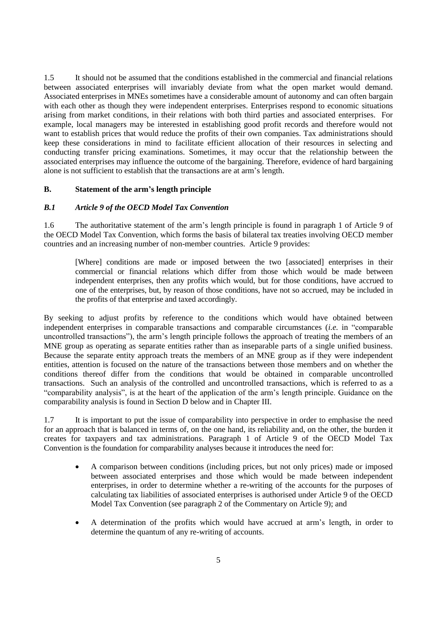1.5 It should not be assumed that the conditions established in the commercial and financial relations between associated enterprises will invariably deviate from what the open market would demand. Associated enterprises in MNEs sometimes have a considerable amount of autonomy and can often bargain with each other as though they were independent enterprises. Enterprises respond to economic situations arising from market conditions, in their relations with both third parties and associated enterprises. For example, local managers may be interested in establishing good profit records and therefore would not want to establish prices that would reduce the profits of their own companies. Tax administrations should keep these considerations in mind to facilitate efficient allocation of their resources in selecting and conducting transfer pricing examinations. Sometimes, it may occur that the relationship between the associated enterprises may influence the outcome of the bargaining. Therefore, evidence of hard bargaining alone is not sufficient to establish that the transactions are at arm's length.

## **B. Statement of the arm's length principle**

#### *B.1 Article 9 of the OECD Model Tax Convention*

1.6 The authoritative statement of the arm's length principle is found in paragraph 1 of Article 9 of the OECD Model Tax Convention, which forms the basis of bilateral tax treaties involving OECD member countries and an increasing number of non-member countries. Article 9 provides:

[Where] conditions are made or imposed between the two [associated] enterprises in their commercial or financial relations which differ from those which would be made between independent enterprises, then any profits which would, but for those conditions, have accrued to one of the enterprises, but, by reason of those conditions, have not so accrued, may be included in the profits of that enterprise and taxed accordingly.

By seeking to adjust profits by reference to the conditions which would have obtained between independent enterprises in comparable transactions and comparable circumstances (*i.e.* in "comparable uncontrolled transactions"), the arm's length principle follows the approach of treating the members of an MNE group as operating as separate entities rather than as inseparable parts of a single unified business. Because the separate entity approach treats the members of an MNE group as if they were independent entities, attention is focused on the nature of the transactions between those members and on whether the conditions thereof differ from the conditions that would be obtained in comparable uncontrolled transactions. Such an analysis of the controlled and uncontrolled transactions, which is referred to as a "comparability analysis", is at the heart of the application of the arm's length principle. Guidance on the comparability analysis is found in Section D below and in Chapter III.

1.7 It is important to put the issue of comparability into perspective in order to emphasise the need for an approach that is balanced in terms of, on the one hand, its reliability and, on the other, the burden it creates for taxpayers and tax administrations. Paragraph 1 of Article 9 of the OECD Model Tax Convention is the foundation for comparability analyses because it introduces the need for:

- A comparison between conditions (including prices, but not only prices) made or imposed between associated enterprises and those which would be made between independent enterprises, in order to determine whether a re-writing of the accounts for the purposes of calculating tax liabilities of associated enterprises is authorised under Article 9 of the OECD Model Tax Convention (see paragraph 2 of the Commentary on Article 9); and
- A determination of the profits which would have accrued at arm's length, in order to determine the quantum of any re-writing of accounts.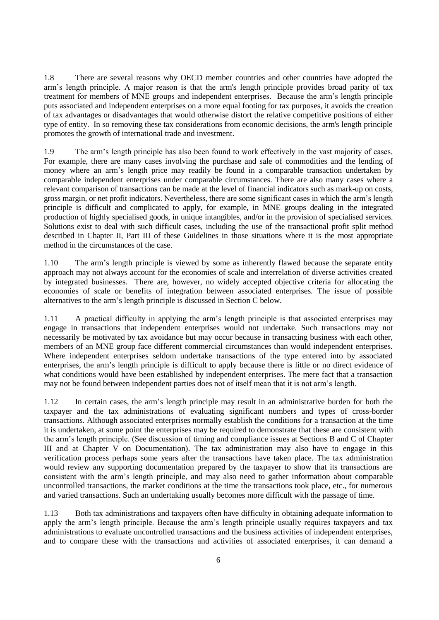1.8 There are several reasons why OECD member countries and other countries have adopted the arm's length principle. A major reason is that the arm's length principle provides broad parity of tax treatment for members of MNE groups and independent enterprises. Because the arm's length principle puts associated and independent enterprises on a more equal footing for tax purposes, it avoids the creation of tax advantages or disadvantages that would otherwise distort the relative competitive positions of either type of entity. In so removing these tax considerations from economic decisions, the arm's length principle promotes the growth of international trade and investment.

1.9 The arm's length principle has also been found to work effectively in the vast majority of cases. For example, there are many cases involving the purchase and sale of commodities and the lending of money where an arm's length price may readily be found in a comparable transaction undertaken by comparable independent enterprises under comparable circumstances. There are also many cases where a relevant comparison of transactions can be made at the level of financial indicators such as mark-up on costs, gross margin, or net profit indicators. Nevertheless, there are some significant cases in which the arm's length principle is difficult and complicated to apply, for example, in MNE groups dealing in the integrated production of highly specialised goods, in unique intangibles, and/or in the provision of specialised services. Solutions exist to deal with such difficult cases, including the use of the transactional profit split method described in Chapter II, Part III of these Guidelines in those situations where it is the most appropriate method in the circumstances of the case.

1.10 The arm's length principle is viewed by some as inherently flawed because the separate entity approach may not always account for the economies of scale and interrelation of diverse activities created by integrated businesses. There are, however, no widely accepted objective criteria for allocating the economies of scale or benefits of integration between associated enterprises. The issue of possible alternatives to the arm's length principle is discussed in Section C below.

1.11 A practical difficulty in applying the arm's length principle is that associated enterprises may engage in transactions that independent enterprises would not undertake. Such transactions may not necessarily be motivated by tax avoidance but may occur because in transacting business with each other, members of an MNE group face different commercial circumstances than would independent enterprises. Where independent enterprises seldom undertake transactions of the type entered into by associated enterprises, the arm's length principle is difficult to apply because there is little or no direct evidence of what conditions would have been established by independent enterprises. The mere fact that a transaction may not be found between independent parties does not of itself mean that it is not arm's length.

1.12 In certain cases, the arm's length principle may result in an administrative burden for both the taxpayer and the tax administrations of evaluating significant numbers and types of cross-border transactions. Although associated enterprises normally establish the conditions for a transaction at the time it is undertaken, at some point the enterprises may be required to demonstrate that these are consistent with the arm's length principle. (See discussion of timing and compliance issues at Sections B and C of Chapter III and at Chapter V on Documentation). The tax administration may also have to engage in this verification process perhaps some years after the transactions have taken place. The tax administration would review any supporting documentation prepared by the taxpayer to show that its transactions are consistent with the arm's length principle, and may also need to gather information about comparable uncontrolled transactions, the market conditions at the time the transactions took place, etc., for numerous and varied transactions. Such an undertaking usually becomes more difficult with the passage of time.

1.13 Both tax administrations and taxpayers often have difficulty in obtaining adequate information to apply the arm's length principle. Because the arm's length principle usually requires taxpayers and tax administrations to evaluate uncontrolled transactions and the business activities of independent enterprises, and to compare these with the transactions and activities of associated enterprises, it can demand a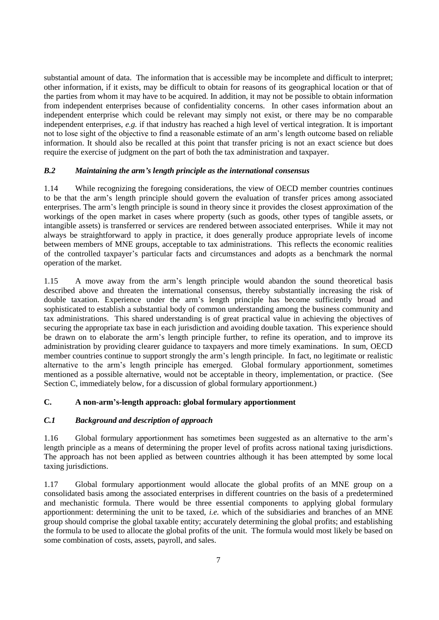substantial amount of data. The information that is accessible may be incomplete and difficult to interpret; other information, if it exists, may be difficult to obtain for reasons of its geographical location or that of the parties from whom it may have to be acquired. In addition, it may not be possible to obtain information from independent enterprises because of confidentiality concerns. In other cases information about an independent enterprise which could be relevant may simply not exist, or there may be no comparable independent enterprises, *e.g.* if that industry has reached a high level of vertical integration. It is important not to lose sight of the objective to find a reasonable estimate of an arm's length outcome based on reliable information. It should also be recalled at this point that transfer pricing is not an exact science but does require the exercise of judgment on the part of both the tax administration and taxpayer.

## *B.2 Maintaining the arm's length principle as the international consensus*

1.14 While recognizing the foregoing considerations, the view of OECD member countries continues to be that the arm's length principle should govern the evaluation of transfer prices among associated enterprises. The arm's length principle is sound in theory since it provides the closest approximation of the workings of the open market in cases where property (such as goods, other types of tangible assets, or intangible assets) is transferred or services are rendered between associated enterprises. While it may not always be straightforward to apply in practice, it does generally produce appropriate levels of income between members of MNE groups, acceptable to tax administrations. This reflects the economic realities of the controlled taxpayer's particular facts and circumstances and adopts as a benchmark the normal operation of the market.

1.15 A move away from the arm's length principle would abandon the sound theoretical basis described above and threaten the international consensus, thereby substantially increasing the risk of double taxation. Experience under the arm's length principle has become sufficiently broad and sophisticated to establish a substantial body of common understanding among the business community and tax administrations. This shared understanding is of great practical value in achieving the objectives of securing the appropriate tax base in each jurisdiction and avoiding double taxation. This experience should be drawn on to elaborate the arm's length principle further, to refine its operation, and to improve its administration by providing clearer guidance to taxpayers and more timely examinations. In sum, OECD member countries continue to support strongly the arm's length principle. In fact, no legitimate or realistic alternative to the arm's length principle has emerged. Global formulary apportionment, sometimes mentioned as a possible alternative, would not be acceptable in theory, implementation, or practice. (See Section C, immediately below, for a discussion of global formulary apportionment.)

## **C. A non-arm's-length approach: global formulary apportionment**

## *C.1 Background and description of approach*

1.16 Global formulary apportionment has sometimes been suggested as an alternative to the arm's length principle as a means of determining the proper level of profits across national taxing jurisdictions. The approach has not been applied as between countries although it has been attempted by some local taxing jurisdictions.

1.17 Global formulary apportionment would allocate the global profits of an MNE group on a consolidated basis among the associated enterprises in different countries on the basis of a predetermined and mechanistic formula. There would be three essential components to applying global formulary apportionment: determining the unit to be taxed, *i.e.* which of the subsidiaries and branches of an MNE group should comprise the global taxable entity; accurately determining the global profits; and establishing the formula to be used to allocate the global profits of the unit. The formula would most likely be based on some combination of costs, assets, payroll, and sales.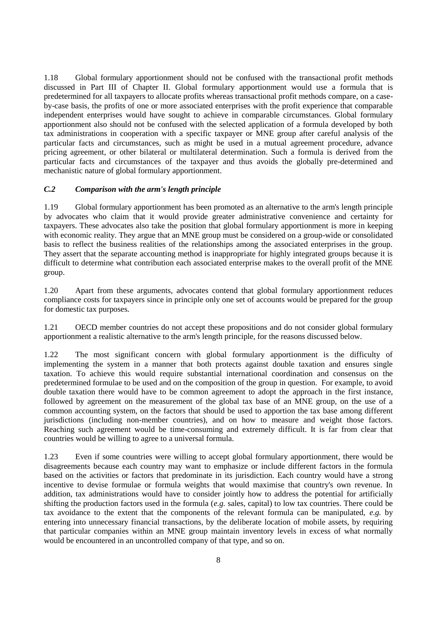1.18 Global formulary apportionment should not be confused with the transactional profit methods discussed in Part III of Chapter II. Global formulary apportionment would use a formula that is predetermined for all taxpayers to allocate profits whereas transactional profit methods compare, on a caseby-case basis, the profits of one or more associated enterprises with the profit experience that comparable independent enterprises would have sought to achieve in comparable circumstances. Global formulary apportionment also should not be confused with the selected application of a formula developed by both tax administrations in cooperation with a specific taxpayer or MNE group after careful analysis of the particular facts and circumstances, such as might be used in a mutual agreement procedure, advance pricing agreement, or other bilateral or multilateral determination. Such a formula is derived from the particular facts and circumstances of the taxpayer and thus avoids the globally pre-determined and mechanistic nature of global formulary apportionment.

## *C.2 Comparison with the arm's length principle*

1.19 Global formulary apportionment has been promoted as an alternative to the arm's length principle by advocates who claim that it would provide greater administrative convenience and certainty for taxpayers. These advocates also take the position that global formulary apportionment is more in keeping with economic reality. They argue that an MNE group must be considered on a group-wide or consolidated basis to reflect the business realities of the relationships among the associated enterprises in the group. They assert that the separate accounting method is inappropriate for highly integrated groups because it is difficult to determine what contribution each associated enterprise makes to the overall profit of the MNE group.

1.20 Apart from these arguments, advocates contend that global formulary apportionment reduces compliance costs for taxpayers since in principle only one set of accounts would be prepared for the group for domestic tax purposes.

1.21 OECD member countries do not accept these propositions and do not consider global formulary apportionment a realistic alternative to the arm's length principle, for the reasons discussed below.

1.22 The most significant concern with global formulary apportionment is the difficulty of implementing the system in a manner that both protects against double taxation and ensures single taxation. To achieve this would require substantial international coordination and consensus on the predetermined formulae to be used and on the composition of the group in question. For example, to avoid double taxation there would have to be common agreement to adopt the approach in the first instance, followed by agreement on the measurement of the global tax base of an MNE group, on the use of a common accounting system, on the factors that should be used to apportion the tax base among different jurisdictions (including non-member countries), and on how to measure and weight those factors. Reaching such agreement would be time-consuming and extremely difficult. It is far from clear that countries would be willing to agree to a universal formula.

1.23 Even if some countries were willing to accept global formulary apportionment, there would be disagreements because each country may want to emphasize or include different factors in the formula based on the activities or factors that predominate in its jurisdiction. Each country would have a strong incentive to devise formulae or formula weights that would maximise that country's own revenue. In addition, tax administrations would have to consider jointly how to address the potential for artificially shifting the production factors used in the formula (*e.g.* sales, capital) to low tax countries. There could be tax avoidance to the extent that the components of the relevant formula can be manipulated, *e.g.* by entering into unnecessary financial transactions, by the deliberate location of mobile assets, by requiring that particular companies within an MNE group maintain inventory levels in excess of what normally would be encountered in an uncontrolled company of that type, and so on.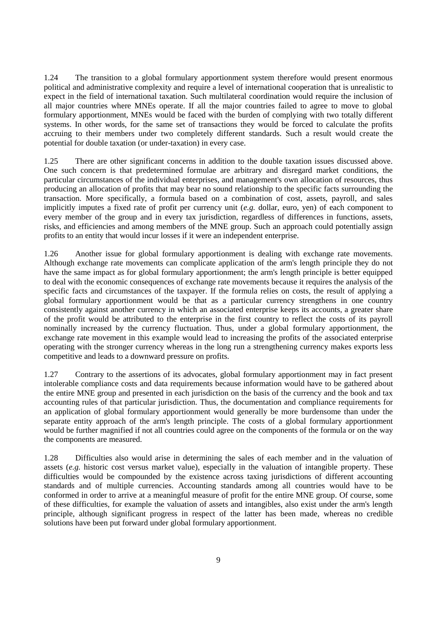1.24 The transition to a global formulary apportionment system therefore would present enormous political and administrative complexity and require a level of international cooperation that is unrealistic to expect in the field of international taxation. Such multilateral coordination would require the inclusion of all major countries where MNEs operate. If all the major countries failed to agree to move to global formulary apportionment, MNEs would be faced with the burden of complying with two totally different systems. In other words, for the same set of transactions they would be forced to calculate the profits accruing to their members under two completely different standards. Such a result would create the potential for double taxation (or under-taxation) in every case.

1.25 There are other significant concerns in addition to the double taxation issues discussed above. One such concern is that predetermined formulae are arbitrary and disregard market conditions, the particular circumstances of the individual enterprises, and management's own allocation of resources, thus producing an allocation of profits that may bear no sound relationship to the specific facts surrounding the transaction. More specifically, a formula based on a combination of cost, assets, payroll, and sales implicitly imputes a fixed rate of profit per currency unit (*e.g.* dollar, euro, yen) of each component to every member of the group and in every tax jurisdiction, regardless of differences in functions, assets, risks, and efficiencies and among members of the MNE group. Such an approach could potentially assign profits to an entity that would incur losses if it were an independent enterprise.

1.26 Another issue for global formulary apportionment is dealing with exchange rate movements. Although exchange rate movements can complicate application of the arm's length principle they do not have the same impact as for global formulary apportionment; the arm's length principle is better equipped to deal with the economic consequences of exchange rate movements because it requires the analysis of the specific facts and circumstances of the taxpayer. If the formula relies on costs, the result of applying a global formulary apportionment would be that as a particular currency strengthens in one country consistently against another currency in which an associated enterprise keeps its accounts, a greater share of the profit would be attributed to the enterprise in the first country to reflect the costs of its payroll nominally increased by the currency fluctuation. Thus, under a global formulary apportionment, the exchange rate movement in this example would lead to increasing the profits of the associated enterprise operating with the stronger currency whereas in the long run a strengthening currency makes exports less competitive and leads to a downward pressure on profits.

1.27 Contrary to the assertions of its advocates, global formulary apportionment may in fact present intolerable compliance costs and data requirements because information would have to be gathered about the entire MNE group and presented in each jurisdiction on the basis of the currency and the book and tax accounting rules of that particular jurisdiction. Thus, the documentation and compliance requirements for an application of global formulary apportionment would generally be more burdensome than under the separate entity approach of the arm's length principle. The costs of a global formulary apportionment would be further magnified if not all countries could agree on the components of the formula or on the way the components are measured.

1.28 Difficulties also would arise in determining the sales of each member and in the valuation of assets (*e.g.* historic cost versus market value), especially in the valuation of intangible property. These difficulties would be compounded by the existence across taxing jurisdictions of different accounting standards and of multiple currencies. Accounting standards among all countries would have to be conformed in order to arrive at a meaningful measure of profit for the entire MNE group. Of course, some of these difficulties, for example the valuation of assets and intangibles, also exist under the arm's length principle, although significant progress in respect of the latter has been made, whereas no credible solutions have been put forward under global formulary apportionment.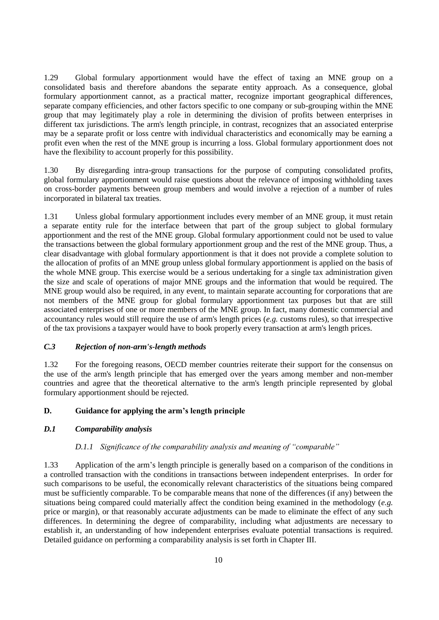1.29 Global formulary apportionment would have the effect of taxing an MNE group on a consolidated basis and therefore abandons the separate entity approach. As a consequence, global formulary apportionment cannot, as a practical matter, recognize important geographical differences, separate company efficiencies, and other factors specific to one company or sub-grouping within the MNE group that may legitimately play a role in determining the division of profits between enterprises in different tax jurisdictions. The arm's length principle, in contrast, recognizes that an associated enterprise may be a separate profit or loss centre with individual characteristics and economically may be earning a profit even when the rest of the MNE group is incurring a loss. Global formulary apportionment does not have the flexibility to account properly for this possibility.

1.30 By disregarding intra-group transactions for the purpose of computing consolidated profits, global formulary apportionment would raise questions about the relevance of imposing withholding taxes on cross-border payments between group members and would involve a rejection of a number of rules incorporated in bilateral tax treaties.

1.31 Unless global formulary apportionment includes every member of an MNE group, it must retain a separate entity rule for the interface between that part of the group subject to global formulary apportionment and the rest of the MNE group. Global formulary apportionment could not be used to value the transactions between the global formulary apportionment group and the rest of the MNE group. Thus, a clear disadvantage with global formulary apportionment is that it does not provide a complete solution to the allocation of profits of an MNE group unless global formulary apportionment is applied on the basis of the whole MNE group. This exercise would be a serious undertaking for a single tax administration given the size and scale of operations of major MNE groups and the information that would be required. The MNE group would also be required, in any event, to maintain separate accounting for corporations that are not members of the MNE group for global formulary apportionment tax purposes but that are still associated enterprises of one or more members of the MNE group. In fact, many domestic commercial and accountancy rules would still require the use of arm's length prices (*e.g.* customs rules), so that irrespective of the tax provisions a taxpayer would have to book properly every transaction at arm's length prices.

## *C.3 Rejection of non-arm's-length methods*

1.32 For the foregoing reasons, OECD member countries reiterate their support for the consensus on the use of the arm's length principle that has emerged over the years among member and non-member countries and agree that the theoretical alternative to the arm's length principle represented by global formulary apportionment should be rejected.

#### **D. Guidance for applying the arm's length principle**

#### *D.1 Comparability analysis*

#### *D.1.1 Significance of the comparability analysis and meaning of "comparable"*

1.33 Application of the arm's length principle is generally based on a comparison of the conditions in a controlled transaction with the conditions in transactions between independent enterprises. In order for such comparisons to be useful, the economically relevant characteristics of the situations being compared must be sufficiently comparable. To be comparable means that none of the differences (if any) between the situations being compared could materially affect the condition being examined in the methodology (*e.g.* price or margin), or that reasonably accurate adjustments can be made to eliminate the effect of any such differences. In determining the degree of comparability, including what adjustments are necessary to establish it, an understanding of how independent enterprises evaluate potential transactions is required. Detailed guidance on performing a comparability analysis is set forth in Chapter III.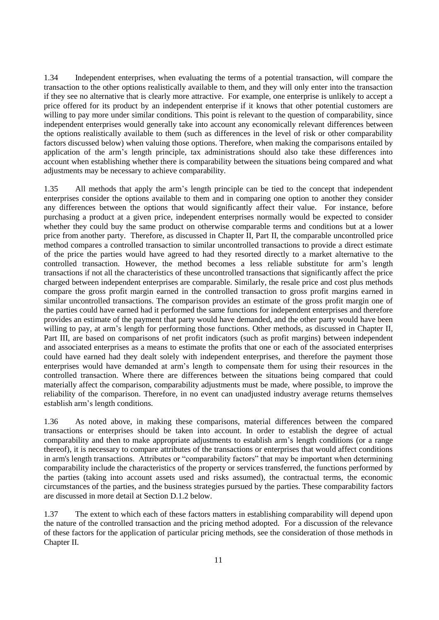1.34 Independent enterprises, when evaluating the terms of a potential transaction, will compare the transaction to the other options realistically available to them, and they will only enter into the transaction if they see no alternative that is clearly more attractive. For example, one enterprise is unlikely to accept a price offered for its product by an independent enterprise if it knows that other potential customers are willing to pay more under similar conditions. This point is relevant to the question of comparability, since independent enterprises would generally take into account any economically relevant differences between the options realistically available to them (such as differences in the level of risk or other comparability factors discussed below) when valuing those options. Therefore, when making the comparisons entailed by application of the arm's length principle, tax administrations should also take these differences into account when establishing whether there is comparability between the situations being compared and what adjustments may be necessary to achieve comparability.

1.35 All methods that apply the arm's length principle can be tied to the concept that independent enterprises consider the options available to them and in comparing one option to another they consider any differences between the options that would significantly affect their value. For instance, before purchasing a product at a given price, independent enterprises normally would be expected to consider whether they could buy the same product on otherwise comparable terms and conditions but at a lower price from another party. Therefore, as discussed in Chapter II, Part II, the comparable uncontrolled price method compares a controlled transaction to similar uncontrolled transactions to provide a direct estimate of the price the parties would have agreed to had they resorted directly to a market alternative to the controlled transaction. However, the method becomes a less reliable substitute for arm's length transactions if not all the characteristics of these uncontrolled transactions that significantly affect the price charged between independent enterprises are comparable. Similarly, the resale price and cost plus methods compare the gross profit margin earned in the controlled transaction to gross profit margins earned in similar uncontrolled transactions. The comparison provides an estimate of the gross profit margin one of the parties could have earned had it performed the same functions for independent enterprises and therefore provides an estimate of the payment that party would have demanded, and the other party would have been willing to pay, at arm's length for performing those functions. Other methods, as discussed in Chapter II, Part III, are based on comparisons of net profit indicators (such as profit margins) between independent and associated enterprises as a means to estimate the profits that one or each of the associated enterprises could have earned had they dealt solely with independent enterprises, and therefore the payment those enterprises would have demanded at arm's length to compensate them for using their resources in the controlled transaction. Where there are differences between the situations being compared that could materially affect the comparison, comparability adjustments must be made, where possible, to improve the reliability of the comparison. Therefore, in no event can unadjusted industry average returns themselves establish arm's length conditions.

1.36 As noted above, in making these comparisons, material differences between the compared transactions or enterprises should be taken into account. In order to establish the degree of actual comparability and then to make appropriate adjustments to establish arm's length conditions (or a range thereof), it is necessary to compare attributes of the transactions or enterprises that would affect conditions in arm's length transactions. Attributes or "comparability factors" that may be important when determining comparability include the characteristics of the property or services transferred, the functions performed by the parties (taking into account assets used and risks assumed), the contractual terms, the economic circumstances of the parties, and the business strategies pursued by the parties. These comparability factors are discussed in more detail at Section D.1.2 below.

1.37 The extent to which each of these factors matters in establishing comparability will depend upon the nature of the controlled transaction and the pricing method adopted. For a discussion of the relevance of these factors for the application of particular pricing methods, see the consideration of those methods in Chapter II.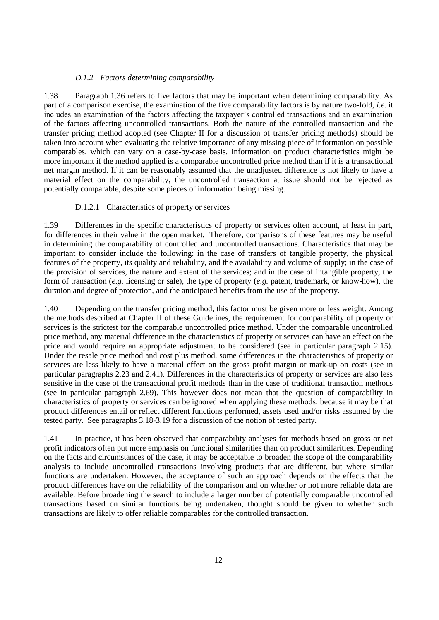#### *D.1.2 Factors determining comparability*

1.38 Paragraph 1.36 refers to five factors that may be important when determining comparability. As part of a comparison exercise, the examination of the five comparability factors is by nature two-fold, *i.e.* it includes an examination of the factors affecting the taxpayer's controlled transactions and an examination of the factors affecting uncontrolled transactions. Both the nature of the controlled transaction and the transfer pricing method adopted (see Chapter II for a discussion of transfer pricing methods) should be taken into account when evaluating the relative importance of any missing piece of information on possible comparables, which can vary on a case-by-case basis. Information on product characteristics might be more important if the method applied is a comparable uncontrolled price method than if it is a transactional net margin method. If it can be reasonably assumed that the unadjusted difference is not likely to have a material effect on the comparability, the uncontrolled transaction at issue should not be rejected as potentially comparable, despite some pieces of information being missing.

## D.1.2.1 Characteristics of property or services

1.39 Differences in the specific characteristics of property or services often account, at least in part, for differences in their value in the open market. Therefore, comparisons of these features may be useful in determining the comparability of controlled and uncontrolled transactions. Characteristics that may be important to consider include the following: in the case of transfers of tangible property, the physical features of the property, its quality and reliability, and the availability and volume of supply; in the case of the provision of services, the nature and extent of the services; and in the case of intangible property, the form of transaction (*e.g.* licensing or sale), the type of property (*e.g.* patent, trademark, or know-how), the duration and degree of protection, and the anticipated benefits from the use of the property.

1.40 Depending on the transfer pricing method, this factor must be given more or less weight. Among the methods described at Chapter II of these Guidelines, the requirement for comparability of property or services is the strictest for the comparable uncontrolled price method. Under the comparable uncontrolled price method, any material difference in the characteristics of property or services can have an effect on the price and would require an appropriate adjustment to be considered (see in particular paragraph 2.15). Under the resale price method and cost plus method, some differences in the characteristics of property or services are less likely to have a material effect on the gross profit margin or mark-up on costs (see in particular paragraphs 2.23 and 2.41). Differences in the characteristics of property or services are also less sensitive in the case of the transactional profit methods than in the case of traditional transaction methods (see in particular paragraph 2.69). This however does not mean that the question of comparability in characteristics of property or services can be ignored when applying these methods, because it may be that product differences entail or reflect different functions performed, assets used and/or risks assumed by the tested party. See paragraphs 3.18-3.19 for a discussion of the notion of tested party.

1.41 In practice, it has been observed that comparability analyses for methods based on gross or net profit indicators often put more emphasis on functional similarities than on product similarities. Depending on the facts and circumstances of the case, it may be acceptable to broaden the scope of the comparability analysis to include uncontrolled transactions involving products that are different, but where similar functions are undertaken. However, the acceptance of such an approach depends on the effects that the product differences have on the reliability of the comparison and on whether or not more reliable data are available. Before broadening the search to include a larger number of potentially comparable uncontrolled transactions based on similar functions being undertaken, thought should be given to whether such transactions are likely to offer reliable comparables for the controlled transaction.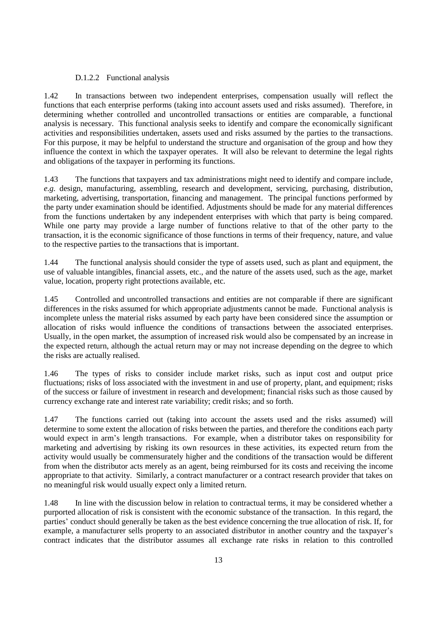#### D.1.2.2 Functional analysis

1.42 In transactions between two independent enterprises, compensation usually will reflect the functions that each enterprise performs (taking into account assets used and risks assumed). Therefore, in determining whether controlled and uncontrolled transactions or entities are comparable, a functional analysis is necessary. This functional analysis seeks to identify and compare the economically significant activities and responsibilities undertaken, assets used and risks assumed by the parties to the transactions. For this purpose, it may be helpful to understand the structure and organisation of the group and how they influence the context in which the taxpayer operates. It will also be relevant to determine the legal rights and obligations of the taxpayer in performing its functions.

1.43 The functions that taxpayers and tax administrations might need to identify and compare include, *e.g.* design, manufacturing, assembling, research and development, servicing, purchasing, distribution, marketing, advertising, transportation, financing and management. The principal functions performed by the party under examination should be identified. Adjustments should be made for any material differences from the functions undertaken by any independent enterprises with which that party is being compared. While one party may provide a large number of functions relative to that of the other party to the transaction, it is the economic significance of those functions in terms of their frequency, nature, and value to the respective parties to the transactions that is important.

1.44 The functional analysis should consider the type of assets used, such as plant and equipment, the use of valuable intangibles, financial assets, etc., and the nature of the assets used, such as the age, market value, location, property right protections available, etc.

1.45 Controlled and uncontrolled transactions and entities are not comparable if there are significant differences in the risks assumed for which appropriate adjustments cannot be made. Functional analysis is incomplete unless the material risks assumed by each party have been considered since the assumption or allocation of risks would influence the conditions of transactions between the associated enterprises. Usually, in the open market, the assumption of increased risk would also be compensated by an increase in the expected return, although the actual return may or may not increase depending on the degree to which the risks are actually realised.

1.46 The types of risks to consider include market risks, such as input cost and output price fluctuations; risks of loss associated with the investment in and use of property, plant, and equipment; risks of the success or failure of investment in research and development; financial risks such as those caused by currency exchange rate and interest rate variability; credit risks; and so forth.

1.47 The functions carried out (taking into account the assets used and the risks assumed) will determine to some extent the allocation of risks between the parties, and therefore the conditions each party would expect in arm's length transactions. For example, when a distributor takes on responsibility for marketing and advertising by risking its own resources in these activities, its expected return from the activity would usually be commensurately higher and the conditions of the transaction would be different from when the distributor acts merely as an agent, being reimbursed for its costs and receiving the income appropriate to that activity. Similarly, a contract manufacturer or a contract research provider that takes on no meaningful risk would usually expect only a limited return.

1.48 In line with the discussion below in relation to contractual terms, it may be considered whether a purported allocation of risk is consistent with the economic substance of the transaction. In this regard, the parties' conduct should generally be taken as the best evidence concerning the true allocation of risk. If, for example, a manufacturer sells property to an associated distributor in another country and the taxpayer's contract indicates that the distributor assumes all exchange rate risks in relation to this controlled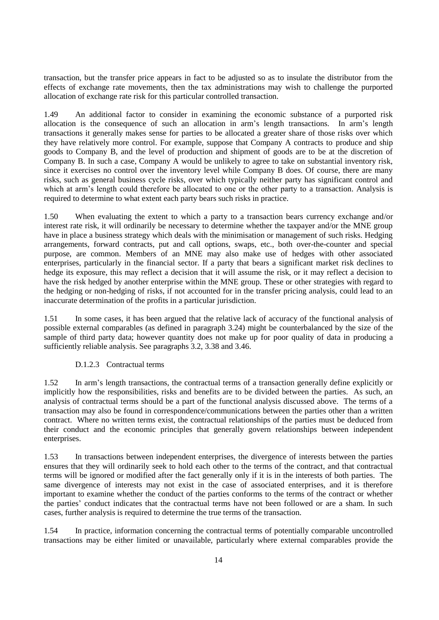transaction, but the transfer price appears in fact to be adjusted so as to insulate the distributor from the effects of exchange rate movements, then the tax administrations may wish to challenge the purported allocation of exchange rate risk for this particular controlled transaction.

1.49 An additional factor to consider in examining the economic substance of a purported risk allocation is the consequence of such an allocation in arm's length transactions. In arm's length transactions it generally makes sense for parties to be allocated a greater share of those risks over which they have relatively more control. For example, suppose that Company A contracts to produce and ship goods to Company B, and the level of production and shipment of goods are to be at the discretion of Company B. In such a case, Company A would be unlikely to agree to take on substantial inventory risk, since it exercises no control over the inventory level while Company B does. Of course, there are many risks, such as general business cycle risks, over which typically neither party has significant control and which at arm's length could therefore be allocated to one or the other party to a transaction. Analysis is required to determine to what extent each party bears such risks in practice.

1.50 When evaluating the extent to which a party to a transaction bears currency exchange and/or interest rate risk, it will ordinarily be necessary to determine whether the taxpayer and/or the MNE group have in place a business strategy which deals with the minimisation or management of such risks. Hedging arrangements, forward contracts, put and call options, swaps, etc., both over-the-counter and special purpose, are common. Members of an MNE may also make use of hedges with other associated enterprises, particularly in the financial sector. If a party that bears a significant market risk declines to hedge its exposure, this may reflect a decision that it will assume the risk, or it may reflect a decision to have the risk hedged by another enterprise within the MNE group. These or other strategies with regard to the hedging or non-hedging of risks, if not accounted for in the transfer pricing analysis, could lead to an inaccurate determination of the profits in a particular jurisdiction.

1.51 In some cases, it has been argued that the relative lack of accuracy of the functional analysis of possible external comparables (as defined in paragraph 3.24) might be counterbalanced by the size of the sample of third party data; however quantity does not make up for poor quality of data in producing a sufficiently reliable analysis. See paragraphs 3.2, 3.38 and 3.46.

#### D.1.2.3 Contractual terms

1.52 In arm's length transactions, the contractual terms of a transaction generally define explicitly or implicitly how the responsibilities, risks and benefits are to be divided between the parties. As such, an analysis of contractual terms should be a part of the functional analysis discussed above. The terms of a transaction may also be found in correspondence/communications between the parties other than a written contract. Where no written terms exist, the contractual relationships of the parties must be deduced from their conduct and the economic principles that generally govern relationships between independent enterprises.

1.53 In transactions between independent enterprises, the divergence of interests between the parties ensures that they will ordinarily seek to hold each other to the terms of the contract, and that contractual terms will be ignored or modified after the fact generally only if it is in the interests of both parties. The same divergence of interests may not exist in the case of associated enterprises, and it is therefore important to examine whether the conduct of the parties conforms to the terms of the contract or whether the parties' conduct indicates that the contractual terms have not been followed or are a sham. In such cases, further analysis is required to determine the true terms of the transaction.

1.54 In practice, information concerning the contractual terms of potentially comparable uncontrolled transactions may be either limited or unavailable, particularly where external comparables provide the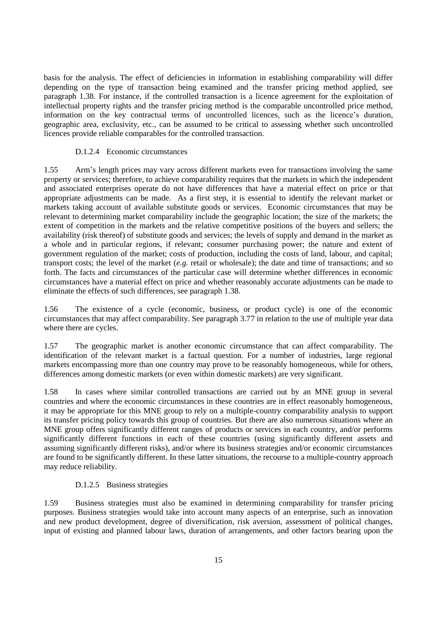basis for the analysis. The effect of deficiencies in information in establishing comparability will differ depending on the type of transaction being examined and the transfer pricing method applied, see paragraph 1.38. For instance, if the controlled transaction is a licence agreement for the exploitation of intellectual property rights and the transfer pricing method is the comparable uncontrolled price method, information on the key contractual terms of uncontrolled licences, such as the licence's duration, geographic area, exclusivity, etc., can be assumed to be critical to assessing whether such uncontrolled licences provide reliable comparables for the controlled transaction.

#### D.1.2.4 Economic circumstances

1.55 Arm's length prices may vary across different markets even for transactions involving the same property or services; therefore, to achieve comparability requires that the markets in which the independent and associated enterprises operate do not have differences that have a material effect on price or that appropriate adjustments can be made. As a first step, it is essential to identify the relevant market or markets taking account of available substitute goods or services. Economic circumstances that may be relevant to determining market comparability include the geographic location; the size of the markets; the extent of competition in the markets and the relative competitive positions of the buyers and sellers; the availability (risk thereof) of substitute goods and services; the levels of supply and demand in the market as a whole and in particular regions, if relevant; consumer purchasing power; the nature and extent of government regulation of the market; costs of production, including the costs of land, labour, and capital; transport costs; the level of the market (*e.g.* retail or wholesale); the date and time of transactions; and so forth. The facts and circumstances of the particular case will determine whether differences in economic circumstances have a material effect on price and whether reasonably accurate adjustments can be made to eliminate the effects of such differences, see paragraph 1.38.

1.56 The existence of a cycle (economic, business, or product cycle) is one of the economic circumstances that may affect comparability. See paragraph 3.77 in relation to the use of multiple year data where there are cycles.

1.57 The geographic market is another economic circumstance that can affect comparability. The identification of the relevant market is a factual question. For a number of industries, large regional markets encompassing more than one country may prove to be reasonably homogeneous, while for others, differences among domestic markets (or even within domestic markets) are very significant.

1.58 In cases where similar controlled transactions are carried out by an MNE group in several countries and where the economic circumstances in these countries are in effect reasonably homogeneous, it may be appropriate for this MNE group to rely on a multiple-country comparability analysis to support its transfer pricing policy towards this group of countries. But there are also numerous situations where an MNE group offers significantly different ranges of products or services in each country, and/or performs significantly different functions in each of these countries (using significantly different assets and assuming significantly different risks), and/or where its business strategies and/or economic circumstances are found to be significantly different. In these latter situations, the recourse to a multiple-country approach may reduce reliability.

## D.1.2.5 Business strategies

1.59 Business strategies must also be examined in determining comparability for transfer pricing purposes. Business strategies would take into account many aspects of an enterprise, such as innovation and new product development, degree of diversification, risk aversion, assessment of political changes, input of existing and planned labour laws, duration of arrangements, and other factors bearing upon the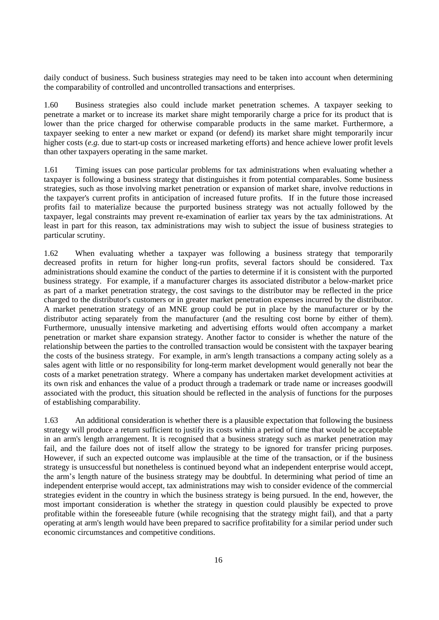daily conduct of business. Such business strategies may need to be taken into account when determining the comparability of controlled and uncontrolled transactions and enterprises.

1.60 Business strategies also could include market penetration schemes. A taxpayer seeking to penetrate a market or to increase its market share might temporarily charge a price for its product that is lower than the price charged for otherwise comparable products in the same market. Furthermore, a taxpayer seeking to enter a new market or expand (or defend) its market share might temporarily incur higher costs (*e.g.* due to start-up costs or increased marketing efforts) and hence achieve lower profit levels than other taxpayers operating in the same market.

1.61 Timing issues can pose particular problems for tax administrations when evaluating whether a taxpayer is following a business strategy that distinguishes it from potential comparables. Some business strategies, such as those involving market penetration or expansion of market share, involve reductions in the taxpayer's current profits in anticipation of increased future profits. If in the future those increased profits fail to materialize because the purported business strategy was not actually followed by the taxpayer, legal constraints may prevent re-examination of earlier tax years by the tax administrations. At least in part for this reason, tax administrations may wish to subject the issue of business strategies to particular scrutiny.

1.62 When evaluating whether a taxpayer was following a business strategy that temporarily decreased profits in return for higher long-run profits, several factors should be considered. Tax administrations should examine the conduct of the parties to determine if it is consistent with the purported business strategy. For example, if a manufacturer charges its associated distributor a below-market price as part of a market penetration strategy, the cost savings to the distributor may be reflected in the price charged to the distributor's customers or in greater market penetration expenses incurred by the distributor. A market penetration strategy of an MNE group could be put in place by the manufacturer or by the distributor acting separately from the manufacturer (and the resulting cost borne by either of them). Furthermore, unusually intensive marketing and advertising efforts would often accompany a market penetration or market share expansion strategy. Another factor to consider is whether the nature of the relationship between the parties to the controlled transaction would be consistent with the taxpayer bearing the costs of the business strategy. For example, in arm's length transactions a company acting solely as a sales agent with little or no responsibility for long-term market development would generally not bear the costs of a market penetration strategy. Where a company has undertaken market development activities at its own risk and enhances the value of a product through a trademark or trade name or increases goodwill associated with the product, this situation should be reflected in the analysis of functions for the purposes of establishing comparability.

1.63 An additional consideration is whether there is a plausible expectation that following the business strategy will produce a return sufficient to justify its costs within a period of time that would be acceptable in an arm's length arrangement. It is recognised that a business strategy such as market penetration may fail, and the failure does not of itself allow the strategy to be ignored for transfer pricing purposes. However, if such an expected outcome was implausible at the time of the transaction, or if the business strategy is unsuccessful but nonetheless is continued beyond what an independent enterprise would accept, the arm's length nature of the business strategy may be doubtful. In determining what period of time an independent enterprise would accept, tax administrations may wish to consider evidence of the commercial strategies evident in the country in which the business strategy is being pursued. In the end, however, the most important consideration is whether the strategy in question could plausibly be expected to prove profitable within the foreseeable future (while recognising that the strategy might fail), and that a party operating at arm's length would have been prepared to sacrifice profitability for a similar period under such economic circumstances and competitive conditions.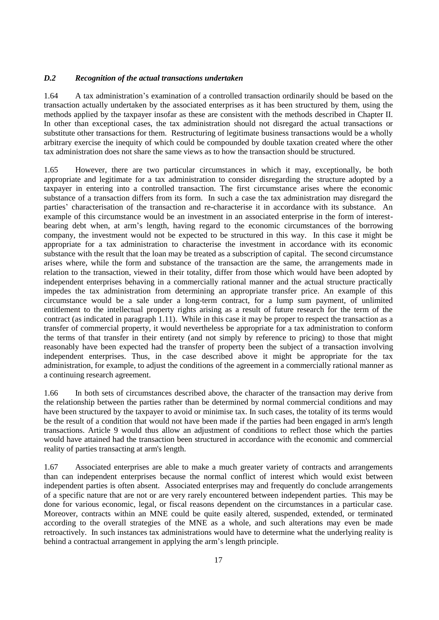## *D.2 Recognition of the actual transactions undertaken*

1.64 A tax administration's examination of a controlled transaction ordinarily should be based on the transaction actually undertaken by the associated enterprises as it has been structured by them, using the methods applied by the taxpayer insofar as these are consistent with the methods described in Chapter II. In other than exceptional cases, the tax administration should not disregard the actual transactions or substitute other transactions for them. Restructuring of legitimate business transactions would be a wholly arbitrary exercise the inequity of which could be compounded by double taxation created where the other tax administration does not share the same views as to how the transaction should be structured.

1.65 However, there are two particular circumstances in which it may, exceptionally, be both appropriate and legitimate for a tax administration to consider disregarding the structure adopted by a taxpayer in entering into a controlled transaction. The first circumstance arises where the economic substance of a transaction differs from its form. In such a case the tax administration may disregard the parties' characterisation of the transaction and re-characterise it in accordance with its substance. An example of this circumstance would be an investment in an associated enterprise in the form of interestbearing debt when, at arm's length, having regard to the economic circumstances of the borrowing company, the investment would not be expected to be structured in this way. In this case it might be appropriate for a tax administration to characterise the investment in accordance with its economic substance with the result that the loan may be treated as a subscription of capital. The second circumstance arises where, while the form and substance of the transaction are the same, the arrangements made in relation to the transaction, viewed in their totality, differ from those which would have been adopted by independent enterprises behaving in a commercially rational manner and the actual structure practically impedes the tax administration from determining an appropriate transfer price. An example of this circumstance would be a sale under a long-term contract, for a lump sum payment, of unlimited entitlement to the intellectual property rights arising as a result of future research for the term of the contract (as indicated in paragraph 1.11). While in this case it may be proper to respect the transaction as a transfer of commercial property, it would nevertheless be appropriate for a tax administration to conform the terms of that transfer in their entirety (and not simply by reference to pricing) to those that might reasonably have been expected had the transfer of property been the subject of a transaction involving independent enterprises. Thus, in the case described above it might be appropriate for the tax administration, for example, to adjust the conditions of the agreement in a commercially rational manner as a continuing research agreement.

1.66 In both sets of circumstances described above, the character of the transaction may derive from the relationship between the parties rather than be determined by normal commercial conditions and may have been structured by the taxpayer to avoid or minimise tax. In such cases, the totality of its terms would be the result of a condition that would not have been made if the parties had been engaged in arm's length transactions. Article 9 would thus allow an adjustment of conditions to reflect those which the parties would have attained had the transaction been structured in accordance with the economic and commercial reality of parties transacting at arm's length.

1.67 Associated enterprises are able to make a much greater variety of contracts and arrangements than can independent enterprises because the normal conflict of interest which would exist between independent parties is often absent. Associated enterprises may and frequently do conclude arrangements of a specific nature that are not or are very rarely encountered between independent parties. This may be done for various economic, legal, or fiscal reasons dependent on the circumstances in a particular case. Moreover, contracts within an MNE could be quite easily altered, suspended, extended, or terminated according to the overall strategies of the MNE as a whole, and such alterations may even be made retroactively. In such instances tax administrations would have to determine what the underlying reality is behind a contractual arrangement in applying the arm's length principle.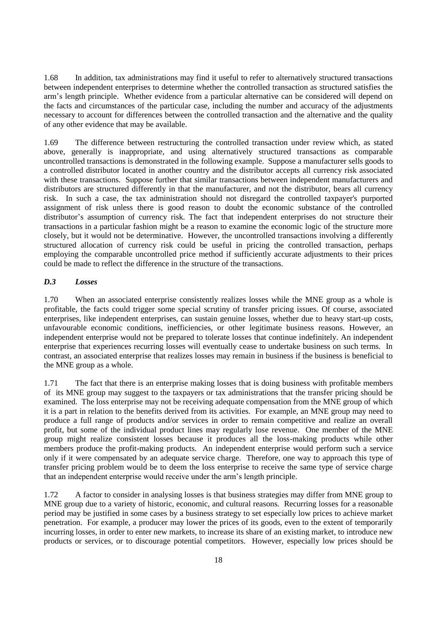1.68 In addition, tax administrations may find it useful to refer to alternatively structured transactions between independent enterprises to determine whether the controlled transaction as structured satisfies the arm's length principle. Whether evidence from a particular alternative can be considered will depend on the facts and circumstances of the particular case, including the number and accuracy of the adjustments necessary to account for differences between the controlled transaction and the alternative and the quality of any other evidence that may be available.

1.69 The difference between restructuring the controlled transaction under review which, as stated above, generally is inappropriate, and using alternatively structured transactions as comparable uncontrolled transactions is demonstrated in the following example. Suppose a manufacturer sells goods to a controlled distributor located in another country and the distributor accepts all currency risk associated with these transactions. Suppose further that similar transactions between independent manufacturers and distributors are structured differently in that the manufacturer, and not the distributor, bears all currency risk. In such a case, the tax administration should not disregard the controlled taxpayer's purported assignment of risk unless there is good reason to doubt the economic substance of the controlled distributor's assumption of currency risk. The fact that independent enterprises do not structure their transactions in a particular fashion might be a reason to examine the economic logic of the structure more closely, but it would not be determinative. However, the uncontrolled transactions involving a differently structured allocation of currency risk could be useful in pricing the controlled transaction, perhaps employing the comparable uncontrolled price method if sufficiently accurate adjustments to their prices could be made to reflect the difference in the structure of the transactions.

#### *D.3 Losses*

1.70 When an associated enterprise consistently realizes losses while the MNE group as a whole is profitable, the facts could trigger some special scrutiny of transfer pricing issues. Of course, associated enterprises, like independent enterprises, can sustain genuine losses, whether due to heavy start-up costs, unfavourable economic conditions, inefficiencies, or other legitimate business reasons. However, an independent enterprise would not be prepared to tolerate losses that continue indefinitely. An independent enterprise that experiences recurring losses will eventually cease to undertake business on such terms. In contrast, an associated enterprise that realizes losses may remain in business if the business is beneficial to the MNE group as a whole.

1.71 The fact that there is an enterprise making losses that is doing business with profitable members of its MNE group may suggest to the taxpayers or tax administrations that the transfer pricing should be examined. The loss enterprise may not be receiving adequate compensation from the MNE group of which it is a part in relation to the benefits derived from its activities. For example, an MNE group may need to produce a full range of products and/or services in order to remain competitive and realize an overall profit, but some of the individual product lines may regularly lose revenue. One member of the MNE group might realize consistent losses because it produces all the loss-making products while other members produce the profit-making products. An independent enterprise would perform such a service only if it were compensated by an adequate service charge. Therefore, one way to approach this type of transfer pricing problem would be to deem the loss enterprise to receive the same type of service charge that an independent enterprise would receive under the arm's length principle.

1.72 A factor to consider in analysing losses is that business strategies may differ from MNE group to MNE group due to a variety of historic, economic, and cultural reasons. Recurring losses for a reasonable period may be justified in some cases by a business strategy to set especially low prices to achieve market penetration. For example, a producer may lower the prices of its goods, even to the extent of temporarily incurring losses, in order to enter new markets, to increase its share of an existing market, to introduce new products or services, or to discourage potential competitors. However, especially low prices should be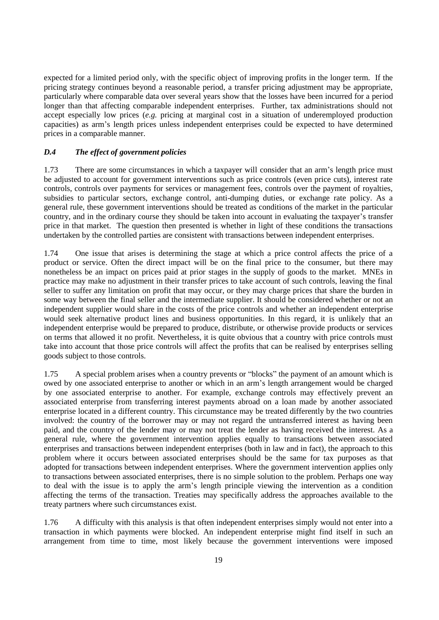expected for a limited period only, with the specific object of improving profits in the longer term. If the pricing strategy continues beyond a reasonable period, a transfer pricing adjustment may be appropriate, particularly where comparable data over several years show that the losses have been incurred for a period longer than that affecting comparable independent enterprises. Further, tax administrations should not accept especially low prices (*e.g.* pricing at marginal cost in a situation of underemployed production capacities) as arm's length prices unless independent enterprises could be expected to have determined prices in a comparable manner.

#### *D.4 The effect of government policies*

1.73 There are some circumstances in which a taxpayer will consider that an arm's length price must be adjusted to account for government interventions such as price controls (even price cuts), interest rate controls, controls over payments for services or management fees, controls over the payment of royalties, subsidies to particular sectors, exchange control, anti-dumping duties, or exchange rate policy. As a general rule, these government interventions should be treated as conditions of the market in the particular country, and in the ordinary course they should be taken into account in evaluating the taxpayer's transfer price in that market. The question then presented is whether in light of these conditions the transactions undertaken by the controlled parties are consistent with transactions between independent enterprises.

1.74 One issue that arises is determining the stage at which a price control affects the price of a product or service. Often the direct impact will be on the final price to the consumer, but there may nonetheless be an impact on prices paid at prior stages in the supply of goods to the market. MNEs in practice may make no adjustment in their transfer prices to take account of such controls, leaving the final seller to suffer any limitation on profit that may occur, or they may charge prices that share the burden in some way between the final seller and the intermediate supplier. It should be considered whether or not an independent supplier would share in the costs of the price controls and whether an independent enterprise would seek alternative product lines and business opportunities. In this regard, it is unlikely that an independent enterprise would be prepared to produce, distribute, or otherwise provide products or services on terms that allowed it no profit. Nevertheless, it is quite obvious that a country with price controls must take into account that those price controls will affect the profits that can be realised by enterprises selling goods subject to those controls.

1.75 A special problem arises when a country prevents or "blocks" the payment of an amount which is owed by one associated enterprise to another or which in an arm's length arrangement would be charged by one associated enterprise to another. For example, exchange controls may effectively prevent an associated enterprise from transferring interest payments abroad on a loan made by another associated enterprise located in a different country. This circumstance may be treated differently by the two countries involved: the country of the borrower may or may not regard the untransferred interest as having been paid, and the country of the lender may or may not treat the lender as having received the interest. As a general rule, where the government intervention applies equally to transactions between associated enterprises and transactions between independent enterprises (both in law and in fact), the approach to this problem where it occurs between associated enterprises should be the same for tax purposes as that adopted for transactions between independent enterprises. Where the government intervention applies only to transactions between associated enterprises, there is no simple solution to the problem. Perhaps one way to deal with the issue is to apply the arm's length principle viewing the intervention as a condition affecting the terms of the transaction. Treaties may specifically address the approaches available to the treaty partners where such circumstances exist.

1.76 A difficulty with this analysis is that often independent enterprises simply would not enter into a transaction in which payments were blocked. An independent enterprise might find itself in such an arrangement from time to time, most likely because the government interventions were imposed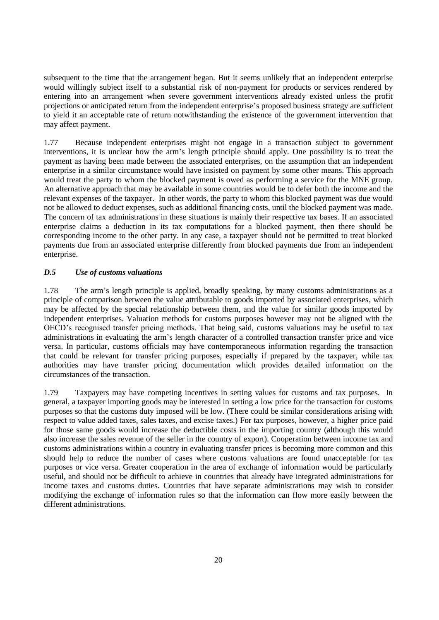subsequent to the time that the arrangement began. But it seems unlikely that an independent enterprise would willingly subject itself to a substantial risk of non-payment for products or services rendered by entering into an arrangement when severe government interventions already existed unless the profit projections or anticipated return from the independent enterprise's proposed business strategy are sufficient to yield it an acceptable rate of return notwithstanding the existence of the government intervention that may affect payment.

1.77 Because independent enterprises might not engage in a transaction subject to government interventions, it is unclear how the arm's length principle should apply. One possibility is to treat the payment as having been made between the associated enterprises, on the assumption that an independent enterprise in a similar circumstance would have insisted on payment by some other means. This approach would treat the party to whom the blocked payment is owed as performing a service for the MNE group. An alternative approach that may be available in some countries would be to defer both the income and the relevant expenses of the taxpayer. In other words, the party to whom this blocked payment was due would not be allowed to deduct expenses, such as additional financing costs, until the blocked payment was made. The concern of tax administrations in these situations is mainly their respective tax bases. If an associated enterprise claims a deduction in its tax computations for a blocked payment, then there should be corresponding income to the other party. In any case, a taxpayer should not be permitted to treat blocked payments due from an associated enterprise differently from blocked payments due from an independent enterprise.

## *D.5 Use of customs valuations*

1.78 The arm's length principle is applied, broadly speaking, by many customs administrations as a principle of comparison between the value attributable to goods imported by associated enterprises, which may be affected by the special relationship between them, and the value for similar goods imported by independent enterprises. Valuation methods for customs purposes however may not be aligned with the OECD's recognised transfer pricing methods. That being said, customs valuations may be useful to tax administrations in evaluating the arm's length character of a controlled transaction transfer price and vice versa. In particular, customs officials may have contemporaneous information regarding the transaction that could be relevant for transfer pricing purposes, especially if prepared by the taxpayer, while tax authorities may have transfer pricing documentation which provides detailed information on the circumstances of the transaction.

1.79 Taxpayers may have competing incentives in setting values for customs and tax purposes. In general, a taxpayer importing goods may be interested in setting a low price for the transaction for customs purposes so that the customs duty imposed will be low. (There could be similar considerations arising with respect to value added taxes, sales taxes, and excise taxes.) For tax purposes, however, a higher price paid for those same goods would increase the deductible costs in the importing country (although this would also increase the sales revenue of the seller in the country of export). Cooperation between income tax and customs administrations within a country in evaluating transfer prices is becoming more common and this should help to reduce the number of cases where customs valuations are found unacceptable for tax purposes or vice versa. Greater cooperation in the area of exchange of information would be particularly useful, and should not be difficult to achieve in countries that already have integrated administrations for income taxes and customs duties. Countries that have separate administrations may wish to consider modifying the exchange of information rules so that the information can flow more easily between the different administrations.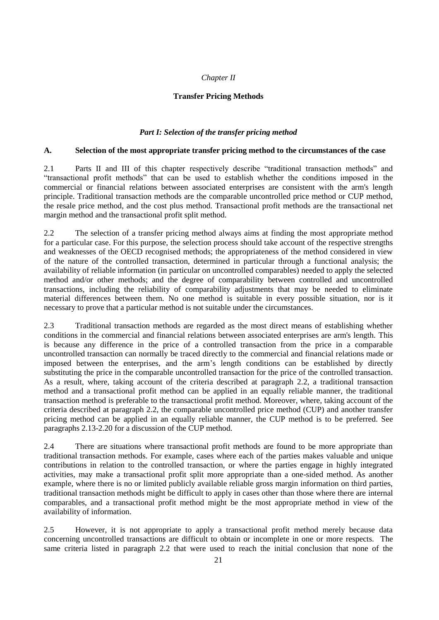## *Chapter II*

## **Transfer Pricing Methods**

## *Part I: Selection of the transfer pricing method*

## **A. Selection of the most appropriate transfer pricing method to the circumstances of the case**

2.1 Parts II and III of this chapter respectively describe "traditional transaction methods" and "transactional profit methods" that can be used to establish whether the conditions imposed in the commercial or financial relations between associated enterprises are consistent with the arm's length principle. Traditional transaction methods are the comparable uncontrolled price method or CUP method, the resale price method, and the cost plus method. Transactional profit methods are the transactional net margin method and the transactional profit split method.

2.2 The selection of a transfer pricing method always aims at finding the most appropriate method for a particular case. For this purpose, the selection process should take account of the respective strengths and weaknesses of the OECD recognised methods; the appropriateness of the method considered in view of the nature of the controlled transaction, determined in particular through a functional analysis; the availability of reliable information (in particular on uncontrolled comparables) needed to apply the selected method and/or other methods; and the degree of comparability between controlled and uncontrolled transactions, including the reliability of comparability adjustments that may be needed to eliminate material differences between them. No one method is suitable in every possible situation, nor is it necessary to prove that a particular method is not suitable under the circumstances.

2.3 Traditional transaction methods are regarded as the most direct means of establishing whether conditions in the commercial and financial relations between associated enterprises are arm's length. This is because any difference in the price of a controlled transaction from the price in a comparable uncontrolled transaction can normally be traced directly to the commercial and financial relations made or imposed between the enterprises, and the arm's length conditions can be established by directly substituting the price in the comparable uncontrolled transaction for the price of the controlled transaction. As a result, where, taking account of the criteria described at paragraph 2.2, a traditional transaction method and a transactional profit method can be applied in an equally reliable manner, the traditional transaction method is preferable to the transactional profit method. Moreover, where, taking account of the criteria described at paragraph 2.2, the comparable uncontrolled price method (CUP) and another transfer pricing method can be applied in an equally reliable manner, the CUP method is to be preferred. See paragraphs 2.13-2.20 for a discussion of the CUP method.

2.4 There are situations where transactional profit methods are found to be more appropriate than traditional transaction methods. For example, cases where each of the parties makes valuable and unique contributions in relation to the controlled transaction, or where the parties engage in highly integrated activities, may make a transactional profit split more appropriate than a one-sided method. As another example, where there is no or limited publicly available reliable gross margin information on third parties, traditional transaction methods might be difficult to apply in cases other than those where there are internal comparables, and a transactional profit method might be the most appropriate method in view of the availability of information.

2.5 However, it is not appropriate to apply a transactional profit method merely because data concerning uncontrolled transactions are difficult to obtain or incomplete in one or more respects. The same criteria listed in paragraph 2.2 that were used to reach the initial conclusion that none of the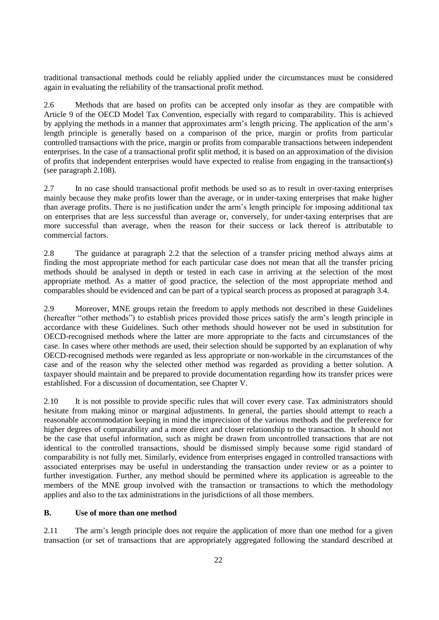traditional transactional methods could be reliably applied under the circumstances must be considered again in evaluating the reliability of the transactional profit method.

2.6 Methods that are based on profits can be accepted only insofar as they are compatible with Article 9 of the OECD Model Tax Convention, especially with regard to comparability. This is achieved by applying the methods in a manner that approximates arm's length pricing. The application of the arm's length principle is generally based on a comparison of the price, margin or profits from particular controlled transactions with the price, margin or profits from comparable transactions between independent enterprises. In the case of a transactional profit split method, it is based on an approximation of the division of profits that independent enterprises would have expected to realise from engaging in the transaction(s) (see paragraph 2.108).

2.7 In no case should transactional profit methods be used so as to result in over-taxing enterprises mainly because they make profits lower than the average, or in under-taxing enterprises that make higher than average profits. There is no justification under the arm's length principle for imposing additional tax on enterprises that are less successful than average or, conversely, for under-taxing enterprises that are more successful than average, when the reason for their success or lack thereof is attributable to commercial factors.

2.8 The guidance at paragraph 2.2 that the selection of a transfer pricing method always aims at finding the most appropriate method for each particular case does not mean that all the transfer pricing methods should be analysed in depth or tested in each case in arriving at the selection of the most appropriate method. As a matter of good practice, the selection of the most appropriate method and comparables should be evidenced and can be part of a typical search process as proposed at paragraph 3.4.

2.9 Moreover, MNE groups retain the freedom to apply methods not described in these Guidelines (hereafter "other methods") to establish prices provided those prices satisfy the arm's length principle in accordance with these Guidelines. Such other methods should however not be used in substitution for OECD-recognised methods where the latter are more appropriate to the facts and circumstances of the case. In cases where other methods are used, their selection should be supported by an explanation of why OECD-recognised methods were regarded as less appropriate or non-workable in the circumstances of the case and of the reason why the selected other method was regarded as providing a better solution. A taxpayer should maintain and be prepared to provide documentation regarding how its transfer prices were established. For a discussion of documentation, see Chapter V.

2.10 It is not possible to provide specific rules that will cover every case. Tax administrators should hesitate from making minor or marginal adjustments. In general, the parties should attempt to reach a reasonable accommodation keeping in mind the imprecision of the various methods and the preference for higher degrees of comparability and a more direct and closer relationship to the transaction. It should not be the case that useful information, such as might be drawn from uncontrolled transactions that are not identical to the controlled transactions, should be dismissed simply because some rigid standard of comparability is not fully met. Similarly, evidence from enterprises engaged in controlled transactions with associated enterprises may be useful in understanding the transaction under review or as a pointer to further investigation. Further, any method should be permitted where its application is agreeable to the members of the MNE group involved with the transaction or transactions to which the methodology applies and also to the tax administrations in the jurisdictions of all those members.

#### **B. Use of more than one method**

2.11 The arm's length principle does not require the application of more than one method for a given transaction (or set of transactions that are appropriately aggregated following the standard described at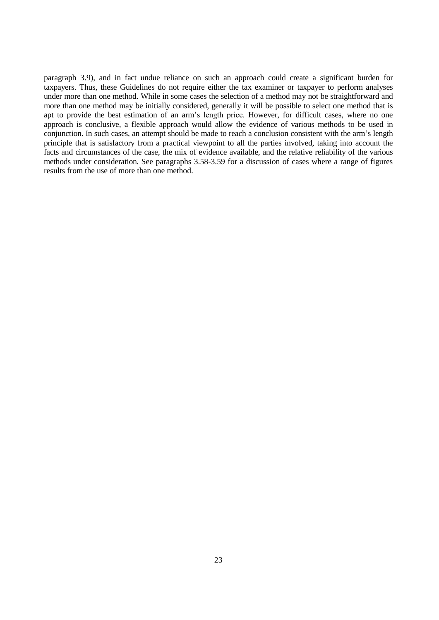paragraph 3.9), and in fact undue reliance on such an approach could create a significant burden for taxpayers. Thus, these Guidelines do not require either the tax examiner or taxpayer to perform analyses under more than one method. While in some cases the selection of a method may not be straightforward and more than one method may be initially considered, generally it will be possible to select one method that is apt to provide the best estimation of an arm's length price. However, for difficult cases, where no one approach is conclusive, a flexible approach would allow the evidence of various methods to be used in conjunction. In such cases, an attempt should be made to reach a conclusion consistent with the arm's length principle that is satisfactory from a practical viewpoint to all the parties involved, taking into account the facts and circumstances of the case, the mix of evidence available, and the relative reliability of the various methods under consideration*.* See paragraphs 3.58-3.59 for a discussion of cases where a range of figures results from the use of more than one method.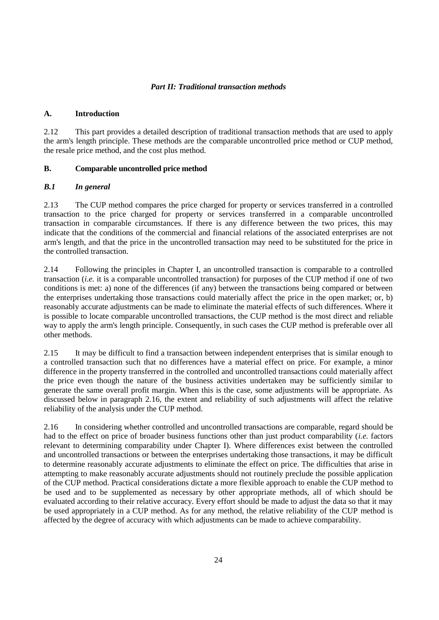## *Part II: Traditional transaction methods*

#### **A. Introduction**

2.12 This part provides a detailed description of traditional transaction methods that are used to apply the arm's length principle. These methods are the comparable uncontrolled price method or CUP method, the resale price method, and the cost plus method.

## **B. Comparable uncontrolled price method**

#### *B.1 In general*

2.13 The CUP method compares the price charged for property or services transferred in a controlled transaction to the price charged for property or services transferred in a comparable uncontrolled transaction in comparable circumstances. If there is any difference between the two prices, this may indicate that the conditions of the commercial and financial relations of the associated enterprises are not arm's length, and that the price in the uncontrolled transaction may need to be substituted for the price in the controlled transaction.

2.14 Following the principles in Chapter I, an uncontrolled transaction is comparable to a controlled transaction (*i.e.* it is a comparable uncontrolled transaction) for purposes of the CUP method if one of two conditions is met: a) none of the differences (if any) between the transactions being compared or between the enterprises undertaking those transactions could materially affect the price in the open market; or, b) reasonably accurate adjustments can be made to eliminate the material effects of such differences. Where it is possible to locate comparable uncontrolled transactions, the CUP method is the most direct and reliable way to apply the arm's length principle. Consequently, in such cases the CUP method is preferable over all other methods.

2.15 It may be difficult to find a transaction between independent enterprises that is similar enough to a controlled transaction such that no differences have a material effect on price. For example, a minor difference in the property transferred in the controlled and uncontrolled transactions could materially affect the price even though the nature of the business activities undertaken may be sufficiently similar to generate the same overall profit margin. When this is the case, some adjustments will be appropriate. As discussed below in paragraph 2.16, the extent and reliability of such adjustments will affect the relative reliability of the analysis under the CUP method.

2.16 In considering whether controlled and uncontrolled transactions are comparable, regard should be had to the effect on price of broader business functions other than just product comparability (*i.e.* factors relevant to determining comparability under Chapter I). Where differences exist between the controlled and uncontrolled transactions or between the enterprises undertaking those transactions, it may be difficult to determine reasonably accurate adjustments to eliminate the effect on price. The difficulties that arise in attempting to make reasonably accurate adjustments should not routinely preclude the possible application of the CUP method. Practical considerations dictate a more flexible approach to enable the CUP method to be used and to be supplemented as necessary by other appropriate methods, all of which should be evaluated according to their relative accuracy. Every effort should be made to adjust the data so that it may be used appropriately in a CUP method. As for any method, the relative reliability of the CUP method is affected by the degree of accuracy with which adjustments can be made to achieve comparability.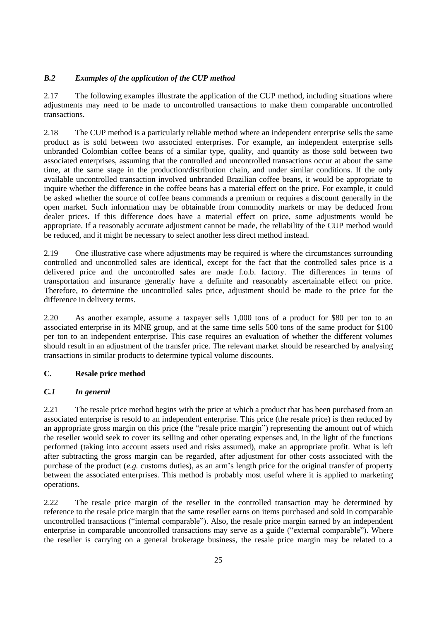## *B.2 Examples of the application of the CUP method*

2.17 The following examples illustrate the application of the CUP method, including situations where adjustments may need to be made to uncontrolled transactions to make them comparable uncontrolled transactions.

2.18 The CUP method is a particularly reliable method where an independent enterprise sells the same product as is sold between two associated enterprises. For example, an independent enterprise sells unbranded Colombian coffee beans of a similar type, quality, and quantity as those sold between two associated enterprises, assuming that the controlled and uncontrolled transactions occur at about the same time, at the same stage in the production/distribution chain, and under similar conditions. If the only available uncontrolled transaction involved unbranded Brazilian coffee beans, it would be appropriate to inquire whether the difference in the coffee beans has a material effect on the price. For example, it could be asked whether the source of coffee beans commands a premium or requires a discount generally in the open market. Such information may be obtainable from commodity markets or may be deduced from dealer prices. If this difference does have a material effect on price, some adjustments would be appropriate. If a reasonably accurate adjustment cannot be made, the reliability of the CUP method would be reduced, and it might be necessary to select another less direct method instead.

2.19 One illustrative case where adjustments may be required is where the circumstances surrounding controlled and uncontrolled sales are identical, except for the fact that the controlled sales price is a delivered price and the uncontrolled sales are made f.o.b. factory. The differences in terms of transportation and insurance generally have a definite and reasonably ascertainable effect on price. Therefore, to determine the uncontrolled sales price, adjustment should be made to the price for the difference in delivery terms.

2.20 As another example, assume a taxpayer sells 1,000 tons of a product for \$80 per ton to an associated enterprise in its MNE group, and at the same time sells 500 tons of the same product for \$100 per ton to an independent enterprise. This case requires an evaluation of whether the different volumes should result in an adjustment of the transfer price. The relevant market should be researched by analysing transactions in similar products to determine typical volume discounts.

## **C. Resale price method**

## *C.1 In general*

2.21 The resale price method begins with the price at which a product that has been purchased from an associated enterprise is resold to an independent enterprise. This price (the resale price) is then reduced by an appropriate gross margin on this price (the "resale price margin") representing the amount out of which the reseller would seek to cover its selling and other operating expenses and, in the light of the functions performed (taking into account assets used and risks assumed), make an appropriate profit. What is left after subtracting the gross margin can be regarded, after adjustment for other costs associated with the purchase of the product (*e.g.* customs duties), as an arm's length price for the original transfer of property between the associated enterprises. This method is probably most useful where it is applied to marketing operations.

2.22 The resale price margin of the reseller in the controlled transaction may be determined by reference to the resale price margin that the same reseller earns on items purchased and sold in comparable uncontrolled transactions ("internal comparable"). Also, the resale price margin earned by an independent enterprise in comparable uncontrolled transactions may serve as a guide ("external comparable"). Where the reseller is carrying on a general brokerage business, the resale price margin may be related to a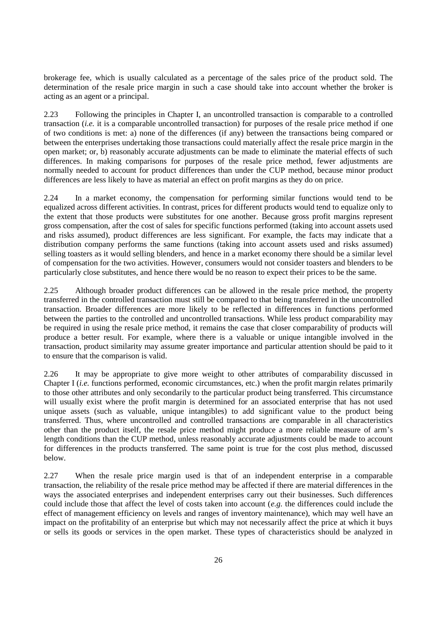brokerage fee, which is usually calculated as a percentage of the sales price of the product sold. The determination of the resale price margin in such a case should take into account whether the broker is acting as an agent or a principal.

2.23 Following the principles in Chapter I, an uncontrolled transaction is comparable to a controlled transaction (*i.e.* it is a comparable uncontrolled transaction) for purposes of the resale price method if one of two conditions is met: a) none of the differences (if any) between the transactions being compared or between the enterprises undertaking those transactions could materially affect the resale price margin in the open market; or, b) reasonably accurate adjustments can be made to eliminate the material effects of such differences. In making comparisons for purposes of the resale price method, fewer adjustments are normally needed to account for product differences than under the CUP method, because minor product differences are less likely to have as material an effect on profit margins as they do on price.

2.24 In a market economy, the compensation for performing similar functions would tend to be equalized across different activities. In contrast, prices for different products would tend to equalize only to the extent that those products were substitutes for one another. Because gross profit margins represent gross compensation, after the cost of sales for specific functions performed (taking into account assets used and risks assumed), product differences are less significant. For example, the facts may indicate that a distribution company performs the same functions (taking into account assets used and risks assumed) selling toasters as it would selling blenders, and hence in a market economy there should be a similar level of compensation for the two activities. However, consumers would not consider toasters and blenders to be particularly close substitutes, and hence there would be no reason to expect their prices to be the same.

2.25 Although broader product differences can be allowed in the resale price method, the property transferred in the controlled transaction must still be compared to that being transferred in the uncontrolled transaction. Broader differences are more likely to be reflected in differences in functions performed between the parties to the controlled and uncontrolled transactions. While less product comparability may be required in using the resale price method, it remains the case that closer comparability of products will produce a better result. For example, where there is a valuable or unique intangible involved in the transaction, product similarity may assume greater importance and particular attention should be paid to it to ensure that the comparison is valid.

2.26 It may be appropriate to give more weight to other attributes of comparability discussed in Chapter I (*i.e.* functions performed, economic circumstances, etc.) when the profit margin relates primarily to those other attributes and only secondarily to the particular product being transferred. This circumstance will usually exist where the profit margin is determined for an associated enterprise that has not used unique assets (such as valuable, unique intangibles) to add significant value to the product being transferred. Thus, where uncontrolled and controlled transactions are comparable in all characteristics other than the product itself, the resale price method might produce a more reliable measure of arm's length conditions than the CUP method, unless reasonably accurate adjustments could be made to account for differences in the products transferred. The same point is true for the cost plus method, discussed below.

2.27 When the resale price margin used is that of an independent enterprise in a comparable transaction, the reliability of the resale price method may be affected if there are material differences in the ways the associated enterprises and independent enterprises carry out their businesses. Such differences could include those that affect the level of costs taken into account (*e.g.* the differences could include the effect of management efficiency on levels and ranges of inventory maintenance), which may well have an impact on the profitability of an enterprise but which may not necessarily affect the price at which it buys or sells its goods or services in the open market. These types of characteristics should be analyzed in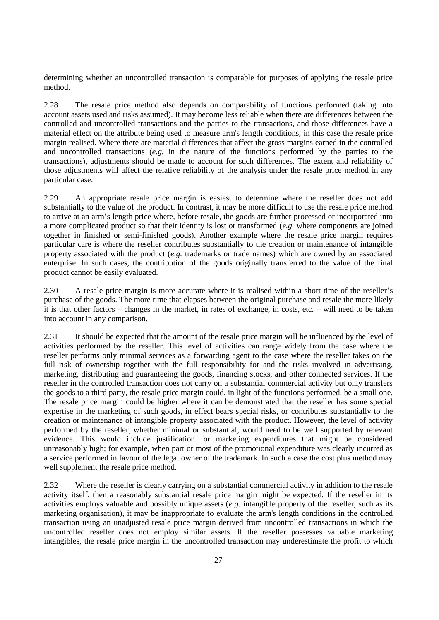determining whether an uncontrolled transaction is comparable for purposes of applying the resale price method.

2.28 The resale price method also depends on comparability of functions performed (taking into account assets used and risks assumed). It may become less reliable when there are differences between the controlled and uncontrolled transactions and the parties to the transactions, and those differences have a material effect on the attribute being used to measure arm's length conditions, in this case the resale price margin realised. Where there are material differences that affect the gross margins earned in the controlled and uncontrolled transactions (*e.g.* in the nature of the functions performed by the parties to the transactions), adjustments should be made to account for such differences. The extent and reliability of those adjustments will affect the relative reliability of the analysis under the resale price method in any particular case.

2.29 An appropriate resale price margin is easiest to determine where the reseller does not add substantially to the value of the product. In contrast, it may be more difficult to use the resale price method to arrive at an arm's length price where, before resale, the goods are further processed or incorporated into a more complicated product so that their identity is lost or transformed (*e.g.* where components are joined together in finished or semi-finished goods). Another example where the resale price margin requires particular care is where the reseller contributes substantially to the creation or maintenance of intangible property associated with the product (*e.g.* trademarks or trade names) which are owned by an associated enterprise. In such cases, the contribution of the goods originally transferred to the value of the final product cannot be easily evaluated.

2.30 A resale price margin is more accurate where it is realised within a short time of the reseller's purchase of the goods. The more time that elapses between the original purchase and resale the more likely it is that other factors – changes in the market, in rates of exchange, in costs, etc. – will need to be taken into account in any comparison.

2.31 It should be expected that the amount of the resale price margin will be influenced by the level of activities performed by the reseller. This level of activities can range widely from the case where the reseller performs only minimal services as a forwarding agent to the case where the reseller takes on the full risk of ownership together with the full responsibility for and the risks involved in advertising, marketing, distributing and guaranteeing the goods, financing stocks, and other connected services. If the reseller in the controlled transaction does not carry on a substantial commercial activity but only transfers the goods to a third party, the resale price margin could, in light of the functions performed, be a small one. The resale price margin could be higher where it can be demonstrated that the reseller has some special expertise in the marketing of such goods, in effect bears special risks, or contributes substantially to the creation or maintenance of intangible property associated with the product. However, the level of activity performed by the reseller, whether minimal or substantial, would need to be well supported by relevant evidence. This would include justification for marketing expenditures that might be considered unreasonably high; for example, when part or most of the promotional expenditure was clearly incurred as a service performed in favour of the legal owner of the trademark. In such a case the cost plus method may well supplement the resale price method.

2.32 Where the reseller is clearly carrying on a substantial commercial activity in addition to the resale activity itself, then a reasonably substantial resale price margin might be expected. If the reseller in its activities employs valuable and possibly unique assets (*e.g.* intangible property of the reseller, such as its marketing organisation), it may be inappropriate to evaluate the arm's length conditions in the controlled transaction using an unadjusted resale price margin derived from uncontrolled transactions in which the uncontrolled reseller does not employ similar assets. If the reseller possesses valuable marketing intangibles, the resale price margin in the uncontrolled transaction may underestimate the profit to which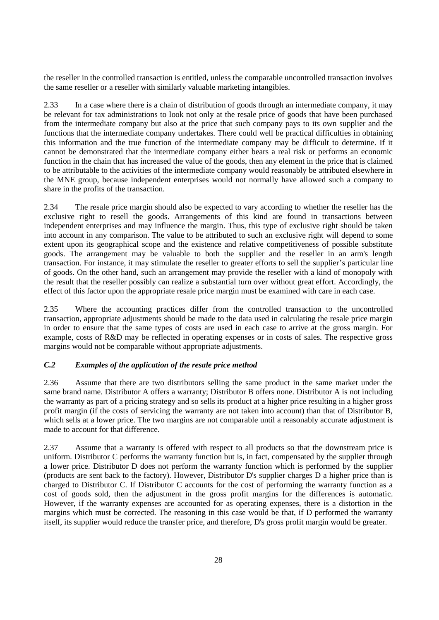the reseller in the controlled transaction is entitled, unless the comparable uncontrolled transaction involves the same reseller or a reseller with similarly valuable marketing intangibles.

2.33 In a case where there is a chain of distribution of goods through an intermediate company, it may be relevant for tax administrations to look not only at the resale price of goods that have been purchased from the intermediate company but also at the price that such company pays to its own supplier and the functions that the intermediate company undertakes. There could well be practical difficulties in obtaining this information and the true function of the intermediate company may be difficult to determine. If it cannot be demonstrated that the intermediate company either bears a real risk or performs an economic function in the chain that has increased the value of the goods, then any element in the price that is claimed to be attributable to the activities of the intermediate company would reasonably be attributed elsewhere in the MNE group, because independent enterprises would not normally have allowed such a company to share in the profits of the transaction.

2.34 The resale price margin should also be expected to vary according to whether the reseller has the exclusive right to resell the goods. Arrangements of this kind are found in transactions between independent enterprises and may influence the margin. Thus, this type of exclusive right should be taken into account in any comparison. The value to be attributed to such an exclusive right will depend to some extent upon its geographical scope and the existence and relative competitiveness of possible substitute goods. The arrangement may be valuable to both the supplier and the reseller in an arm's length transaction. For instance, it may stimulate the reseller to greater efforts to sell the supplier's particular line of goods. On the other hand, such an arrangement may provide the reseller with a kind of monopoly with the result that the reseller possibly can realize a substantial turn over without great effort. Accordingly, the effect of this factor upon the appropriate resale price margin must be examined with care in each case.

2.35 Where the accounting practices differ from the controlled transaction to the uncontrolled transaction, appropriate adjustments should be made to the data used in calculating the resale price margin in order to ensure that the same types of costs are used in each case to arrive at the gross margin. For example, costs of R&D may be reflected in operating expenses or in costs of sales. The respective gross margins would not be comparable without appropriate adjustments.

## *C.2 Examples of the application of the resale price method*

2.36 Assume that there are two distributors selling the same product in the same market under the same brand name. Distributor A offers a warranty; Distributor B offers none. Distributor A is not including the warranty as part of a pricing strategy and so sells its product at a higher price resulting in a higher gross profit margin (if the costs of servicing the warranty are not taken into account) than that of Distributor B, which sells at a lower price. The two margins are not comparable until a reasonably accurate adjustment is made to account for that difference.

2.37 Assume that a warranty is offered with respect to all products so that the downstream price is uniform. Distributor C performs the warranty function but is, in fact, compensated by the supplier through a lower price. Distributor D does not perform the warranty function which is performed by the supplier (products are sent back to the factory). However, Distributor D's supplier charges D a higher price than is charged to Distributor C. If Distributor C accounts for the cost of performing the warranty function as a cost of goods sold, then the adjustment in the gross profit margins for the differences is automatic. However, if the warranty expenses are accounted for as operating expenses, there is a distortion in the margins which must be corrected. The reasoning in this case would be that, if D performed the warranty itself, its supplier would reduce the transfer price, and therefore, D's gross profit margin would be greater.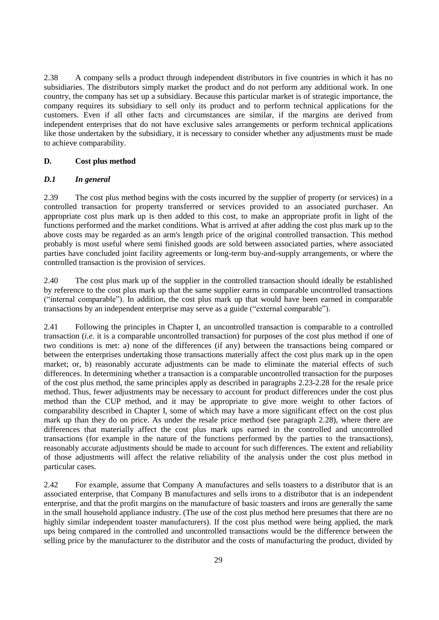2.38 A company sells a product through independent distributors in five countries in which it has no subsidiaries. The distributors simply market the product and do not perform any additional work. In one country, the company has set up a subsidiary. Because this particular market is of strategic importance, the company requires its subsidiary to sell only its product and to perform technical applications for the customers. Even if all other facts and circumstances are similar, if the margins are derived from independent enterprises that do not have exclusive sales arrangements or perform technical applications like those undertaken by the subsidiary, it is necessary to consider whether any adjustments must be made to achieve comparability.

#### **D. Cost plus method**

#### *D.1 In general*

2.39 The cost plus method begins with the costs incurred by the supplier of property (or services) in a controlled transaction for property transferred or services provided to an associated purchaser. An appropriate cost plus mark up is then added to this cost, to make an appropriate profit in light of the functions performed and the market conditions. What is arrived at after adding the cost plus mark up to the above costs may be regarded as an arm's length price of the original controlled transaction. This method probably is most useful where semi finished goods are sold between associated parties, where associated parties have concluded joint facility agreements or long-term buy-and-supply arrangements, or where the controlled transaction is the provision of services.

2.40 The cost plus mark up of the supplier in the controlled transaction should ideally be established by reference to the cost plus mark up that the same supplier earns in comparable uncontrolled transactions ("internal comparable"). In addition, the cost plus mark up that would have been earned in comparable transactions by an independent enterprise may serve as a guide ("external comparable").

2.41 Following the principles in Chapter I, an uncontrolled transaction is comparable to a controlled transaction (*i.e.* it is a comparable uncontrolled transaction) for purposes of the cost plus method if one of two conditions is met: a) none of the differences (if any) between the transactions being compared or between the enterprises undertaking those transactions materially affect the cost plus mark up in the open market; or, b) reasonably accurate adjustments can be made to eliminate the material effects of such differences. In determining whether a transaction is a comparable uncontrolled transaction for the purposes of the cost plus method, the same principles apply as described in paragraphs 2.23-2.28 for the resale price method. Thus, fewer adjustments may be necessary to account for product differences under the cost plus method than the CUP method, and it may be appropriate to give more weight to other factors of comparability described in Chapter I, some of which may have a more significant effect on the cost plus mark up than they do on price. As under the resale price method (see paragraph 2.28), where there are differences that materially affect the cost plus mark ups earned in the controlled and uncontrolled transactions (for example in the nature of the functions performed by the parties to the transactions), reasonably accurate adjustments should be made to account for such differences. The extent and reliability of those adjustments will affect the relative reliability of the analysis under the cost plus method in particular cases.

2.42 For example, assume that Company A manufactures and sells toasters to a distributor that is an associated enterprise, that Company B manufactures and sells irons to a distributor that is an independent enterprise, and that the profit margins on the manufacture of basic toasters and irons are generally the same in the small household appliance industry. (The use of the cost plus method here presumes that there are no highly similar independent toaster manufacturers). If the cost plus method were being applied, the mark ups being compared in the controlled and uncontrolled transactions would be the difference between the selling price by the manufacturer to the distributor and the costs of manufacturing the product, divided by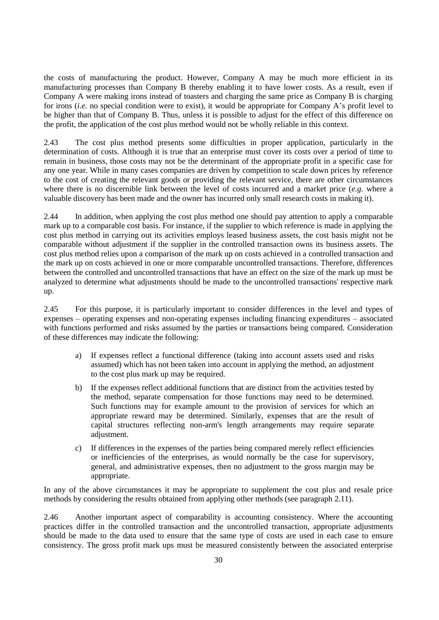the costs of manufacturing the product. However, Company A may be much more efficient in its manufacturing processes than Company B thereby enabling it to have lower costs. As a result, even if Company A were making irons instead of toasters and charging the same price as Company B is charging for irons (*i.e.* no special condition were to exist), it would be appropriate for Company A's profit level to be higher than that of Company B. Thus, unless it is possible to adjust for the effect of this difference on the profit, the application of the cost plus method would not be wholly reliable in this context.

2.43 The cost plus method presents some difficulties in proper application, particularly in the determination of costs. Although it is true that an enterprise must cover its costs over a period of time to remain in business, those costs may not be the determinant of the appropriate profit in a specific case for any one year. While in many cases companies are driven by competition to scale down prices by reference to the cost of creating the relevant goods or providing the relevant service, there are other circumstances where there is no discernible link between the level of costs incurred and a market price (*e.g.* where a valuable discovery has been made and the owner has incurred only small research costs in making it).

2.44 In addition, when applying the cost plus method one should pay attention to apply a comparable mark up to a comparable cost basis. For instance, if the supplier to which reference is made in applying the cost plus method in carrying out its activities employs leased business assets, the cost basis might not be comparable without adjustment if the supplier in the controlled transaction owns its business assets. The cost plus method relies upon a comparison of the mark up on costs achieved in a controlled transaction and the mark up on costs achieved in one or more comparable uncontrolled transactions. Therefore, differences between the controlled and uncontrolled transactions that have an effect on the size of the mark up must be analyzed to determine what adjustments should be made to the uncontrolled transactions' respective mark up.

2.45 For this purpose, it is particularly important to consider differences in the level and types of expenses – operating expenses and non-operating expenses including financing expenditures – associated with functions performed and risks assumed by the parties or transactions being compared. Consideration of these differences may indicate the following:

- a) If expenses reflect a functional difference (taking into account assets used and risks assumed) which has not been taken into account in applying the method, an adjustment to the cost plus mark up may be required.
- b) If the expenses reflect additional functions that are distinct from the activities tested by the method, separate compensation for those functions may need to be determined. Such functions may for example amount to the provision of services for which an appropriate reward may be determined. Similarly, expenses that are the result of capital structures reflecting non-arm's length arrangements may require separate adjustment.
- c) If differences in the expenses of the parties being compared merely reflect efficiencies or inefficiencies of the enterprises, as would normally be the case for supervisory, general, and administrative expenses, then no adjustment to the gross margin may be appropriate.

In any of the above circumstances it may be appropriate to supplement the cost plus and resale price methods by considering the results obtained from applying other methods (see paragraph 2.11).

2.46 Another important aspect of comparability is accounting consistency. Where the accounting practices differ in the controlled transaction and the uncontrolled transaction, appropriate adjustments should be made to the data used to ensure that the same type of costs are used in each case to ensure consistency. The gross profit mark ups must be measured consistently between the associated enterprise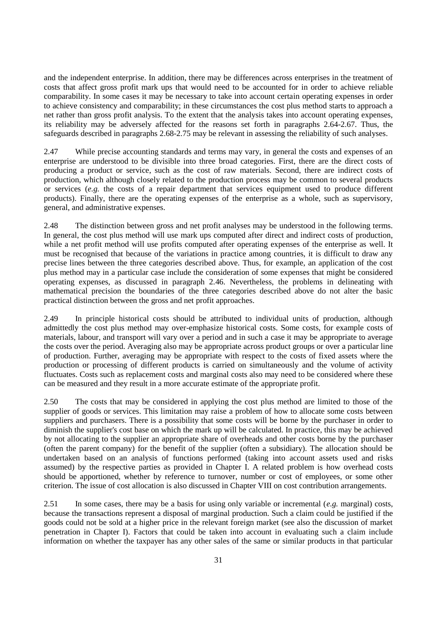and the independent enterprise. In addition, there may be differences across enterprises in the treatment of costs that affect gross profit mark ups that would need to be accounted for in order to achieve reliable comparability. In some cases it may be necessary to take into account certain operating expenses in order to achieve consistency and comparability; in these circumstances the cost plus method starts to approach a net rather than gross profit analysis. To the extent that the analysis takes into account operating expenses, its reliability may be adversely affected for the reasons set forth in paragraphs 2.64-2.67. Thus, the safeguards described in paragraphs 2.68-2.75 may be relevant in assessing the reliability of such analyses.

2.47 While precise accounting standards and terms may vary, in general the costs and expenses of an enterprise are understood to be divisible into three broad categories. First, there are the direct costs of producing a product or service, such as the cost of raw materials. Second, there are indirect costs of production, which although closely related to the production process may be common to several products or services (*e.g.* the costs of a repair department that services equipment used to produce different products). Finally, there are the operating expenses of the enterprise as a whole, such as supervisory, general, and administrative expenses.

2.48 The distinction between gross and net profit analyses may be understood in the following terms. In general, the cost plus method will use mark ups computed after direct and indirect costs of production, while a net profit method will use profits computed after operating expenses of the enterprise as well. It must be recognised that because of the variations in practice among countries, it is difficult to draw any precise lines between the three categories described above. Thus, for example, an application of the cost plus method may in a particular case include the consideration of some expenses that might be considered operating expenses, as discussed in paragraph 2.46. Nevertheless, the problems in delineating with mathematical precision the boundaries of the three categories described above do not alter the basic practical distinction between the gross and net profit approaches.

2.49 In principle historical costs should be attributed to individual units of production, although admittedly the cost plus method may over-emphasize historical costs. Some costs, for example costs of materials, labour, and transport will vary over a period and in such a case it may be appropriate to average the costs over the period. Averaging also may be appropriate across product groups or over a particular line of production. Further, averaging may be appropriate with respect to the costs of fixed assets where the production or processing of different products is carried on simultaneously and the volume of activity fluctuates. Costs such as replacement costs and marginal costs also may need to be considered where these can be measured and they result in a more accurate estimate of the appropriate profit.

2.50 The costs that may be considered in applying the cost plus method are limited to those of the supplier of goods or services. This limitation may raise a problem of how to allocate some costs between suppliers and purchasers. There is a possibility that some costs will be borne by the purchaser in order to diminish the supplier's cost base on which the mark up will be calculated. In practice, this may be achieved by not allocating to the supplier an appropriate share of overheads and other costs borne by the purchaser (often the parent company) for the benefit of the supplier (often a subsidiary). The allocation should be undertaken based on an analysis of functions performed (taking into account assets used and risks assumed) by the respective parties as provided in Chapter I. A related problem is how overhead costs should be apportioned, whether by reference to turnover, number or cost of employees, or some other criterion. The issue of cost allocation is also discussed in Chapter VIII on cost contribution arrangements.

2.51 In some cases, there may be a basis for using only variable or incremental (*e.g.* marginal) costs, because the transactions represent a disposal of marginal production. Such a claim could be justified if the goods could not be sold at a higher price in the relevant foreign market (see also the discussion of market penetration in Chapter I). Factors that could be taken into account in evaluating such a claim include information on whether the taxpayer has any other sales of the same or similar products in that particular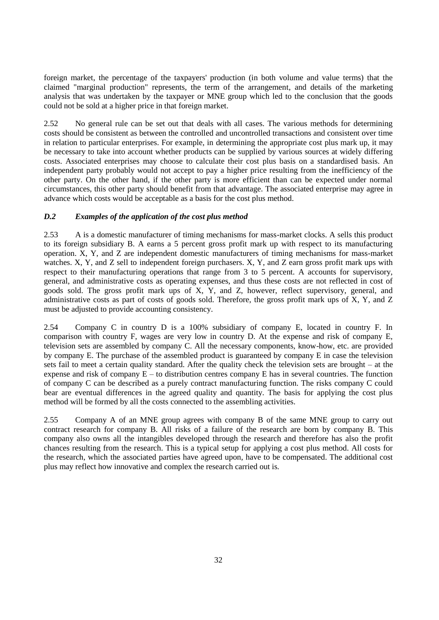foreign market, the percentage of the taxpayers' production (in both volume and value terms) that the claimed "marginal production" represents, the term of the arrangement, and details of the marketing analysis that was undertaken by the taxpayer or MNE group which led to the conclusion that the goods could not be sold at a higher price in that foreign market.

2.52 No general rule can be set out that deals with all cases. The various methods for determining costs should be consistent as between the controlled and uncontrolled transactions and consistent over time in relation to particular enterprises. For example, in determining the appropriate cost plus mark up, it may be necessary to take into account whether products can be supplied by various sources at widely differing costs. Associated enterprises may choose to calculate their cost plus basis on a standardised basis. An independent party probably would not accept to pay a higher price resulting from the inefficiency of the other party. On the other hand, if the other party is more efficient than can be expected under normal circumstances, this other party should benefit from that advantage. The associated enterprise may agree in advance which costs would be acceptable as a basis for the cost plus method.

## *D.2 Examples of the application of the cost plus method*

2.53 A is a domestic manufacturer of timing mechanisms for mass-market clocks. A sells this product to its foreign subsidiary B. A earns a 5 percent gross profit mark up with respect to its manufacturing operation. X, Y, and Z are independent domestic manufacturers of timing mechanisms for mass-market watches. X, Y, and Z sell to independent foreign purchasers. X, Y, and Z earn gross profit mark ups with respect to their manufacturing operations that range from 3 to 5 percent. A accounts for supervisory, general, and administrative costs as operating expenses, and thus these costs are not reflected in cost of goods sold. The gross profit mark ups of X, Y, and Z, however, reflect supervisory, general, and administrative costs as part of costs of goods sold. Therefore, the gross profit mark ups of X, Y, and Z must be adjusted to provide accounting consistency.

2.54 Company C in country D is a 100% subsidiary of company E, located in country F. In comparison with country F, wages are very low in country D. At the expense and risk of company E, television sets are assembled by company C. All the necessary components, know-how, etc. are provided by company E. The purchase of the assembled product is guaranteed by company E in case the television sets fail to meet a certain quality standard. After the quality check the television sets are brought – at the expense and risk of company  $E -$  to distribution centres company  $E$  has in several countries. The function of company C can be described as a purely contract manufacturing function. The risks company C could bear are eventual differences in the agreed quality and quantity. The basis for applying the cost plus method will be formed by all the costs connected to the assembling activities.

2.55 Company A of an MNE group agrees with company B of the same MNE group to carry out contract research for company B. All risks of a failure of the research are born by company B. This company also owns all the intangibles developed through the research and therefore has also the profit chances resulting from the research. This is a typical setup for applying a cost plus method. All costs for the research, which the associated parties have agreed upon, have to be compensated. The additional cost plus may reflect how innovative and complex the research carried out is.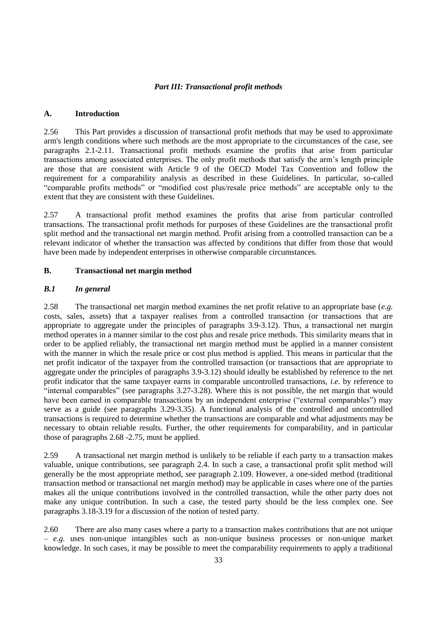#### *Part III: Transactional profit methods*

#### **A. Introduction**

2.56 This Part provides a discussion of transactional profit methods that may be used to approximate arm's length conditions where such methods are the most appropriate to the circumstances of the case, see paragraphs 2.1-2.11. Transactional profit methods examine the profits that arise from particular transactions among associated enterprises. The only profit methods that satisfy the arm's length principle are those that are consistent with Article 9 of the OECD Model Tax Convention and follow the requirement for a comparability analysis as described in these Guidelines. In particular, so-called "comparable profits methods" or "modified cost plus/resale price methods" are acceptable only to the extent that they are consistent with these Guidelines.

2.57 A transactional profit method examines the profits that arise from particular controlled transactions. The transactional profit methods for purposes of these Guidelines are the transactional profit split method and the transactional net margin method. Profit arising from a controlled transaction can be a relevant indicator of whether the transaction was affected by conditions that differ from those that would have been made by independent enterprises in otherwise comparable circumstances.

## **B. Transactional net margin method**

## *B.1 In general*

2.58 The transactional net margin method examines the net profit relative to an appropriate base (*e.g.* costs, sales, assets) that a taxpayer realises from a controlled transaction (or transactions that are appropriate to aggregate under the principles of paragraphs 3.9-3.12). Thus, a transactional net margin method operates in a manner similar to the cost plus and resale price methods. This similarity means that in order to be applied reliably, the transactional net margin method must be applied in a manner consistent with the manner in which the resale price or cost plus method is applied. This means in particular that the net profit indicator of the taxpayer from the controlled transaction (or transactions that are appropriate to aggregate under the principles of paragraphs 3.9-3.12) should ideally be established by reference to the net profit indicator that the same taxpayer earns in comparable uncontrolled transactions, *i.e.* by reference to "internal comparables" (see paragraphs 3.27-3.28). Where this is not possible, the net margin that would have been earned in comparable transactions by an independent enterprise ("external comparables") may serve as a guide (see paragraphs 3.29-3.35). A functional analysis of the controlled and uncontrolled transactions is required to determine whether the transactions are comparable and what adjustments may be necessary to obtain reliable results. Further, the other requirements for comparability, and in particular those of paragraphs 2.68 -2.75, must be applied.

2.59 A transactional net margin method is unlikely to be reliable if each party to a transaction makes valuable, unique contributions, see paragraph 2.4. In such a case, a transactional profit split method will generally be the most appropriate method, see paragraph 2.109. However, a one-sided method (traditional transaction method or transactional net margin method) may be applicable in cases where one of the parties makes all the unique contributions involved in the controlled transaction, while the other party does not make any unique contribution. In such a case, the tested party should be the less complex one. See paragraphs 3.18-3.19 for a discussion of the notion of tested party.

2.60 There are also many cases where a party to a transaction makes contributions that are not unique – *e.g.* uses non-unique intangibles such as non-unique business processes or non-unique market knowledge. In such cases, it may be possible to meet the comparability requirements to apply a traditional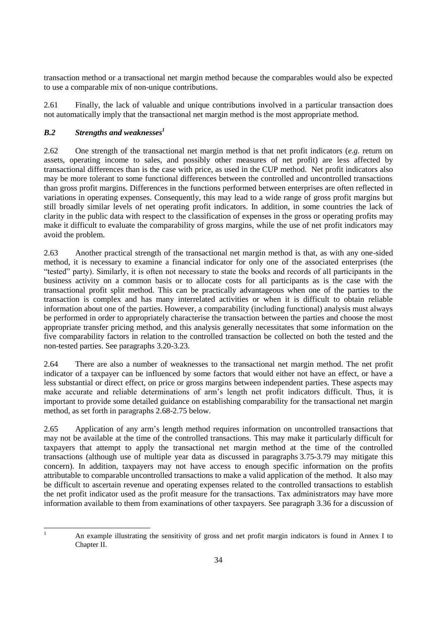transaction method or a transactional net margin method because the comparables would also be expected to use a comparable mix of non-unique contributions.

2.61 Finally, the lack of valuable and unique contributions involved in a particular transaction does not automatically imply that the transactional net margin method is the most appropriate method.

## *B.2 Strengths and weaknesses<sup>1</sup>*

2.62 One strength of the transactional net margin method is that net profit indicators (*e.g.* return on assets, operating income to sales, and possibly other measures of net profit) are less affected by transactional differences than is the case with price, as used in the CUP method. Net profit indicators also may be more tolerant to some functional differences between the controlled and uncontrolled transactions than gross profit margins. Differences in the functions performed between enterprises are often reflected in variations in operating expenses. Consequently, this may lead to a wide range of gross profit margins but still broadly similar levels of net operating profit indicators. In addition, in some countries the lack of clarity in the public data with respect to the classification of expenses in the gross or operating profits may make it difficult to evaluate the comparability of gross margins, while the use of net profit indicators may avoid the problem.

2.63 Another practical strength of the transactional net margin method is that, as with any one-sided method, it is necessary to examine a financial indicator for only one of the associated enterprises (the "tested" party). Similarly, it is often not necessary to state the books and records of all participants in the business activity on a common basis or to allocate costs for all participants as is the case with the transactional profit split method. This can be practically advantageous when one of the parties to the transaction is complex and has many interrelated activities or when it is difficult to obtain reliable information about one of the parties. However, a comparability (including functional) analysis must always be performed in order to appropriately characterise the transaction between the parties and choose the most appropriate transfer pricing method, and this analysis generally necessitates that some information on the five comparability factors in relation to the controlled transaction be collected on both the tested and the non-tested parties. See paragraphs 3.20-3.23.

2.64 There are also a number of weaknesses to the transactional net margin method. The net profit indicator of a taxpayer can be influenced by some factors that would either not have an effect, or have a less substantial or direct effect, on price or gross margins between independent parties. These aspects may make accurate and reliable determinations of arm's length net profit indicators difficult. Thus, it is important to provide some detailed guidance on establishing comparability for the transactional net margin method, as set forth in paragraphs 2.68-2.75 below.

2.65 Application of any arm's length method requires information on uncontrolled transactions that may not be available at the time of the controlled transactions. This may make it particularly difficult for taxpayers that attempt to apply the transactional net margin method at the time of the controlled transactions (although use of multiple year data as discussed in paragraphs 3.75-3.79 may mitigate this concern). In addition, taxpayers may not have access to enough specific information on the profits attributable to comparable uncontrolled transactions to make a valid application of the method. It also may be difficult to ascertain revenue and operating expenses related to the controlled transactions to establish the net profit indicator used as the profit measure for the transactions. Tax administrators may have more information available to them from examinations of other taxpayers. See paragraph 3.36 for a discussion of

 $\bar{1}$ 

<sup>1</sup> An example illustrating the sensitivity of gross and net profit margin indicators is found in Annex I to Chapter II.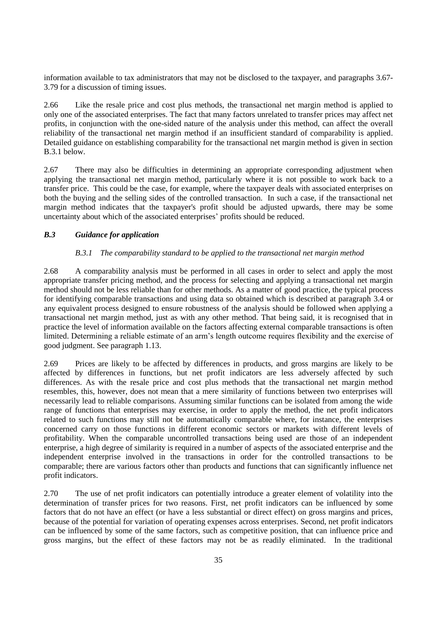information available to tax administrators that may not be disclosed to the taxpayer, and paragraphs 3.67- 3.79 for a discussion of timing issues.

2.66 Like the resale price and cost plus methods, the transactional net margin method is applied to only one of the associated enterprises. The fact that many factors unrelated to transfer prices may affect net profits, in conjunction with the one-sided nature of the analysis under this method, can affect the overall reliability of the transactional net margin method if an insufficient standard of comparability is applied. Detailed guidance on establishing comparability for the transactional net margin method is given in section B.3.1 below.

2.67 There may also be difficulties in determining an appropriate corresponding adjustment when applying the transactional net margin method, particularly where it is not possible to work back to a transfer price. This could be the case, for example, where the taxpayer deals with associated enterprises on both the buying and the selling sides of the controlled transaction. In such a case, if the transactional net margin method indicates that the taxpayer's profit should be adjusted upwards, there may be some uncertainty about which of the associated enterprises' profits should be reduced.

#### *B.3 Guidance for application*

#### *B.3.1 The comparability standard to be applied to the transactional net margin method*

2.68 A comparability analysis must be performed in all cases in order to select and apply the most appropriate transfer pricing method, and the process for selecting and applying a transactional net margin method should not be less reliable than for other methods. As a matter of good practice, the typical process for identifying comparable transactions and using data so obtained which is described at paragraph 3.4 or any equivalent process designed to ensure robustness of the analysis should be followed when applying a transactional net margin method, just as with any other method. That being said, it is recognised that in practice the level of information available on the factors affecting external comparable transactions is often limited. Determining a reliable estimate of an arm's length outcome requires flexibility and the exercise of good judgment. See paragraph 1.13.

2.69 Prices are likely to be affected by differences in products, and gross margins are likely to be affected by differences in functions, but net profit indicators are less adversely affected by such differences. As with the resale price and cost plus methods that the transactional net margin method resembles, this, however, does not mean that a mere similarity of functions between two enterprises will necessarily lead to reliable comparisons. Assuming similar functions can be isolated from among the wide range of functions that enterprises may exercise, in order to apply the method, the net profit indicators related to such functions may still not be automatically comparable where, for instance, the enterprises concerned carry on those functions in different economic sectors or markets with different levels of profitability. When the comparable uncontrolled transactions being used are those of an independent enterprise, a high degree of similarity is required in a number of aspects of the associated enterprise and the independent enterprise involved in the transactions in order for the controlled transactions to be comparable; there are various factors other than products and functions that can significantly influence net profit indicators.

2.70 The use of net profit indicators can potentially introduce a greater element of volatility into the determination of transfer prices for two reasons. First, net profit indicators can be influenced by some factors that do not have an effect (or have a less substantial or direct effect) on gross margins and prices, because of the potential for variation of operating expenses across enterprises. Second, net profit indicators can be influenced by some of the same factors, such as competitive position, that can influence price and gross margins, but the effect of these factors may not be as readily eliminated. In the traditional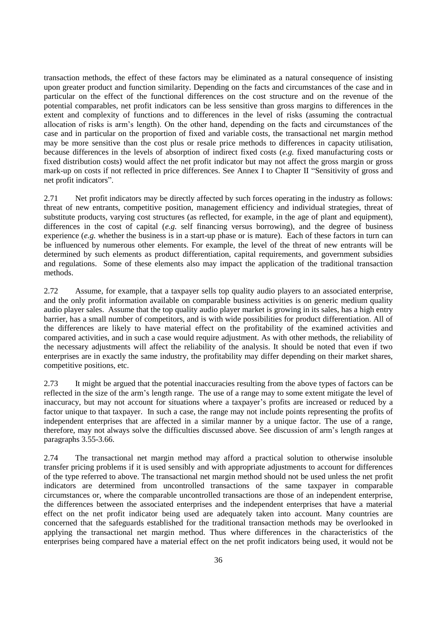transaction methods, the effect of these factors may be eliminated as a natural consequence of insisting upon greater product and function similarity. Depending on the facts and circumstances of the case and in particular on the effect of the functional differences on the cost structure and on the revenue of the potential comparables, net profit indicators can be less sensitive than gross margins to differences in the extent and complexity of functions and to differences in the level of risks (assuming the contractual allocation of risks is arm's length). On the other hand, depending on the facts and circumstances of the case and in particular on the proportion of fixed and variable costs, the transactional net margin method may be more sensitive than the cost plus or resale price methods to differences in capacity utilisation, because differences in the levels of absorption of indirect fixed costs (*e.g.* fixed manufacturing costs or fixed distribution costs) would affect the net profit indicator but may not affect the gross margin or gross mark-up on costs if not reflected in price differences. See Annex I to Chapter II "Sensitivity of gross and net profit indicators".

2.71 Net profit indicators may be directly affected by such forces operating in the industry as follows: threat of new entrants, competitive position, management efficiency and individual strategies, threat of substitute products, varying cost structures (as reflected, for example, in the age of plant and equipment), differences in the cost of capital (*e.g.* self financing versus borrowing), and the degree of business experience (*e.g.* whether the business is in a start-up phase or is mature). Each of these factors in turn can be influenced by numerous other elements. For example, the level of the threat of new entrants will be determined by such elements as product differentiation, capital requirements, and government subsidies and regulations. Some of these elements also may impact the application of the traditional transaction methods.

2.72 Assume, for example, that a taxpayer sells top quality audio players to an associated enterprise, and the only profit information available on comparable business activities is on generic medium quality audio player sales. Assume that the top quality audio player market is growing in its sales, has a high entry barrier, has a small number of competitors, and is with wide possibilities for product differentiation. All of the differences are likely to have material effect on the profitability of the examined activities and compared activities, and in such a case would require adjustment. As with other methods, the reliability of the necessary adjustments will affect the reliability of the analysis. It should be noted that even if two enterprises are in exactly the same industry, the profitability may differ depending on their market shares, competitive positions, etc.

2.73 It might be argued that the potential inaccuracies resulting from the above types of factors can be reflected in the size of the arm's length range. The use of a range may to some extent mitigate the level of inaccuracy, but may not account for situations where a taxpayer's profits are increased or reduced by a factor unique to that taxpayer. In such a case, the range may not include points representing the profits of independent enterprises that are affected in a similar manner by a unique factor. The use of a range, therefore, may not always solve the difficulties discussed above. See discussion of arm's length ranges at paragraphs 3.55-3.66.

2.74 The transactional net margin method may afford a practical solution to otherwise insoluble transfer pricing problems if it is used sensibly and with appropriate adjustments to account for differences of the type referred to above. The transactional net margin method should not be used unless the net profit indicators are determined from uncontrolled transactions of the same taxpayer in comparable circumstances or, where the comparable uncontrolled transactions are those of an independent enterprise, the differences between the associated enterprises and the independent enterprises that have a material effect on the net profit indicator being used are adequately taken into account. Many countries are concerned that the safeguards established for the traditional transaction methods may be overlooked in applying the transactional net margin method. Thus where differences in the characteristics of the enterprises being compared have a material effect on the net profit indicators being used, it would not be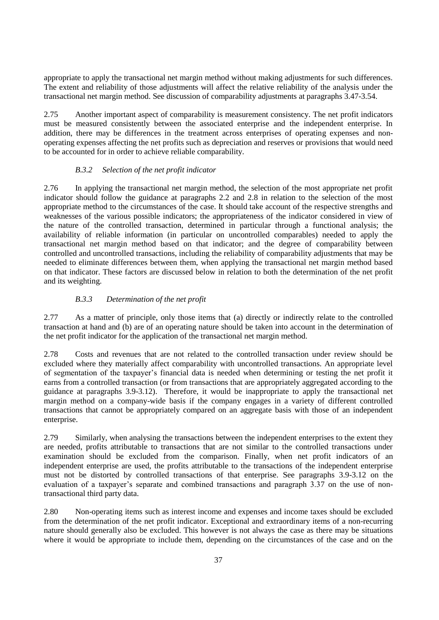appropriate to apply the transactional net margin method without making adjustments for such differences. The extent and reliability of those adjustments will affect the relative reliability of the analysis under the transactional net margin method. See discussion of comparability adjustments at paragraphs 3.47-3.54.

2.75 Another important aspect of comparability is measurement consistency. The net profit indicators must be measured consistently between the associated enterprise and the independent enterprise. In addition, there may be differences in the treatment across enterprises of operating expenses and nonoperating expenses affecting the net profits such as depreciation and reserves or provisions that would need to be accounted for in order to achieve reliable comparability.

#### *B.3.2 Selection of the net profit indicator*

2.76 In applying the transactional net margin method, the selection of the most appropriate net profit indicator should follow the guidance at paragraphs 2.2 and 2.8 in relation to the selection of the most appropriate method to the circumstances of the case. It should take account of the respective strengths and weaknesses of the various possible indicators; the appropriateness of the indicator considered in view of the nature of the controlled transaction, determined in particular through a functional analysis; the availability of reliable information (in particular on uncontrolled comparables) needed to apply the transactional net margin method based on that indicator; and the degree of comparability between controlled and uncontrolled transactions, including the reliability of comparability adjustments that may be needed to eliminate differences between them, when applying the transactional net margin method based on that indicator. These factors are discussed below in relation to both the determination of the net profit and its weighting.

#### *B.3.3 Determination of the net profit*

2.77 As a matter of principle, only those items that (a) directly or indirectly relate to the controlled transaction at hand and (b) are of an operating nature should be taken into account in the determination of the net profit indicator for the application of the transactional net margin method.

2.78 Costs and revenues that are not related to the controlled transaction under review should be excluded where they materially affect comparability with uncontrolled transactions. An appropriate level of segmentation of the taxpayer's financial data is needed when determining or testing the net profit it earns from a controlled transaction (or from transactions that are appropriately aggregated according to the guidance at paragraphs 3.9-3.12). Therefore, it would be inappropriate to apply the transactional net margin method on a company-wide basis if the company engages in a variety of different controlled transactions that cannot be appropriately compared on an aggregate basis with those of an independent enterprise.

2.79 Similarly, when analysing the transactions between the independent enterprises to the extent they are needed, profits attributable to transactions that are not similar to the controlled transactions under examination should be excluded from the comparison. Finally, when net profit indicators of an independent enterprise are used, the profits attributable to the transactions of the independent enterprise must not be distorted by controlled transactions of that enterprise. See paragraphs 3.9-3.12 on the evaluation of a taxpayer's separate and combined transactions and paragraph 3.37 on the use of nontransactional third party data.

2.80 Non-operating items such as interest income and expenses and income taxes should be excluded from the determination of the net profit indicator. Exceptional and extraordinary items of a non-recurring nature should generally also be excluded. This however is not always the case as there may be situations where it would be appropriate to include them, depending on the circumstances of the case and on the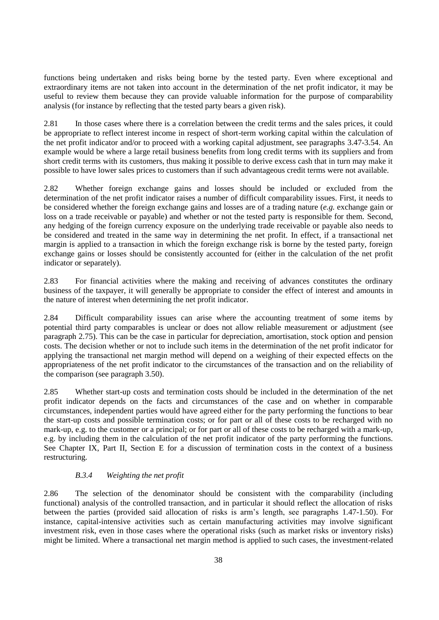functions being undertaken and risks being borne by the tested party. Even where exceptional and extraordinary items are not taken into account in the determination of the net profit indicator, it may be useful to review them because they can provide valuable information for the purpose of comparability analysis (for instance by reflecting that the tested party bears a given risk).

2.81 In those cases where there is a correlation between the credit terms and the sales prices, it could be appropriate to reflect interest income in respect of short-term working capital within the calculation of the net profit indicator and/or to proceed with a working capital adjustment, see paragraphs 3.47-3.54. An example would be where a large retail business benefits from long credit terms with its suppliers and from short credit terms with its customers, thus making it possible to derive excess cash that in turn may make it possible to have lower sales prices to customers than if such advantageous credit terms were not available.

2.82 Whether foreign exchange gains and losses should be included or excluded from the determination of the net profit indicator raises a number of difficult comparability issues. First, it needs to be considered whether the foreign exchange gains and losses are of a trading nature (*e.g.* exchange gain or loss on a trade receivable or payable) and whether or not the tested party is responsible for them. Second, any hedging of the foreign currency exposure on the underlying trade receivable or payable also needs to be considered and treated in the same way in determining the net profit. In effect, if a transactional net margin is applied to a transaction in which the foreign exchange risk is borne by the tested party, foreign exchange gains or losses should be consistently accounted for (either in the calculation of the net profit indicator or separately).

2.83 For financial activities where the making and receiving of advances constitutes the ordinary business of the taxpayer, it will generally be appropriate to consider the effect of interest and amounts in the nature of interest when determining the net profit indicator.

2.84 Difficult comparability issues can arise where the accounting treatment of some items by potential third party comparables is unclear or does not allow reliable measurement or adjustment (see paragraph 2.75). This can be the case in particular for depreciation, amortisation, stock option and pension costs. The decision whether or not to include such items in the determination of the net profit indicator for applying the transactional net margin method will depend on a weighing of their expected effects on the appropriateness of the net profit indicator to the circumstances of the transaction and on the reliability of the comparison (see paragraph 3.50).

2.85 Whether start-up costs and termination costs should be included in the determination of the net profit indicator depends on the facts and circumstances of the case and on whether in comparable circumstances, independent parties would have agreed either for the party performing the functions to bear the start-up costs and possible termination costs; or for part or all of these costs to be recharged with no mark-up, e.g. to the customer or a principal; or for part or all of these costs to be recharged with a mark-up, e.g. by including them in the calculation of the net profit indicator of the party performing the functions. See Chapter IX, Part II, Section E for a discussion of termination costs in the context of a business restructuring.

#### *B.3.4 Weighting the net profit*

2.86 The selection of the denominator should be consistent with the comparability (including functional) analysis of the controlled transaction, and in particular it should reflect the allocation of risks between the parties (provided said allocation of risks is arm's length, see paragraphs 1.47-1.50). For instance, capital-intensive activities such as certain manufacturing activities may involve significant investment risk, even in those cases where the operational risks (such as market risks or inventory risks) might be limited. Where a transactional net margin method is applied to such cases, the investment-related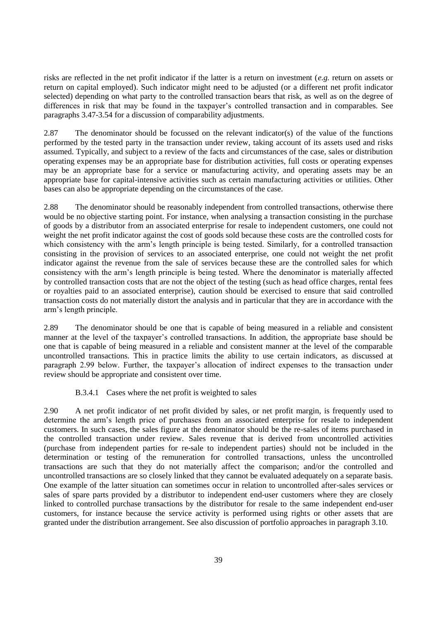risks are reflected in the net profit indicator if the latter is a return on investment (*e.g.* return on assets or return on capital employed). Such indicator might need to be adjusted (or a different net profit indicator selected) depending on what party to the controlled transaction bears that risk, as well as on the degree of differences in risk that may be found in the taxpayer's controlled transaction and in comparables. See paragraphs 3.47-3.54 for a discussion of comparability adjustments.

2.87 The denominator should be focussed on the relevant indicator(s) of the value of the functions performed by the tested party in the transaction under review, taking account of its assets used and risks assumed. Typically, and subject to a review of the facts and circumstances of the case, sales or distribution operating expenses may be an appropriate base for distribution activities, full costs or operating expenses may be an appropriate base for a service or manufacturing activity, and operating assets may be an appropriate base for capital-intensive activities such as certain manufacturing activities or utilities. Other bases can also be appropriate depending on the circumstances of the case.

2.88 The denominator should be reasonably independent from controlled transactions, otherwise there would be no objective starting point. For instance, when analysing a transaction consisting in the purchase of goods by a distributor from an associated enterprise for resale to independent customers, one could not weight the net profit indicator against the cost of goods sold because these costs are the controlled costs for which consistency with the arm's length principle is being tested. Similarly, for a controlled transaction consisting in the provision of services to an associated enterprise, one could not weight the net profit indicator against the revenue from the sale of services because these are the controlled sales for which consistency with the arm's length principle is being tested. Where the denominator is materially affected by controlled transaction costs that are not the object of the testing (such as head office charges, rental fees or royalties paid to an associated enterprise), caution should be exercised to ensure that said controlled transaction costs do not materially distort the analysis and in particular that they are in accordance with the arm's length principle.

2.89 The denominator should be one that is capable of being measured in a reliable and consistent manner at the level of the taxpayer's controlled transactions. In addition, the appropriate base should be one that is capable of being measured in a reliable and consistent manner at the level of the comparable uncontrolled transactions. This in practice limits the ability to use certain indicators, as discussed at paragraph 2.99 below. Further, the taxpayer's allocation of indirect expenses to the transaction under review should be appropriate and consistent over time.

B.3.4.1 Cases where the net profit is weighted to sales

2.90 A net profit indicator of net profit divided by sales, or net profit margin*,* is frequently used to determine the arm's length price of purchases from an associated enterprise for resale to independent customers. In such cases, the sales figure at the denominator should be the re-sales of items purchased in the controlled transaction under review. Sales revenue that is derived from uncontrolled activities (purchase from independent parties for re-sale to independent parties) should not be included in the determination or testing of the remuneration for controlled transactions, unless the uncontrolled transactions are such that they do not materially affect the comparison; and/or the controlled and uncontrolled transactions are so closely linked that they cannot be evaluated adequately on a separate basis. One example of the latter situation can sometimes occur in relation to uncontrolled after-sales services or sales of spare parts provided by a distributor to independent end-user customers where they are closely linked to controlled purchase transactions by the distributor for resale to the same independent end-user customers, for instance because the service activity is performed using rights or other assets that are granted under the distribution arrangement. See also discussion of portfolio approaches in paragraph 3.10.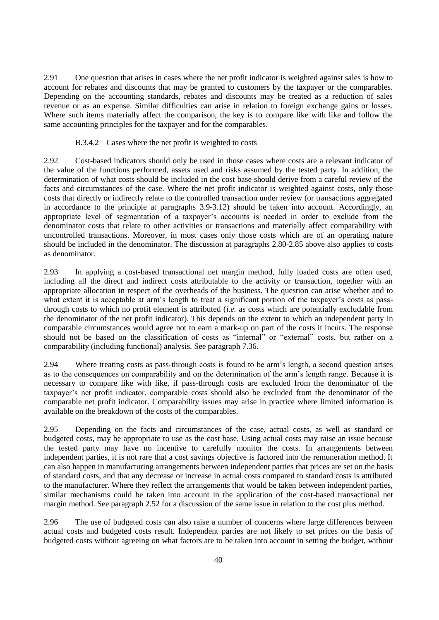2.91 One question that arises in cases where the net profit indicator is weighted against sales is how to account for rebates and discounts that may be granted to customers by the taxpayer or the comparables. Depending on the accounting standards, rebates and discounts may be treated as a reduction of sales revenue or as an expense. Similar difficulties can arise in relation to foreign exchange gains or losses. Where such items materially affect the comparison, the key is to compare like with like and follow the same accounting principles for the taxpayer and for the comparables.

#### B.3.4.2 Cases where the net profit is weighted to costs

2.92 Cost-based indicators should only be used in those cases where costs are a relevant indicator of the value of the functions performed, assets used and risks assumed by the tested party. In addition, the determination of what costs should be included in the cost base should derive from a careful review of the facts and circumstances of the case. Where the net profit indicator is weighted against costs, only those costs that directly or indirectly relate to the controlled transaction under review (or transactions aggregated in accordance to the principle at paragraphs 3.9-3.12) should be taken into account. Accordingly, an appropriate level of segmentation of a taxpayer's accounts is needed in order to exclude from the denominator costs that relate to other activities or transactions and materially affect comparability with uncontrolled transactions. Moreover, in most cases only those costs which are of an operating nature should be included in the denominator. The discussion at paragraphs 2.80-2.85 above also applies to costs as denominator.

2.93 In applying a cost-based transactional net margin method, fully loaded costs are often used, including all the direct and indirect costs attributable to the activity or transaction, together with an appropriate allocation in respect of the overheads of the business. The question can arise whether and to what extent it is acceptable at arm's length to treat a significant portion of the taxpayer's costs as passthrough costs to which no profit element is attributed (*i.e.* as costs which are potentially excludable from the denominator of the net profit indicator). This depends on the extent to which an independent party in comparable circumstances would agree not to earn a mark-up on part of the costs it incurs. The response should not be based on the classification of costs as "internal" or "external" costs, but rather on a comparability (including functional) analysis. See paragraph 7.36.

2.94 Where treating costs as pass-through costs is found to be arm's length, a second question arises as to the consequences on comparability and on the determination of the arm's length range. Because it is necessary to compare like with like, if pass-through costs are excluded from the denominator of the taxpayer's net profit indicator, comparable costs should also be excluded from the denominator of the comparable net profit indicator. Comparability issues may arise in practice where limited information is available on the breakdown of the costs of the comparables.

2.95 Depending on the facts and circumstances of the case, actual costs, as well as standard or budgeted costs, may be appropriate to use as the cost base. Using actual costs may raise an issue because the tested party may have no incentive to carefully monitor the costs. In arrangements between independent parties, it is not rare that a cost savings objective is factored into the remuneration method. It can also happen in manufacturing arrangements between independent parties that prices are set on the basis of standard costs, and that any decrease or increase in actual costs compared to standard costs is attributed to the manufacturer. Where they reflect the arrangements that would be taken between independent parties, similar mechanisms could be taken into account in the application of the cost-based transactional net margin method. See paragraph 2.52 for a discussion of the same issue in relation to the cost plus method.

2.96 The use of budgeted costs can also raise a number of concerns where large differences between actual costs and budgeted costs result. Independent parties are not likely to set prices on the basis of budgeted costs without agreeing on what factors are to be taken into account in setting the budget, without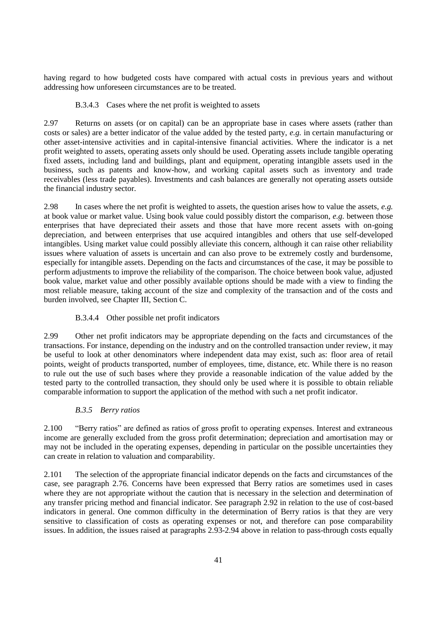having regard to how budgeted costs have compared with actual costs in previous years and without addressing how unforeseen circumstances are to be treated.

#### B.3.4.3 Cases where the net profit is weighted to assets

2.97 Returns on assets (or on capital) can be an appropriate base in cases where assets (rather than costs or sales) are a better indicator of the value added by the tested party, *e.g.* in certain manufacturing or other asset-intensive activities and in capital-intensive financial activities. Where the indicator is a net profit weighted to assets, operating assets only should be used. Operating assets include tangible operating fixed assets, including land and buildings, plant and equipment, operating intangible assets used in the business, such as patents and know-how, and working capital assets such as inventory and trade receivables (less trade payables). Investments and cash balances are generally not operating assets outside the financial industry sector.

2.98 In cases where the net profit is weighted to assets, the question arises how to value the assets, *e.g.* at book value or market value. Using book value could possibly distort the comparison, *e.g.* between those enterprises that have depreciated their assets and those that have more recent assets with on-going depreciation, and between enterprises that use acquired intangibles and others that use self-developed intangibles. Using market value could possibly alleviate this concern, although it can raise other reliability issues where valuation of assets is uncertain and can also prove to be extremely costly and burdensome, especially for intangible assets. Depending on the facts and circumstances of the case, it may be possible to perform adjustments to improve the reliability of the comparison. The choice between book value, adjusted book value, market value and other possibly available options should be made with a view to finding the most reliable measure, taking account of the size and complexity of the transaction and of the costs and burden involved, see Chapter III, Section C.

### B.3.4.4 Other possible net profit indicators

2.99 Other net profit indicators may be appropriate depending on the facts and circumstances of the transactions. For instance, depending on the industry and on the controlled transaction under review, it may be useful to look at other denominators where independent data may exist, such as: floor area of retail points, weight of products transported, number of employees, time, distance, etc. While there is no reason to rule out the use of such bases where they provide a reasonable indication of the value added by the tested party to the controlled transaction, they should only be used where it is possible to obtain reliable comparable information to support the application of the method with such a net profit indicator.

### *B.3.5 Berry ratios*

2.100 "Berry ratios" are defined as ratios of gross profit to operating expenses. Interest and extraneous income are generally excluded from the gross profit determination; depreciation and amortisation may or may not be included in the operating expenses, depending in particular on the possible uncertainties they can create in relation to valuation and comparability.

2.101 The selection of the appropriate financial indicator depends on the facts and circumstances of the case, see paragraph 2.76. Concerns have been expressed that Berry ratios are sometimes used in cases where they are not appropriate without the caution that is necessary in the selection and determination of any transfer pricing method and financial indicator. See paragraph 2.92 in relation to the use of cost-based indicators in general. One common difficulty in the determination of Berry ratios is that they are very sensitive to classification of costs as operating expenses or not, and therefore can pose comparability issues. In addition, the issues raised at paragraphs 2.93-2.94 above in relation to pass-through costs equally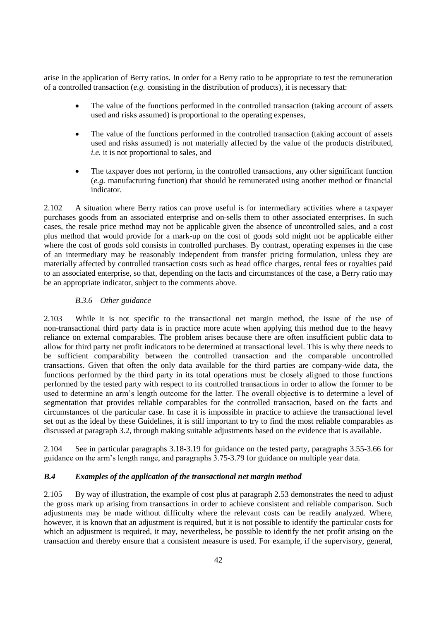arise in the application of Berry ratios. In order for a Berry ratio to be appropriate to test the remuneration of a controlled transaction (*e.g.* consisting in the distribution of products), it is necessary that:

- The value of the functions performed in the controlled transaction (taking account of assets used and risks assumed) is proportional to the operating expenses,
- The value of the functions performed in the controlled transaction (taking account of assets used and risks assumed) is not materially affected by the value of the products distributed, *i.e.* it is not proportional to sales, and
- The taxpayer does not perform, in the controlled transactions, any other significant function (*e.g.* manufacturing function) that should be remunerated using another method or financial indicator.

2.102 A situation where Berry ratios can prove useful is for intermediary activities where a taxpayer purchases goods from an associated enterprise and on-sells them to other associated enterprises. In such cases, the resale price method may not be applicable given the absence of uncontrolled sales, and a cost plus method that would provide for a mark-up on the cost of goods sold might not be applicable either where the cost of goods sold consists in controlled purchases. By contrast, operating expenses in the case of an intermediary may be reasonably independent from transfer pricing formulation, unless they are materially affected by controlled transaction costs such as head office charges, rental fees or royalties paid to an associated enterprise, so that, depending on the facts and circumstances of the case, a Berry ratio may be an appropriate indicator, subject to the comments above.

### *B.3.6 Other guidance*

2.103 While it is not specific to the transactional net margin method, the issue of the use of non-transactional third party data is in practice more acute when applying this method due to the heavy reliance on external comparables. The problem arises because there are often insufficient public data to allow for third party net profit indicators to be determined at transactional level. This is why there needs to be sufficient comparability between the controlled transaction and the comparable uncontrolled transactions. Given that often the only data available for the third parties are company-wide data, the functions performed by the third party in its total operations must be closely aligned to those functions performed by the tested party with respect to its controlled transactions in order to allow the former to be used to determine an arm's length outcome for the latter. The overall objective is to determine a level of segmentation that provides reliable comparables for the controlled transaction, based on the facts and circumstances of the particular case. In case it is impossible in practice to achieve the transactional level set out as the ideal by these Guidelines, it is still important to try to find the most reliable comparables as discussed at paragraph 3.2, through making suitable adjustments based on the evidence that is available.

2.104 See in particular paragraphs 3.18-3.19 for guidance on the tested party, paragraphs 3.55-3.66 for guidance on the arm's length range, and paragraphs 3.75-3.79 for guidance on multiple year data.

## *B.4 Examples of the application of the transactional net margin method*

2.105 By way of illustration, the example of cost plus at paragraph 2.53 demonstrates the need to adjust the gross mark up arising from transactions in order to achieve consistent and reliable comparison. Such adjustments may be made without difficulty where the relevant costs can be readily analyzed. Where, however, it is known that an adjustment is required, but it is not possible to identify the particular costs for which an adjustment is required, it may, nevertheless, be possible to identify the net profit arising on the transaction and thereby ensure that a consistent measure is used. For example, if the supervisory, general,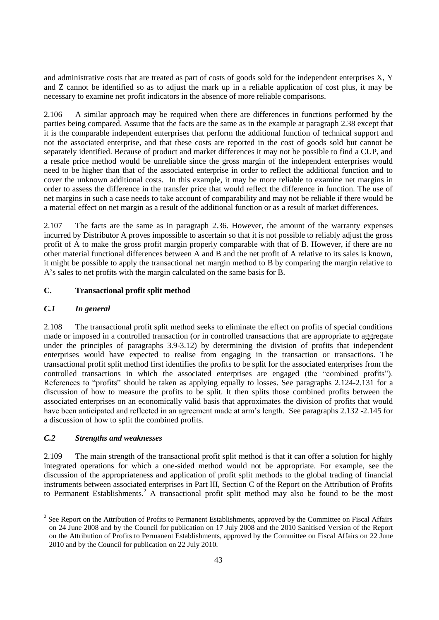and administrative costs that are treated as part of costs of goods sold for the independent enterprises X, Y and Z cannot be identified so as to adjust the mark up in a reliable application of cost plus, it may be necessary to examine net profit indicators in the absence of more reliable comparisons.

2.106 A similar approach may be required when there are differences in functions performed by the parties being compared. Assume that the facts are the same as in the example at paragraph 2.38 except that it is the comparable independent enterprises that perform the additional function of technical support and not the associated enterprise, and that these costs are reported in the cost of goods sold but cannot be separately identified. Because of product and market differences it may not be possible to find a CUP, and a resale price method would be unreliable since the gross margin of the independent enterprises would need to be higher than that of the associated enterprise in order to reflect the additional function and to cover the unknown additional costs. In this example, it may be more reliable to examine net margins in order to assess the difference in the transfer price that would reflect the difference in function. The use of net margins in such a case needs to take account of comparability and may not be reliable if there would be a material effect on net margin as a result of the additional function or as a result of market differences.

2.107 The facts are the same as in paragraph 2.36. However, the amount of the warranty expenses incurred by Distributor A proves impossible to ascertain so that it is not possible to reliably adjust the gross profit of A to make the gross profit margin properly comparable with that of B. However, if there are no other material functional differences between A and B and the net profit of A relative to its sales is known, it might be possible to apply the transactional net margin method to B by comparing the margin relative to A's sales to net profits with the margin calculated on the same basis for B.

### **C. Transactional profit split method**

### *C.1 In general*

2.108 The transactional profit split method seeks to eliminate the effect on profits of special conditions made or imposed in a controlled transaction (or in controlled transactions that are appropriate to aggregate under the principles of paragraphs 3.9-3.12) by determining the division of profits that independent enterprises would have expected to realise from engaging in the transaction or transactions. The transactional profit split method first identifies the profits to be split for the associated enterprises from the controlled transactions in which the associated enterprises are engaged (the "combined profits"). References to "profits" should be taken as applying equally to losses. See paragraphs 2.124-2.131 for a discussion of how to measure the profits to be split. It then splits those combined profits between the associated enterprises on an economically valid basis that approximates the division of profits that would have been anticipated and reflected in an agreement made at arm's length. See paragraphs 2.132 -2.145 for a discussion of how to split the combined profits.

### *C.2 Strengths and weaknesses*

 $\overline{a}$ 

2.109 The main strength of the transactional profit split method is that it can offer a solution for highly integrated operations for which a one-sided method would not be appropriate. For example, see the discussion of the appropriateness and application of profit split methods to the global trading of financial instruments between associated enterprises in Part III, Section C of the Report on the Attribution of Profits to Permanent Establishments.<sup>2</sup> A transactional profit split method may also be found to be the most

<sup>&</sup>lt;sup>2</sup> See Report on the Attribution of Profits to Permanent Establishments, approved by the Committee on Fiscal Affairs on 24 June 2008 and by the Council for publication on 17 July 2008 and the 2010 Sanitised Version of the Report on the Attribution of Profits to Permanent Establishments, approved by the Committee on Fiscal Affairs on 22 June 2010 and by the Council for publication on 22 July 2010.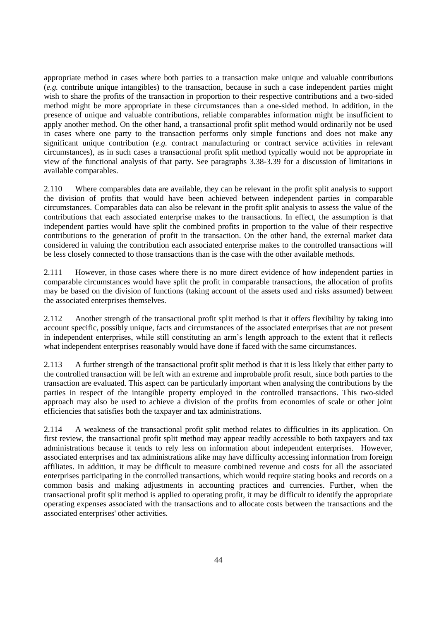appropriate method in cases where both parties to a transaction make unique and valuable contributions (*e.g.* contribute unique intangibles) to the transaction, because in such a case independent parties might wish to share the profits of the transaction in proportion to their respective contributions and a two-sided method might be more appropriate in these circumstances than a one-sided method. In addition, in the presence of unique and valuable contributions, reliable comparables information might be insufficient to apply another method. On the other hand, a transactional profit split method would ordinarily not be used in cases where one party to the transaction performs only simple functions and does not make any significant unique contribution (*e.g.* contract manufacturing or contract service activities in relevant circumstances), as in such cases a transactional profit split method typically would not be appropriate in view of the functional analysis of that party. See paragraphs 3.38-3.39 for a discussion of limitations in available comparables.

2.110 Where comparables data are available, they can be relevant in the profit split analysis to support the division of profits that would have been achieved between independent parties in comparable circumstances. Comparables data can also be relevant in the profit split analysis to assess the value of the contributions that each associated enterprise makes to the transactions. In effect, the assumption is that independent parties would have split the combined profits in proportion to the value of their respective contributions to the generation of profit in the transaction. On the other hand, the external market data considered in valuing the contribution each associated enterprise makes to the controlled transactions will be less closely connected to those transactions than is the case with the other available methods.

2.111 However, in those cases where there is no more direct evidence of how independent parties in comparable circumstances would have split the profit in comparable transactions, the allocation of profits may be based on the division of functions (taking account of the assets used and risks assumed) between the associated enterprises themselves.

2.112 Another strength of the transactional profit split method is that it offers flexibility by taking into account specific, possibly unique, facts and circumstances of the associated enterprises that are not present in independent enterprises, while still constituting an arm's length approach to the extent that it reflects what independent enterprises reasonably would have done if faced with the same circumstances.

2.113 A further strength of the transactional profit split method is that it is less likely that either party to the controlled transaction will be left with an extreme and improbable profit result, since both parties to the transaction are evaluated. This aspect can be particularly important when analysing the contributions by the parties in respect of the intangible property employed in the controlled transactions. This two-sided approach may also be used to achieve a division of the profits from economies of scale or other joint efficiencies that satisfies both the taxpayer and tax administrations.

2.114 A weakness of the transactional profit split method relates to difficulties in its application. On first review, the transactional profit split method may appear readily accessible to both taxpayers and tax administrations because it tends to rely less on information about independent enterprises. However, associated enterprises and tax administrations alike may have difficulty accessing information from foreign affiliates. In addition, it may be difficult to measure combined revenue and costs for all the associated enterprises participating in the controlled transactions, which would require stating books and records on a common basis and making adjustments in accounting practices and currencies. Further, when the transactional profit split method is applied to operating profit, it may be difficult to identify the appropriate operating expenses associated with the transactions and to allocate costs between the transactions and the associated enterprises' other activities.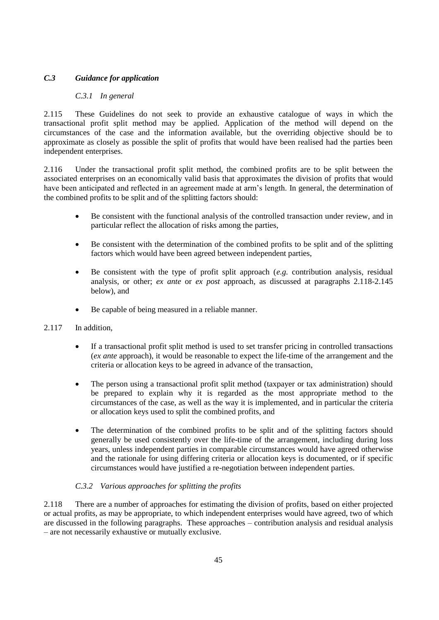# *C.3 Guidance for application*

### *C.3.1 In general*

2.115 These Guidelines do not seek to provide an exhaustive catalogue of ways in which the transactional profit split method may be applied. Application of the method will depend on the circumstances of the case and the information available, but the overriding objective should be to approximate as closely as possible the split of profits that would have been realised had the parties been independent enterprises.

2.116 Under the transactional profit split method, the combined profits are to be split between the associated enterprises on an economically valid basis that approximates the division of profits that would have been anticipated and reflected in an agreement made at arm's length. In general, the determination of the combined profits to be split and of the splitting factors should:

- Be consistent with the functional analysis of the controlled transaction under review, and in particular reflect the allocation of risks among the parties,
- Be consistent with the determination of the combined profits to be split and of the splitting factors which would have been agreed between independent parties,
- Be consistent with the type of profit split approach (*e.g.* contribution analysis, residual analysis, or other; *ex ante* or *ex post* approach, as discussed at paragraphs 2.118-2.145 below), and
- Be capable of being measured in a reliable manner.
- 2.117 In addition,
	- If a transactional profit split method is used to set transfer pricing in controlled transactions (*ex ante* approach), it would be reasonable to expect the life-time of the arrangement and the criteria or allocation keys to be agreed in advance of the transaction,
	- The person using a transactional profit split method (taxpayer or tax administration) should be prepared to explain why it is regarded as the most appropriate method to the circumstances of the case, as well as the way it is implemented, and in particular the criteria or allocation keys used to split the combined profits, and
	- The determination of the combined profits to be split and of the splitting factors should generally be used consistently over the life-time of the arrangement, including during loss years, unless independent parties in comparable circumstances would have agreed otherwise and the rationale for using differing criteria or allocation keys is documented, or if specific circumstances would have justified a re-negotiation between independent parties.

### *C.3.2 Various approaches for splitting the profits*

2.118 There are a number of approaches for estimating the division of profits, based on either projected or actual profits, as may be appropriate, to which independent enterprises would have agreed, two of which are discussed in the following paragraphs. These approaches – contribution analysis and residual analysis – are not necessarily exhaustive or mutually exclusive.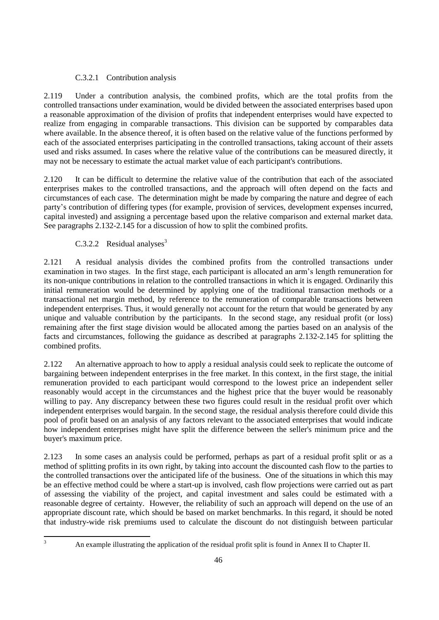## C.3.2.1 Contribution analysis

2.119 Under a contribution analysis, the combined profits, which are the total profits from the controlled transactions under examination, would be divided between the associated enterprises based upon a reasonable approximation of the division of profits that independent enterprises would have expected to realize from engaging in comparable transactions. This division can be supported by comparables data where available. In the absence thereof, it is often based on the relative value of the functions performed by each of the associated enterprises participating in the controlled transactions, taking account of their assets used and risks assumed. In cases where the relative value of the contributions can be measured directly, it may not be necessary to estimate the actual market value of each participant's contributions.

2.120 It can be difficult to determine the relative value of the contribution that each of the associated enterprises makes to the controlled transactions, and the approach will often depend on the facts and circumstances of each case. The determination might be made by comparing the nature and degree of each party's contribution of differing types (for example, provision of services, development expenses incurred, capital invested) and assigning a percentage based upon the relative comparison and external market data. See paragraphs 2.132-2.145 for a discussion of how to split the combined profits.

## $C.3.2.2$  Residual analyses<sup>3</sup>

2.121 A residual analysis divides the combined profits from the controlled transactions under examination in two stages. In the first stage, each participant is allocated an arm's length remuneration for its non-unique contributions in relation to the controlled transactions in which it is engaged. Ordinarily this initial remuneration would be determined by applying one of the traditional transaction methods or a transactional net margin method, by reference to the remuneration of comparable transactions between independent enterprises. Thus, it would generally not account for the return that would be generated by any unique and valuable contribution by the participants. In the second stage, any residual profit (or loss) remaining after the first stage division would be allocated among the parties based on an analysis of the facts and circumstances, following the guidance as described at paragraphs 2.132-2.145 for splitting the combined profits.

2.122 An alternative approach to how to apply a residual analysis could seek to replicate the outcome of bargaining between independent enterprises in the free market. In this context, in the first stage, the initial remuneration provided to each participant would correspond to the lowest price an independent seller reasonably would accept in the circumstances and the highest price that the buyer would be reasonably willing to pay. Any discrepancy between these two figures could result in the residual profit over which independent enterprises would bargain. In the second stage, the residual analysis therefore could divide this pool of profit based on an analysis of any factors relevant to the associated enterprises that would indicate how independent enterprises might have split the difference between the seller's minimum price and the buyer's maximum price.

2.123 In some cases an analysis could be performed, perhaps as part of a residual profit split or as a method of splitting profits in its own right, by taking into account the discounted cash flow to the parties to the controlled transactions over the anticipated life of the business. One of the situations in which this may be an effective method could be where a start-up is involved, cash flow projections were carried out as part of assessing the viability of the project, and capital investment and sales could be estimated with a reasonable degree of certainty. However, the reliability of such an approach will depend on the use of an appropriate discount rate, which should be based on market benchmarks. In this regard, it should be noted that industry-wide risk premiums used to calculate the discount do not distinguish between particular

 $\overline{3}$ 

<sup>3</sup> An example illustrating the application of the residual profit split is found in Annex II to Chapter II.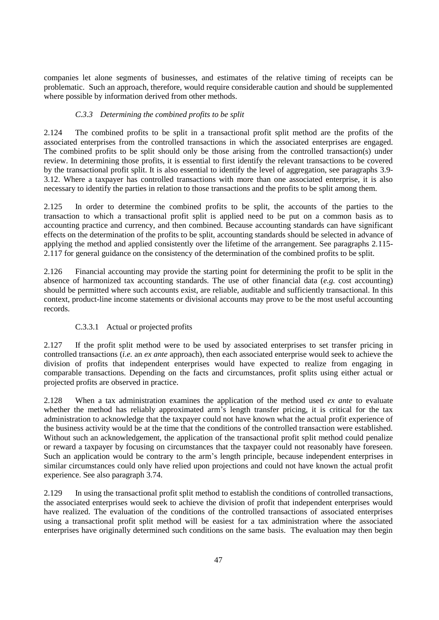companies let alone segments of businesses, and estimates of the relative timing of receipts can be problematic. Such an approach, therefore, would require considerable caution and should be supplemented where possible by information derived from other methods.

## *C.3.3 Determining the combined profits to be split*

2.124 The combined profits to be split in a transactional profit split method are the profits of the associated enterprises from the controlled transactions in which the associated enterprises are engaged. The combined profits to be split should only be those arising from the controlled transaction(s) under review. In determining those profits, it is essential to first identify the relevant transactions to be covered by the transactional profit split. It is also essential to identify the level of aggregation, see paragraphs 3.9- 3.12. Where a taxpayer has controlled transactions with more than one associated enterprise, it is also necessary to identify the parties in relation to those transactions and the profits to be split among them.

2.125 In order to determine the combined profits to be split, the accounts of the parties to the transaction to which a transactional profit split is applied need to be put on a common basis as to accounting practice and currency, and then combined. Because accounting standards can have significant effects on the determination of the profits to be split, accounting standards should be selected in advance of applying the method and applied consistently over the lifetime of the arrangement. See paragraphs 2.115- 2.117 for general guidance on the consistency of the determination of the combined profits to be split.

2.126 Financial accounting may provide the starting point for determining the profit to be split in the absence of harmonized tax accounting standards. The use of other financial data (*e.g.* cost accounting) should be permitted where such accounts exist, are reliable, auditable and sufficiently transactional. In this context, product-line income statements or divisional accounts may prove to be the most useful accounting records.

### C.3.3.1 Actual or projected profits

2.127 If the profit split method were to be used by associated enterprises to set transfer pricing in controlled transactions (*i.e.* an *ex ante* approach), then each associated enterprise would seek to achieve the division of profits that independent enterprises would have expected to realize from engaging in comparable transactions. Depending on the facts and circumstances, profit splits using either actual or projected profits are observed in practice.

2.128 When a tax administration examines the application of the method used *ex ante* to evaluate whether the method has reliably approximated arm's length transfer pricing, it is critical for the tax administration to acknowledge that the taxpayer could not have known what the actual profit experience of the business activity would be at the time that the conditions of the controlled transaction were established. Without such an acknowledgement, the application of the transactional profit split method could penalize or reward a taxpayer by focusing on circumstances that the taxpayer could not reasonably have foreseen. Such an application would be contrary to the arm's length principle, because independent enterprises in similar circumstances could only have relied upon projections and could not have known the actual profit experience. See also paragraph 3.74.

2.129 In using the transactional profit split method to establish the conditions of controlled transactions, the associated enterprises would seek to achieve the division of profit that independent enterprises would have realized. The evaluation of the conditions of the controlled transactions of associated enterprises using a transactional profit split method will be easiest for a tax administration where the associated enterprises have originally determined such conditions on the same basis. The evaluation may then begin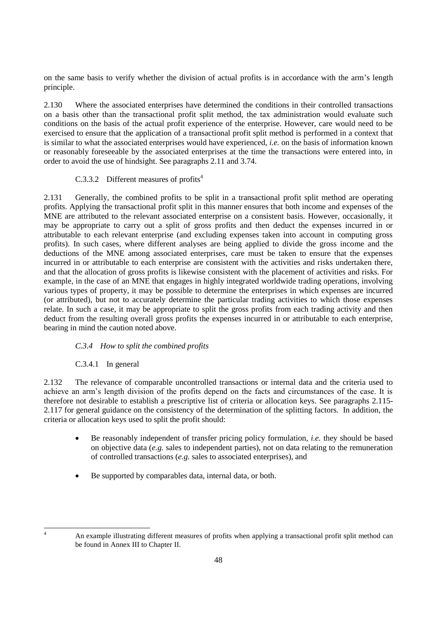on the same basis to verify whether the division of actual profits is in accordance with the arm's length principle.

2.130 Where the associated enterprises have determined the conditions in their controlled transactions on a basis other than the transactional profit split method, the tax administration would evaluate such conditions on the basis of the actual profit experience of the enterprise. However, care would need to be exercised to ensure that the application of a transactional profit split method is performed in a context that is similar to what the associated enterprises would have experienced, *i.e.* on the basis of information known or reasonably foreseeable by the associated enterprises at the time the transactions were entered into, in order to avoid the use of hindsight. See paragraphs 2.11 and 3.74.

## C.3.3.2 Different measures of profits<sup>4</sup>

2.131 Generally, the combined profits to be split in a transactional profit split method are operating profits. Applying the transactional profit split in this manner ensures that both income and expenses of the MNE are attributed to the relevant associated enterprise on a consistent basis. However, occasionally, it may be appropriate to carry out a split of gross profits and then deduct the expenses incurred in or attributable to each relevant enterprise (and excluding expenses taken into account in computing gross profits). In such cases, where different analyses are being applied to divide the gross income and the deductions of the MNE among associated enterprises, care must be taken to ensure that the expenses incurred in or attributable to each enterprise are consistent with the activities and risks undertaken there, and that the allocation of gross profits is likewise consistent with the placement of activities and risks. For example, in the case of an MNE that engages in highly integrated worldwide trading operations, involving various types of property, it may be possible to determine the enterprises in which expenses are incurred (or attributed), but not to accurately determine the particular trading activities to which those expenses relate. In such a case, it may be appropriate to split the gross profits from each trading activity and then deduct from the resulting overall gross profits the expenses incurred in or attributable to each enterprise, bearing in mind the caution noted above.

# *C.3.4 How to split the combined profits*

# C.3.4.1 In general

2.132 The relevance of comparable uncontrolled transactions or internal data and the criteria used to achieve an arm's length division of the profits depend on the facts and circumstances of the case. It is therefore not desirable to establish a prescriptive list of criteria or allocation keys. See paragraphs 2.115- 2.117 for general guidance on the consistency of the determination of the splitting factors. In addition, the criteria or allocation keys used to split the profit should:

- Be reasonably independent of transfer pricing policy formulation, *i.e.* they should be based on objective data (*e.g.* sales to independent parties), not on data relating to the remuneration of controlled transactions (*e.g.* sales to associated enterprises), and
- Be supported by comparables data, internal data, or both.

 $\lambda$ 

<sup>4</sup> An example illustrating different measures of profits when applying a transactional profit split method can be found in Annex III to Chapter II.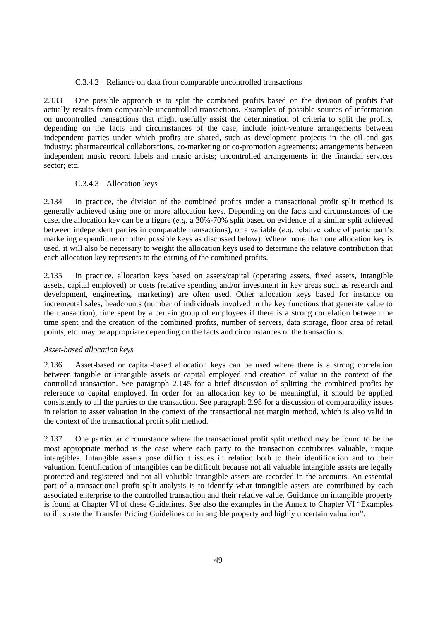#### C.3.4.2 Reliance on data from comparable uncontrolled transactions

2.133 One possible approach is to split the combined profits based on the division of profits that actually results from comparable uncontrolled transactions. Examples of possible sources of information on uncontrolled transactions that might usefully assist the determination of criteria to split the profits, depending on the facts and circumstances of the case, include joint-venture arrangements between independent parties under which profits are shared, such as development projects in the oil and gas industry; pharmaceutical collaborations, co-marketing or co-promotion agreements; arrangements between independent music record labels and music artists; uncontrolled arrangements in the financial services sector; etc.

#### C.3.4.3 Allocation keys

2.134 In practice, the division of the combined profits under a transactional profit split method is generally achieved using one or more allocation keys. Depending on the facts and circumstances of the case, the allocation key can be a figure (*e.g.* a 30%-70% split based on evidence of a similar split achieved between independent parties in comparable transactions), or a variable (*e.g.* relative value of participant's marketing expenditure or other possible keys as discussed below). Where more than one allocation key is used, it will also be necessary to weight the allocation keys used to determine the relative contribution that each allocation key represents to the earning of the combined profits.

2.135 In practice, allocation keys based on assets/capital (operating assets, fixed assets, intangible assets, capital employed) or costs (relative spending and/or investment in key areas such as research and development, engineering, marketing) are often used. Other allocation keys based for instance on incremental sales, headcounts (number of individuals involved in the key functions that generate value to the transaction), time spent by a certain group of employees if there is a strong correlation between the time spent and the creation of the combined profits, number of servers, data storage, floor area of retail points, etc. may be appropriate depending on the facts and circumstances of the transactions.

#### *Asset-based allocation keys*

2.136 Asset-based or capital-based allocation keys can be used where there is a strong correlation between tangible or intangible assets or capital employed and creation of value in the context of the controlled transaction. See paragraph 2.145 for a brief discussion of splitting the combined profits by reference to capital employed. In order for an allocation key to be meaningful, it should be applied consistently to all the parties to the transaction. See paragraph 2.98 for a discussion of comparability issues in relation to asset valuation in the context of the transactional net margin method, which is also valid in the context of the transactional profit split method.

2.137 One particular circumstance where the transactional profit split method may be found to be the most appropriate method is the case where each party to the transaction contributes valuable, unique intangibles. Intangible assets pose difficult issues in relation both to their identification and to their valuation. Identification of intangibles can be difficult because not all valuable intangible assets are legally protected and registered and not all valuable intangible assets are recorded in the accounts. An essential part of a transactional profit split analysis is to identify what intangible assets are contributed by each associated enterprise to the controlled transaction and their relative value. Guidance on intangible property is found at Chapter VI of these Guidelines. See also the examples in the Annex to Chapter VI "Examples to illustrate the Transfer Pricing Guidelines on intangible property and highly uncertain valuation".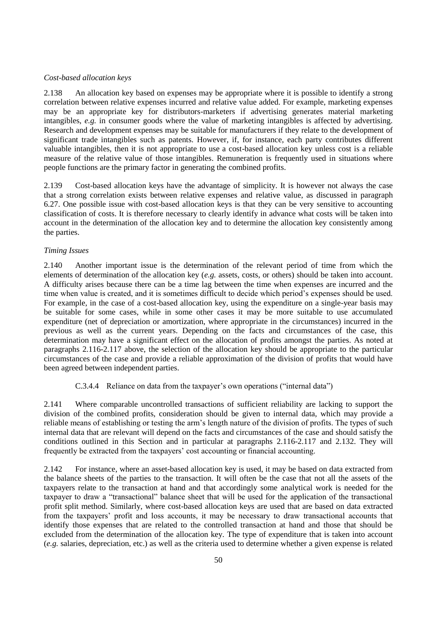#### *Cost-based allocation keys*

2.138 An allocation key based on expenses may be appropriate where it is possible to identify a strong correlation between relative expenses incurred and relative value added. For example, marketing expenses may be an appropriate key for distributors-marketers if advertising generates material marketing intangibles, *e.g.* in consumer goods where the value of marketing intangibles is affected by advertising. Research and development expenses may be suitable for manufacturers if they relate to the development of significant trade intangibles such as patents. However, if, for instance, each party contributes different valuable intangibles, then it is not appropriate to use a cost-based allocation key unless cost is a reliable measure of the relative value of those intangibles. Remuneration is frequently used in situations where people functions are the primary factor in generating the combined profits.

2.139 Cost-based allocation keys have the advantage of simplicity. It is however not always the case that a strong correlation exists between relative expenses and relative value, as discussed in paragraph 6.27. One possible issue with cost-based allocation keys is that they can be very sensitive to accounting classification of costs. It is therefore necessary to clearly identify in advance what costs will be taken into account in the determination of the allocation key and to determine the allocation key consistently among the parties.

#### *Timing Issues*

2.140 Another important issue is the determination of the relevant period of time from which the elements of determination of the allocation key (*e.g.* assets, costs, or others) should be taken into account. A difficulty arises because there can be a time lag between the time when expenses are incurred and the time when value is created, and it is sometimes difficult to decide which period's expenses should be used. For example, in the case of a cost-based allocation key, using the expenditure on a single-year basis may be suitable for some cases, while in some other cases it may be more suitable to use accumulated expenditure (net of depreciation or amortization, where appropriate in the circumstances) incurred in the previous as well as the current years. Depending on the facts and circumstances of the case, this determination may have a significant effect on the allocation of profits amongst the parties. As noted at paragraphs 2.116-2.117 above, the selection of the allocation key should be appropriate to the particular circumstances of the case and provide a reliable approximation of the division of profits that would have been agreed between independent parties.

### C.3.4.4 Reliance on data from the taxpayer's own operations ("internal data")

2.141 Where comparable uncontrolled transactions of sufficient reliability are lacking to support the division of the combined profits, consideration should be given to internal data, which may provide a reliable means of establishing or testing the arm's length nature of the division of profits. The types of such internal data that are relevant will depend on the facts and circumstances of the case and should satisfy the conditions outlined in this Section and in particular at paragraphs 2.116-2.117 and 2.132. They will frequently be extracted from the taxpayers' cost accounting or financial accounting.

2.142 For instance, where an asset-based allocation key is used, it may be based on data extracted from the balance sheets of the parties to the transaction. It will often be the case that not all the assets of the taxpayers relate to the transaction at hand and that accordingly some analytical work is needed for the taxpayer to draw a "transactional" balance sheet that will be used for the application of the transactional profit split method. Similarly, where cost-based allocation keys are used that are based on data extracted from the taxpayers' profit and loss accounts, it may be necessary to draw transactional accounts that identify those expenses that are related to the controlled transaction at hand and those that should be excluded from the determination of the allocation key. The type of expenditure that is taken into account (*e.g.* salaries, depreciation, etc.) as well as the criteria used to determine whether a given expense is related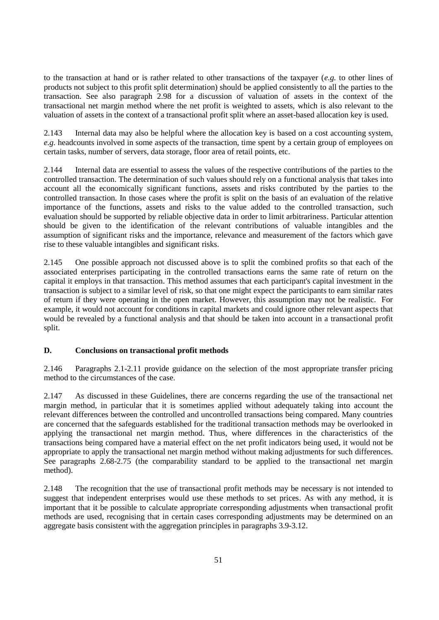to the transaction at hand or is rather related to other transactions of the taxpayer (*e.g.* to other lines of products not subject to this profit split determination) should be applied consistently to all the parties to the transaction. See also paragraph 2.98 for a discussion of valuation of assets in the context of the transactional net margin method where the net profit is weighted to assets, which is also relevant to the valuation of assets in the context of a transactional profit split where an asset-based allocation key is used.

2.143 Internal data may also be helpful where the allocation key is based on a cost accounting system, *e.g.* headcounts involved in some aspects of the transaction, time spent by a certain group of employees on certain tasks, number of servers, data storage, floor area of retail points, etc.

2.144 Internal data are essential to assess the values of the respective contributions of the parties to the controlled transaction. The determination of such values should rely on a functional analysis that takes into account all the economically significant functions, assets and risks contributed by the parties to the controlled transaction. In those cases where the profit is split on the basis of an evaluation of the relative importance of the functions, assets and risks to the value added to the controlled transaction, such evaluation should be supported by reliable objective data in order to limit arbitrariness. Particular attention should be given to the identification of the relevant contributions of valuable intangibles and the assumption of significant risks and the importance, relevance and measurement of the factors which gave rise to these valuable intangibles and significant risks.

2.145 One possible approach not discussed above is to split the combined profits so that each of the associated enterprises participating in the controlled transactions earns the same rate of return on the capital it employs in that transaction. This method assumes that each participant's capital investment in the transaction is subject to a similar level of risk, so that one might expect the participants to earn similar rates of return if they were operating in the open market. However, this assumption may not be realistic. For example, it would not account for conditions in capital markets and could ignore other relevant aspects that would be revealed by a functional analysis and that should be taken into account in a transactional profit split.

## **D. Conclusions on transactional profit methods**

2.146 Paragraphs 2.1-2.11 provide guidance on the selection of the most appropriate transfer pricing method to the circumstances of the case.

2.147 As discussed in these Guidelines, there are concerns regarding the use of the transactional net margin method, in particular that it is sometimes applied without adequately taking into account the relevant differences between the controlled and uncontrolled transactions being compared. Many countries are concerned that the safeguards established for the traditional transaction methods may be overlooked in applying the transactional net margin method. Thus, where differences in the characteristics of the transactions being compared have a material effect on the net profit indicators being used, it would not be appropriate to apply the transactional net margin method without making adjustments for such differences. See paragraphs 2.68-2.75 (the comparability standard to be applied to the transactional net margin method).

2.148 The recognition that the use of transactional profit methods may be necessary is not intended to suggest that independent enterprises would use these methods to set prices. As with any method, it is important that it be possible to calculate appropriate corresponding adjustments when transactional profit methods are used, recognising that in certain cases corresponding adjustments may be determined on an aggregate basis consistent with the aggregation principles in paragraphs 3.9-3.12.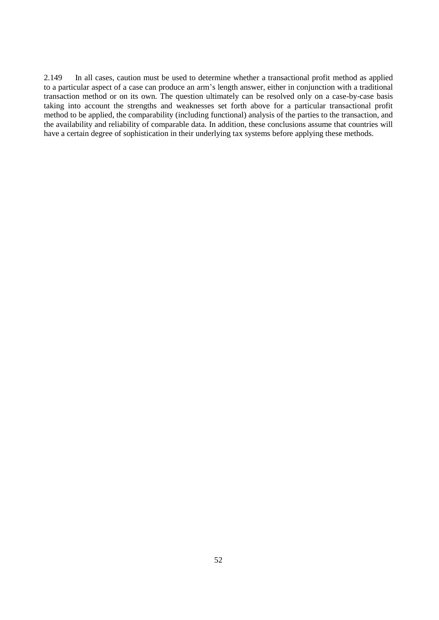2.149 In all cases, caution must be used to determine whether a transactional profit method as applied to a particular aspect of a case can produce an arm's length answer, either in conjunction with a traditional transaction method or on its own. The question ultimately can be resolved only on a case-by-case basis taking into account the strengths and weaknesses set forth above for a particular transactional profit method to be applied, the comparability (including functional) analysis of the parties to the transaction, and the availability and reliability of comparable data. In addition, these conclusions assume that countries will have a certain degree of sophistication in their underlying tax systems before applying these methods.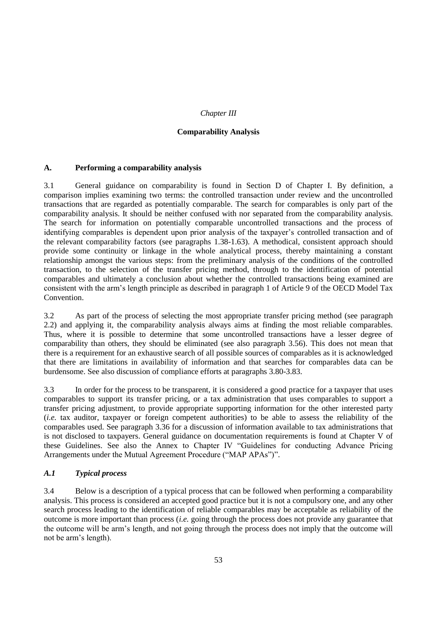#### *Chapter III*

#### **Comparability Analysis**

#### **A. Performing a comparability analysis**

3.1 General guidance on comparability is found in Section D of Chapter I. By definition, a comparison implies examining two terms: the controlled transaction under review and the uncontrolled transactions that are regarded as potentially comparable. The search for comparables is only part of the comparability analysis. It should be neither confused with nor separated from the comparability analysis. The search for information on potentially comparable uncontrolled transactions and the process of identifying comparables is dependent upon prior analysis of the taxpayer's controlled transaction and of the relevant comparability factors (see paragraphs 1.38-1.63). A methodical, consistent approach should provide some continuity or linkage in the whole analytical process, thereby maintaining a constant relationship amongst the various steps: from the preliminary analysis of the conditions of the controlled transaction, to the selection of the transfer pricing method, through to the identification of potential comparables and ultimately a conclusion about whether the controlled transactions being examined are consistent with the arm's length principle as described in paragraph 1 of Article 9 of the OECD Model Tax Convention.

3.2 As part of the process of selecting the most appropriate transfer pricing method (see paragraph 2.2) and applying it, the comparability analysis always aims at finding the most reliable comparables. Thus, where it is possible to determine that some uncontrolled transactions have a lesser degree of comparability than others, they should be eliminated (see also paragraph 3.56). This does not mean that there is a requirement for an exhaustive search of all possible sources of comparables as it is acknowledged that there are limitations in availability of information and that searches for comparables data can be burdensome. See also discussion of compliance efforts at paragraphs 3.80-3.83.

3.3 In order for the process to be transparent, it is considered a good practice for a taxpayer that uses comparables to support its transfer pricing, or a tax administration that uses comparables to support a transfer pricing adjustment, to provide appropriate supporting information for the other interested party (*i.e.* tax auditor, taxpayer or foreign competent authorities) to be able to assess the reliability of the comparables used. See paragraph 3.36 for a discussion of information available to tax administrations that is not disclosed to taxpayers. General guidance on documentation requirements is found at Chapter V of these Guidelines. See also the Annex to Chapter IV "Guidelines for conducting Advance Pricing Arrangements under the Mutual Agreement Procedure ("MAP APAs")".

### *A.1 Typical process*

3.4 Below is a description of a typical process that can be followed when performing a comparability analysis. This process is considered an accepted good practice but it is not a compulsory one, and any other search process leading to the identification of reliable comparables may be acceptable as reliability of the outcome is more important than process (*i.e.* going through the process does not provide any guarantee that the outcome will be arm's length, and not going through the process does not imply that the outcome will not be arm's length).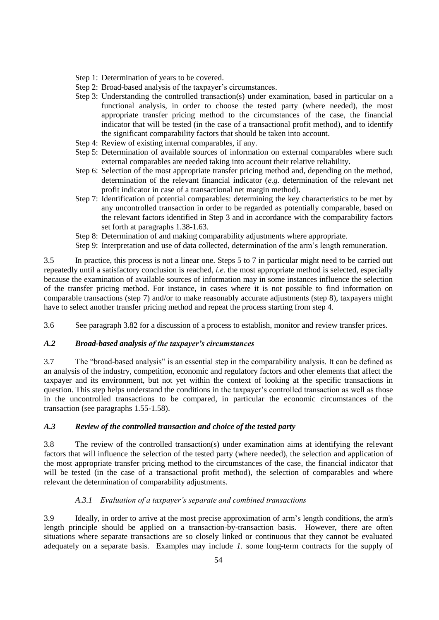- Step 1: Determination of years to be covered.
- Step 2: Broad-based analysis of the taxpayer's circumstances.
- Step 3: Understanding the controlled transaction(s) under examination, based in particular on a functional analysis, in order to choose the tested party (where needed), the most appropriate transfer pricing method to the circumstances of the case, the financial indicator that will be tested (in the case of a transactional profit method), and to identify the significant comparability factors that should be taken into account.
- Step 4: Review of existing internal comparables, if any.
- Step 5: Determination of available sources of information on external comparables where such external comparables are needed taking into account their relative reliability.
- Step 6: Selection of the most appropriate transfer pricing method and, depending on the method, determination of the relevant financial indicator (*e.g.* determination of the relevant net profit indicator in case of a transactional net margin method).
- Step 7: Identification of potential comparables: determining the key characteristics to be met by any uncontrolled transaction in order to be regarded as potentially comparable, based on the relevant factors identified in Step 3 and in accordance with the comparability factors set forth at paragraphs 1.38-1.63.
- Step 8: Determination of and making comparability adjustments where appropriate.
- Step 9: Interpretation and use of data collected, determination of the arm's length remuneration.

3.5 In practice, this process is not a linear one. Steps 5 to 7 in particular might need to be carried out repeatedly until a satisfactory conclusion is reached, *i.e.* the most appropriate method is selected, especially because the examination of available sources of information may in some instances influence the selection of the transfer pricing method. For instance, in cases where it is not possible to find information on comparable transactions (step 7) and/or to make reasonably accurate adjustments (step 8), taxpayers might have to select another transfer pricing method and repeat the process starting from step 4.

3.6 See paragraph 3.82 for a discussion of a process to establish, monitor and review transfer prices.

### *A.2 Broad-based analysis of the taxpayer's circumstances*

3.7 The "broad-based analysis" is an essential step in the comparability analysis. It can be defined as an analysis of the industry, competition, economic and regulatory factors and other elements that affect the taxpayer and its environment, but not yet within the context of looking at the specific transactions in question. This step helps understand the conditions in the taxpayer's controlled transaction as well as those in the uncontrolled transactions to be compared, in particular the economic circumstances of the transaction (see paragraphs 1.55-1.58).

#### *A.3 Review of the controlled transaction and choice of the tested party*

3.8 The review of the controlled transaction(s) under examination aims at identifying the relevant factors that will influence the selection of the tested party (where needed), the selection and application of the most appropriate transfer pricing method to the circumstances of the case, the financial indicator that will be tested (in the case of a transactional profit method), the selection of comparables and where relevant the determination of comparability adjustments.

#### *A.3.1 Evaluation of a taxpayer's separate and combined transactions*

3.9 Ideally, in order to arrive at the most precise approximation of arm's length conditions, the arm's length principle should be applied on a transaction-by-transaction basis. However, there are often situations where separate transactions are so closely linked or continuous that they cannot be evaluated adequately on a separate basis. Examples may include *1.* some long-term contracts for the supply of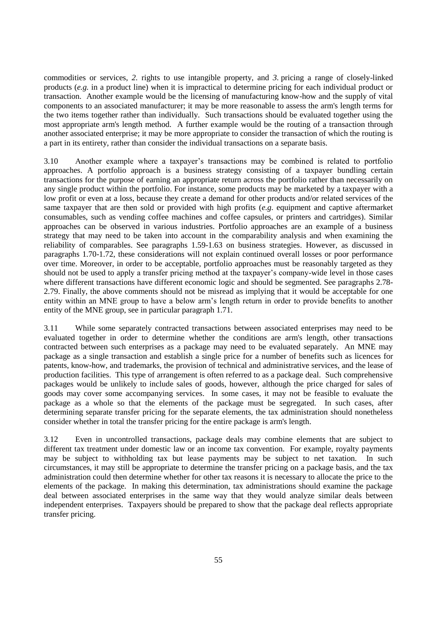commodities or services, *2.* rights to use intangible property, and *3.* pricing a range of closely-linked products (*e.g.* in a product line) when it is impractical to determine pricing for each individual product or transaction. Another example would be the licensing of manufacturing know-how and the supply of vital components to an associated manufacturer; it may be more reasonable to assess the arm's length terms for the two items together rather than individually. Such transactions should be evaluated together using the most appropriate arm's length method. A further example would be the routing of a transaction through another associated enterprise; it may be more appropriate to consider the transaction of which the routing is a part in its entirety, rather than consider the individual transactions on a separate basis.

3.10 Another example where a taxpayer's transactions may be combined is related to portfolio approaches. A portfolio approach is a business strategy consisting of a taxpayer bundling certain transactions for the purpose of earning an appropriate return across the portfolio rather than necessarily on any single product within the portfolio. For instance, some products may be marketed by a taxpayer with a low profit or even at a loss, because they create a demand for other products and/or related services of the same taxpayer that are then sold or provided with high profits (*e.g.* equipment and captive aftermarket consumables, such as vending coffee machines and coffee capsules, or printers and cartridges). Similar approaches can be observed in various industries. Portfolio approaches are an example of a business strategy that may need to be taken into account in the comparability analysis and when examining the reliability of comparables. See paragraphs 1.59-1.63 on business strategies. However, as discussed in paragraphs 1.70-1.72, these considerations will not explain continued overall losses or poor performance over time. Moreover, in order to be acceptable, portfolio approaches must be reasonably targeted as they should not be used to apply a transfer pricing method at the taxpayer's company-wide level in those cases where different transactions have different economic logic and should be segmented. See paragraphs 2.78- 2.79. Finally, the above comments should not be misread as implying that it would be acceptable for one entity within an MNE group to have a below arm's length return in order to provide benefits to another entity of the MNE group, see in particular paragraph 1.71.

3.11 While some separately contracted transactions between associated enterprises may need to be evaluated together in order to determine whether the conditions are arm's length, other transactions contracted between such enterprises as a package may need to be evaluated separately. An MNE may package as a single transaction and establish a single price for a number of benefits such as licences for patents, know-how, and trademarks, the provision of technical and administrative services, and the lease of production facilities. This type of arrangement is often referred to as a package deal. Such comprehensive packages would be unlikely to include sales of goods, however, although the price charged for sales of goods may cover some accompanying services. In some cases, it may not be feasible to evaluate the package as a whole so that the elements of the package must be segregated. In such cases, after determining separate transfer pricing for the separate elements, the tax administration should nonetheless consider whether in total the transfer pricing for the entire package is arm's length.

3.12 Even in uncontrolled transactions, package deals may combine elements that are subject to different tax treatment under domestic law or an income tax convention. For example, royalty payments may be subject to withholding tax but lease payments may be subject to net taxation. In such circumstances, it may still be appropriate to determine the transfer pricing on a package basis, and the tax administration could then determine whether for other tax reasons it is necessary to allocate the price to the elements of the package. In making this determination, tax administrations should examine the package deal between associated enterprises in the same way that they would analyze similar deals between independent enterprises. Taxpayers should be prepared to show that the package deal reflects appropriate transfer pricing.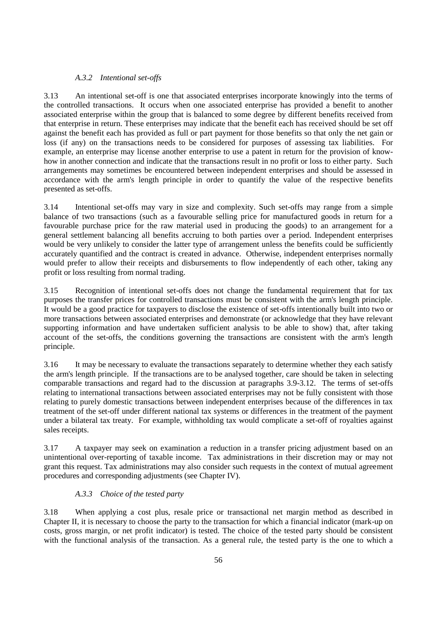#### *A.3.2 Intentional set-offs*

3.13 An intentional set-off is one that associated enterprises incorporate knowingly into the terms of the controlled transactions. It occurs when one associated enterprise has provided a benefit to another associated enterprise within the group that is balanced to some degree by different benefits received from that enterprise in return. These enterprises may indicate that the benefit each has received should be set off against the benefit each has provided as full or part payment for those benefits so that only the net gain or loss (if any) on the transactions needs to be considered for purposes of assessing tax liabilities. For example, an enterprise may license another enterprise to use a patent in return for the provision of knowhow in another connection and indicate that the transactions result in no profit or loss to either party. Such arrangements may sometimes be encountered between independent enterprises and should be assessed in accordance with the arm's length principle in order to quantify the value of the respective benefits presented as set-offs.

3.14 Intentional set-offs may vary in size and complexity. Such set-offs may range from a simple balance of two transactions (such as a favourable selling price for manufactured goods in return for a favourable purchase price for the raw material used in producing the goods) to an arrangement for a general settlement balancing all benefits accruing to both parties over a period. Independent enterprises would be very unlikely to consider the latter type of arrangement unless the benefits could be sufficiently accurately quantified and the contract is created in advance. Otherwise, independent enterprises normally would prefer to allow their receipts and disbursements to flow independently of each other, taking any profit or loss resulting from normal trading.

3.15 Recognition of intentional set-offs does not change the fundamental requirement that for tax purposes the transfer prices for controlled transactions must be consistent with the arm's length principle. It would be a good practice for taxpayers to disclose the existence of set-offs intentionally built into two or more transactions between associated enterprises and demonstrate (or acknowledge that they have relevant supporting information and have undertaken sufficient analysis to be able to show) that, after taking account of the set-offs, the conditions governing the transactions are consistent with the arm's length principle.

3.16 It may be necessary to evaluate the transactions separately to determine whether they each satisfy the arm's length principle. If the transactions are to be analysed together, care should be taken in selecting comparable transactions and regard had to the discussion at paragraphs 3.9-3.12. The terms of set-offs relating to international transactions between associated enterprises may not be fully consistent with those relating to purely domestic transactions between independent enterprises because of the differences in tax treatment of the set-off under different national tax systems or differences in the treatment of the payment under a bilateral tax treaty. For example, withholding tax would complicate a set-off of royalties against sales receipts.

3.17 A taxpayer may seek on examination a reduction in a transfer pricing adjustment based on an unintentional over-reporting of taxable income. Tax administrations in their discretion may or may not grant this request. Tax administrations may also consider such requests in the context of mutual agreement procedures and corresponding adjustments (see Chapter IV).

#### *A.3.3 Choice of the tested party*

3.18 When applying a cost plus, resale price or transactional net margin method as described in Chapter II, it is necessary to choose the party to the transaction for which a financial indicator (mark-up on costs, gross margin, or net profit indicator) is tested. The choice of the tested party should be consistent with the functional analysis of the transaction. As a general rule, the tested party is the one to which a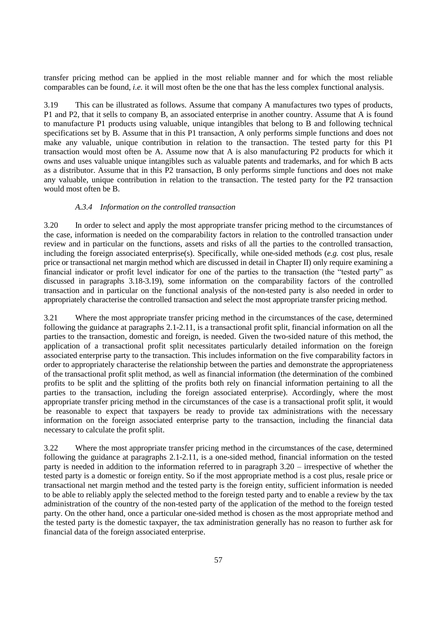transfer pricing method can be applied in the most reliable manner and for which the most reliable comparables can be found, *i.e.* it will most often be the one that has the less complex functional analysis.

3.19 This can be illustrated as follows. Assume that company A manufactures two types of products, P1 and P2, that it sells to company B, an associated enterprise in another country. Assume that A is found to manufacture P1 products using valuable, unique intangibles that belong to B and following technical specifications set by B. Assume that in this P1 transaction, A only performs simple functions and does not make any valuable, unique contribution in relation to the transaction. The tested party for this P1 transaction would most often be A. Assume now that A is also manufacturing P2 products for which it owns and uses valuable unique intangibles such as valuable patents and trademarks, and for which B acts as a distributor. Assume that in this P2 transaction, B only performs simple functions and does not make any valuable, unique contribution in relation to the transaction. The tested party for the P2 transaction would most often be B.

### *A.3.4 Information on the controlled transaction*

3.20 In order to select and apply the most appropriate transfer pricing method to the circumstances of the case, information is needed on the comparability factors in relation to the controlled transaction under review and in particular on the functions, assets and risks of all the parties to the controlled transaction, including the foreign associated enterprise(s). Specifically, while one-sided methods (*e.g.* cost plus, resale price or transactional net margin method which are discussed in detail in Chapter II) only require examining a financial indicator or profit level indicator for one of the parties to the transaction (the "tested party" as discussed in paragraphs 3.18-3.19), some information on the comparability factors of the controlled transaction and in particular on the functional analysis of the non-tested party is also needed in order to appropriately characterise the controlled transaction and select the most appropriate transfer pricing method.

3.21 Where the most appropriate transfer pricing method in the circumstances of the case, determined following the guidance at paragraphs 2.1-2.11, is a transactional profit split, financial information on all the parties to the transaction, domestic and foreign, is needed. Given the two-sided nature of this method, the application of a transactional profit split necessitates particularly detailed information on the foreign associated enterprise party to the transaction. This includes information on the five comparability factors in order to appropriately characterise the relationship between the parties and demonstrate the appropriateness of the transactional profit split method, as well as financial information (the determination of the combined profits to be split and the splitting of the profits both rely on financial information pertaining to all the parties to the transaction, including the foreign associated enterprise). Accordingly, where the most appropriate transfer pricing method in the circumstances of the case is a transactional profit split, it would be reasonable to expect that taxpayers be ready to provide tax administrations with the necessary information on the foreign associated enterprise party to the transaction, including the financial data necessary to calculate the profit split.

3.22 Where the most appropriate transfer pricing method in the circumstances of the case, determined following the guidance at paragraphs 2.1-2.11, is a one-sided method, financial information on the tested party is needed in addition to the information referred to in paragraph 3.20 – irrespective of whether the tested party is a domestic or foreign entity. So if the most appropriate method is a cost plus, resale price or transactional net margin method and the tested party is the foreign entity, sufficient information is needed to be able to reliably apply the selected method to the foreign tested party and to enable a review by the tax administration of the country of the non-tested party of the application of the method to the foreign tested party. On the other hand, once a particular one-sided method is chosen as the most appropriate method and the tested party is the domestic taxpayer, the tax administration generally has no reason to further ask for financial data of the foreign associated enterprise.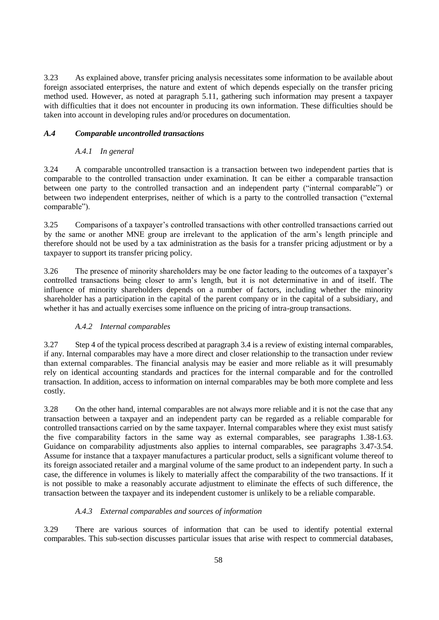3.23 As explained above, transfer pricing analysis necessitates some information to be available about foreign associated enterprises, the nature and extent of which depends especially on the transfer pricing method used. However, as noted at paragraph 5.11, gathering such information may present a taxpayer with difficulties that it does not encounter in producing its own information. These difficulties should be taken into account in developing rules and/or procedures on documentation.

### *A.4 Comparable uncontrolled transactions*

## *A.4.1 In general*

3.24 A comparable uncontrolled transaction is a transaction between two independent parties that is comparable to the controlled transaction under examination. It can be either a comparable transaction between one party to the controlled transaction and an independent party ("internal comparable") or between two independent enterprises, neither of which is a party to the controlled transaction ("external comparable").

3.25 Comparisons of a taxpayer's controlled transactions with other controlled transactions carried out by the same or another MNE group are irrelevant to the application of the arm's length principle and therefore should not be used by a tax administration as the basis for a transfer pricing adjustment or by a taxpayer to support its transfer pricing policy.

3.26 The presence of minority shareholders may be one factor leading to the outcomes of a taxpayer's controlled transactions being closer to arm's length, but it is not determinative in and of itself. The influence of minority shareholders depends on a number of factors, including whether the minority shareholder has a participation in the capital of the parent company or in the capital of a subsidiary, and whether it has and actually exercises some influence on the pricing of intra-group transactions.

# *A.4.2 Internal comparables*

3.27 Step 4 of the typical process described at paragraph 3.4 is a review of existing internal comparables, if any. Internal comparables may have a more direct and closer relationship to the transaction under review than external comparables. The financial analysis may be easier and more reliable as it will presumably rely on identical accounting standards and practices for the internal comparable and for the controlled transaction. In addition, access to information on internal comparables may be both more complete and less costly.

3.28 On the other hand, internal comparables are not always more reliable and it is not the case that any transaction between a taxpayer and an independent party can be regarded as a reliable comparable for controlled transactions carried on by the same taxpayer. Internal comparables where they exist must satisfy the five comparability factors in the same way as external comparables, see paragraphs 1.38-1.63. Guidance on comparability adjustments also applies to internal comparables, see paragraphs 3.47-3.54. Assume for instance that a taxpayer manufactures a particular product, sells a significant volume thereof to its foreign associated retailer and a marginal volume of the same product to an independent party. In such a case, the difference in volumes is likely to materially affect the comparability of the two transactions. If it is not possible to make a reasonably accurate adjustment to eliminate the effects of such difference, the transaction between the taxpayer and its independent customer is unlikely to be a reliable comparable.

# *A.4.3 External comparables and sources of information*

3.29 There are various sources of information that can be used to identify potential external comparables. This sub-section discusses particular issues that arise with respect to commercial databases,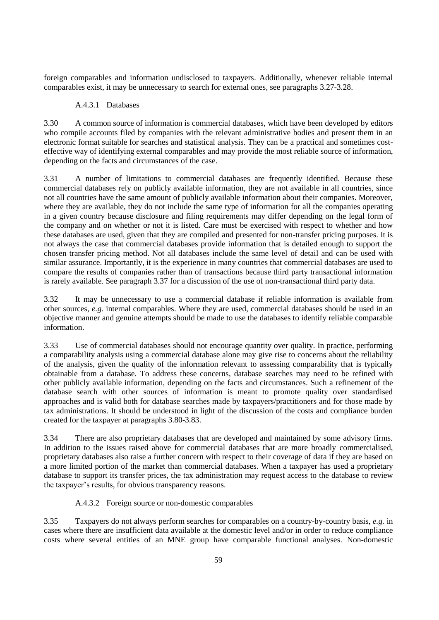foreign comparables and information undisclosed to taxpayers. Additionally, whenever reliable internal comparables exist, it may be unnecessary to search for external ones, see paragraphs 3.27-3.28.

#### A.4.3.1 Databases

3.30 A common source of information is commercial databases, which have been developed by editors who compile accounts filed by companies with the relevant administrative bodies and present them in an electronic format suitable for searches and statistical analysis. They can be a practical and sometimes costeffective way of identifying external comparables and may provide the most reliable source of information, depending on the facts and circumstances of the case.

3.31 A number of limitations to commercial databases are frequently identified. Because these commercial databases rely on publicly available information, they are not available in all countries, since not all countries have the same amount of publicly available information about their companies. Moreover, where they are available, they do not include the same type of information for all the companies operating in a given country because disclosure and filing requirements may differ depending on the legal form of the company and on whether or not it is listed. Care must be exercised with respect to whether and how these databases are used, given that they are compiled and presented for non-transfer pricing purposes. It is not always the case that commercial databases provide information that is detailed enough to support the chosen transfer pricing method. Not all databases include the same level of detail and can be used with similar assurance. Importantly, it is the experience in many countries that commercial databases are used to compare the results of companies rather than of transactions because third party transactional information is rarely available. See paragraph 3.37 for a discussion of the use of non-transactional third party data.

3.32 It may be unnecessary to use a commercial database if reliable information is available from other sources, *e.g.* internal comparables. Where they are used, commercial databases should be used in an objective manner and genuine attempts should be made to use the databases to identify reliable comparable information.

3.33 Use of commercial databases should not encourage quantity over quality. In practice, performing a comparability analysis using a commercial database alone may give rise to concerns about the reliability of the analysis, given the quality of the information relevant to assessing comparability that is typically obtainable from a database. To address these concerns, database searches may need to be refined with other publicly available information, depending on the facts and circumstances. Such a refinement of the database search with other sources of information is meant to promote quality over standardised approaches and is valid both for database searches made by taxpayers/practitioners and for those made by tax administrations. It should be understood in light of the discussion of the costs and compliance burden created for the taxpayer at paragraphs 3.80-3.83.

3.34 There are also proprietary databases that are developed and maintained by some advisory firms. In addition to the issues raised above for commercial databases that are more broadly commercialised. proprietary databases also raise a further concern with respect to their coverage of data if they are based on a more limited portion of the market than commercial databases. When a taxpayer has used a proprietary database to support its transfer prices, the tax administration may request access to the database to review the taxpayer's results, for obvious transparency reasons.

## A.4.3.2 Foreign source or non-domestic comparables

3.35 Taxpayers do not always perform searches for comparables on a country-by-country basis, *e.g.* in cases where there are insufficient data available at the domestic level and/or in order to reduce compliance costs where several entities of an MNE group have comparable functional analyses. Non-domestic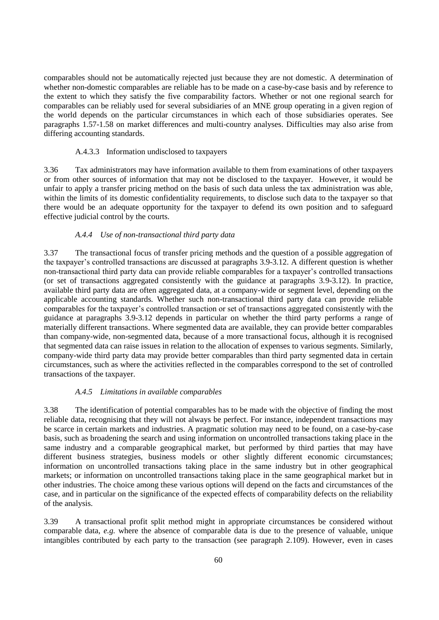comparables should not be automatically rejected just because they are not domestic. A determination of whether non-domestic comparables are reliable has to be made on a case-by-case basis and by reference to the extent to which they satisfy the five comparability factors. Whether or not one regional search for comparables can be reliably used for several subsidiaries of an MNE group operating in a given region of the world depends on the particular circumstances in which each of those subsidiaries operates. See paragraphs 1.57-1.58 on market differences and multi-country analyses. Difficulties may also arise from differing accounting standards.

#### A.4.3.3 Information undisclosed to taxpayers

3.36 Tax administrators may have information available to them from examinations of other taxpayers or from other sources of information that may not be disclosed to the taxpayer. However, it would be unfair to apply a transfer pricing method on the basis of such data unless the tax administration was able, within the limits of its domestic confidentiality requirements, to disclose such data to the taxpayer so that there would be an adequate opportunity for the taxpayer to defend its own position and to safeguard effective judicial control by the courts.

#### *A.4.4 Use of non-transactional third party data*

3.37 The transactional focus of transfer pricing methods and the question of a possible aggregation of the taxpayer's controlled transactions are discussed at paragraphs 3.9-3.12. A different question is whether non-transactional third party data can provide reliable comparables for a taxpayer's controlled transactions (or set of transactions aggregated consistently with the guidance at paragraphs 3.9-3.12). In practice, available third party data are often aggregated data, at a company-wide or segment level, depending on the applicable accounting standards. Whether such non-transactional third party data can provide reliable comparables for the taxpayer's controlled transaction or set of transactions aggregated consistently with the guidance at paragraphs 3.9-3.12 depends in particular on whether the third party performs a range of materially different transactions. Where segmented data are available, they can provide better comparables than company-wide, non-segmented data, because of a more transactional focus, although it is recognised that segmented data can raise issues in relation to the allocation of expenses to various segments. Similarly, company-wide third party data may provide better comparables than third party segmented data in certain circumstances, such as where the activities reflected in the comparables correspond to the set of controlled transactions of the taxpayer.

#### *A.4.5 Limitations in available comparables*

3.38 The identification of potential comparables has to be made with the objective of finding the most reliable data, recognising that they will not always be perfect. For instance, independent transactions may be scarce in certain markets and industries. A pragmatic solution may need to be found, on a case-by-case basis, such as broadening the search and using information on uncontrolled transactions taking place in the same industry and a comparable geographical market, but performed by third parties that may have different business strategies, business models or other slightly different economic circumstances; information on uncontrolled transactions taking place in the same industry but in other geographical markets; or information on uncontrolled transactions taking place in the same geographical market but in other industries. The choice among these various options will depend on the facts and circumstances of the case, and in particular on the significance of the expected effects of comparability defects on the reliability of the analysis.

3.39 A transactional profit split method might in appropriate circumstances be considered without comparable data, *e.g.* where the absence of comparable data is due to the presence of valuable, unique intangibles contributed by each party to the transaction (see paragraph 2.109). However, even in cases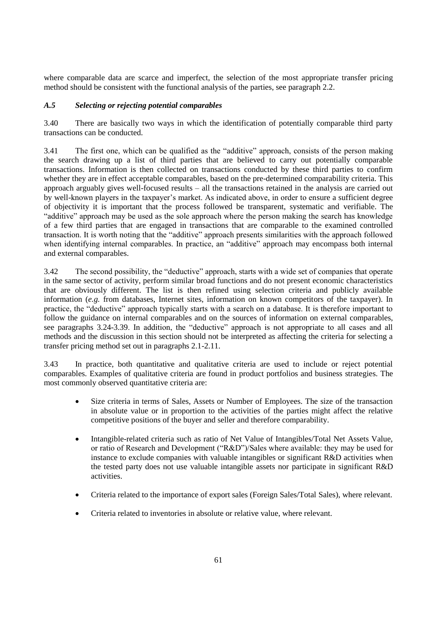where comparable data are scarce and imperfect, the selection of the most appropriate transfer pricing method should be consistent with the functional analysis of the parties, see paragraph 2.2.

### *A.5 Selecting or rejecting potential comparables*

3.40 There are basically two ways in which the identification of potentially comparable third party transactions can be conducted.

3.41 The first one, which can be qualified as the "additive" approach, consists of the person making the search drawing up a list of third parties that are believed to carry out potentially comparable transactions. Information is then collected on transactions conducted by these third parties to confirm whether they are in effect acceptable comparables, based on the pre-determined comparability criteria. This approach arguably gives well-focused results – all the transactions retained in the analysis are carried out by well-known players in the taxpayer's market. As indicated above, in order to ensure a sufficient degree of objectivity it is important that the process followed be transparent, systematic and verifiable. The "additive" approach may be used as the sole approach where the person making the search has knowledge of a few third parties that are engaged in transactions that are comparable to the examined controlled transaction. It is worth noting that the "additive" approach presents similarities with the approach followed when identifying internal comparables. In practice, an "additive" approach may encompass both internal and external comparables.

3.42 The second possibility, the "deductive" approach, starts with a wide set of companies that operate in the same sector of activity, perform similar broad functions and do not present economic characteristics that are obviously different. The list is then refined using selection criteria and publicly available information (*e.g.* from databases, Internet sites, information on known competitors of the taxpayer). In practice, the "deductive" approach typically starts with a search on a database. It is therefore important to follow the guidance on internal comparables and on the sources of information on external comparables, see paragraphs 3.24-3.39. In addition, the "deductive" approach is not appropriate to all cases and all methods and the discussion in this section should not be interpreted as affecting the criteria for selecting a transfer pricing method set out in paragraphs 2.1-2.11.

3.43 In practice, both quantitative and qualitative criteria are used to include or reject potential comparables. Examples of qualitative criteria are found in product portfolios and business strategies. The most commonly observed quantitative criteria are:

- Size criteria in terms of Sales, Assets or Number of Employees. The size of the transaction in absolute value or in proportion to the activities of the parties might affect the relative competitive positions of the buyer and seller and therefore comparability.
- Intangible-related criteria such as ratio of Net Value of Intangibles/Total Net Assets Value, or ratio of Research and Development ("R&D")/Sales where available: they may be used for instance to exclude companies with valuable intangibles or significant R&D activities when the tested party does not use valuable intangible assets nor participate in significant R&D activities.
- Criteria related to the importance of export sales (Foreign Sales/Total Sales), where relevant.
- Criteria related to inventories in absolute or relative value, where relevant.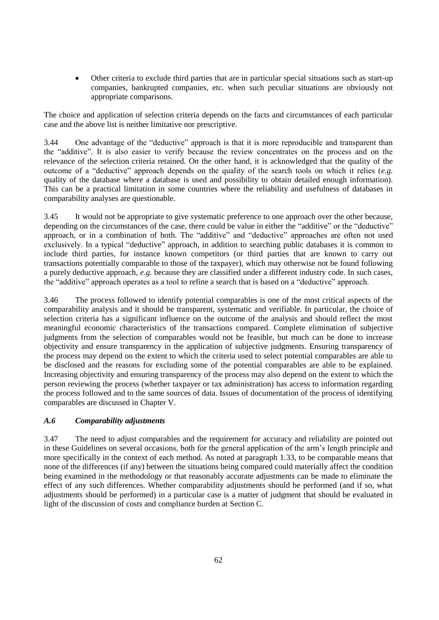Other criteria to exclude third parties that are in particular special situations such as start-up companies, bankrupted companies, etc. when such peculiar situations are obviously not appropriate comparisons.

The choice and application of selection criteria depends on the facts and circumstances of each particular case and the above list is neither limitative nor prescriptive.

3.44 One advantage of the "deductive" approach is that it is more reproducible and transparent than the "additive". It is also easier to verify because the review concentrates on the process and on the relevance of the selection criteria retained. On the other hand, it is acknowledged that the quality of the outcome of a "deductive" approach depends on the quality of the search tools on which it relies (*e.g.* quality of the database where a database is used and possibility to obtain detailed enough information). This can be a practical limitation in some countries where the reliability and usefulness of databases in comparability analyses are questionable.

3.45 It would not be appropriate to give systematic preference to one approach over the other because, depending on the circumstances of the case, there could be value in either the "additive" or the "deductive" approach, or in a combination of both. The "additive" and "deductive" approaches are often not used exclusively. In a typical "deductive" approach, in addition to searching public databases it is common to include third parties, for instance known competitors (or third parties that are known to carry out transactions potentially comparable to those of the taxpayer), which may otherwise not be found following a purely deductive approach, *e.g.* because they are classified under a different industry code. In such cases, the "additive" approach operates as a tool to refine a search that is based on a "deductive" approach.

3.46 The process followed to identify potential comparables is one of the most critical aspects of the comparability analysis and it should be transparent, systematic and verifiable. In particular, the choice of selection criteria has a significant influence on the outcome of the analysis and should reflect the most meaningful economic characteristics of the transactions compared. Complete elimination of subjective judgments from the selection of comparables would not be feasible, but much can be done to increase objectivity and ensure transparency in the application of subjective judgments. Ensuring transparency of the process may depend on the extent to which the criteria used to select potential comparables are able to be disclosed and the reasons for excluding some of the potential comparables are able to be explained. Increasing objectivity and ensuring transparency of the process may also depend on the extent to which the person reviewing the process (whether taxpayer or tax administration) has access to information regarding the process followed and to the same sources of data. Issues of documentation of the process of identifying comparables are discussed in Chapter V.

### *A.6 Comparability adjustments*

3.47 The need to adjust comparables and the requirement for accuracy and reliability are pointed out in these Guidelines on several occasions, both for the general application of the arm's length principle and more specifically in the context of each method. As noted at paragraph 1.33, to be comparable means that none of the differences (if any) between the situations being compared could materially affect the condition being examined in the methodology or that reasonably accurate adjustments can be made to eliminate the effect of any such differences. Whether comparability adjustments should be performed (and if so, what adjustments should be performed) in a particular case is a matter of judgment that should be evaluated in light of the discussion of costs and compliance burden at Section C.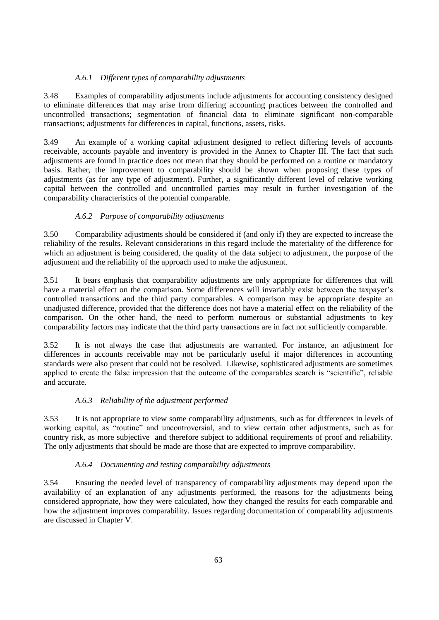## *A.6.1 Different types of comparability adjustments*

3.48 Examples of comparability adjustments include adjustments for accounting consistency designed to eliminate differences that may arise from differing accounting practices between the controlled and uncontrolled transactions; segmentation of financial data to eliminate significant non-comparable transactions; adjustments for differences in capital, functions, assets, risks.

3.49 An example of a working capital adjustment designed to reflect differing levels of accounts receivable, accounts payable and inventory is provided in the Annex to Chapter III. The fact that such adjustments are found in practice does not mean that they should be performed on a routine or mandatory basis. Rather, the improvement to comparability should be shown when proposing these types of adjustments (as for any type of adjustment). Further, a significantly different level of relative working capital between the controlled and uncontrolled parties may result in further investigation of the comparability characteristics of the potential comparable.

# *A.6.2 Purpose of comparability adjustments*

3.50 Comparability adjustments should be considered if (and only if) they are expected to increase the reliability of the results. Relevant considerations in this regard include the materiality of the difference for which an adjustment is being considered, the quality of the data subject to adjustment, the purpose of the adjustment and the reliability of the approach used to make the adjustment.

3.51 It bears emphasis that comparability adjustments are only appropriate for differences that will have a material effect on the comparison. Some differences will invariably exist between the taxpayer's controlled transactions and the third party comparables. A comparison may be appropriate despite an unadjusted difference, provided that the difference does not have a material effect on the reliability of the comparison. On the other hand, the need to perform numerous or substantial adjustments to key comparability factors may indicate that the third party transactions are in fact not sufficiently comparable.

3.52 It is not always the case that adjustments are warranted. For instance, an adjustment for differences in accounts receivable may not be particularly useful if major differences in accounting standards were also present that could not be resolved. Likewise, sophisticated adjustments are sometimes applied to create the false impression that the outcome of the comparables search is "scientific", reliable and accurate.

### *A.6.3 Reliability of the adjustment performed*

3.53 It is not appropriate to view some comparability adjustments, such as for differences in levels of working capital, as "routine" and uncontroversial, and to view certain other adjustments, such as for country risk, as more subjective and therefore subject to additional requirements of proof and reliability. The only adjustments that should be made are those that are expected to improve comparability.

### *A.6.4 Documenting and testing comparability adjustments*

3.54 Ensuring the needed level of transparency of comparability adjustments may depend upon the availability of an explanation of any adjustments performed, the reasons for the adjustments being considered appropriate, how they were calculated, how they changed the results for each comparable and how the adjustment improves comparability. Issues regarding documentation of comparability adjustments are discussed in Chapter V.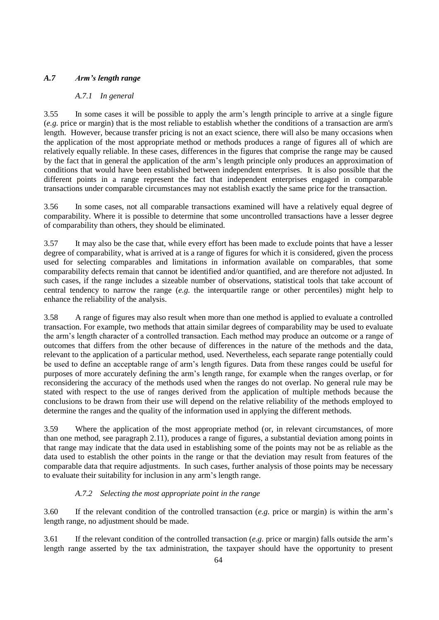## *A.7 Arm's length range*

### *A.7.1 In general*

3.55 In some cases it will be possible to apply the arm's length principle to arrive at a single figure (*e.g.* price or margin) that is the most reliable to establish whether the conditions of a transaction are arm's length. However, because transfer pricing is not an exact science, there will also be many occasions when the application of the most appropriate method or methods produces a range of figures all of which are relatively equally reliable. In these cases, differences in the figures that comprise the range may be caused by the fact that in general the application of the arm's length principle only produces an approximation of conditions that would have been established between independent enterprises. It is also possible that the different points in a range represent the fact that independent enterprises engaged in comparable transactions under comparable circumstances may not establish exactly the same price for the transaction.

3.56 In some cases, not all comparable transactions examined will have a relatively equal degree of comparability. Where it is possible to determine that some uncontrolled transactions have a lesser degree of comparability than others, they should be eliminated.

3.57 It may also be the case that, while every effort has been made to exclude points that have a lesser degree of comparability, what is arrived at is a range of figures for which it is considered, given the process used for selecting comparables and limitations in information available on comparables, that some comparability defects remain that cannot be identified and/or quantified, and are therefore not adjusted. In such cases, if the range includes a sizeable number of observations, statistical tools that take account of central tendency to narrow the range (*e.g.* the interquartile range or other percentiles) might help to enhance the reliability of the analysis.

3.58 A range of figures may also result when more than one method is applied to evaluate a controlled transaction. For example, two methods that attain similar degrees of comparability may be used to evaluate the arm's length character of a controlled transaction. Each method may produce an outcome or a range of outcomes that differs from the other because of differences in the nature of the methods and the data, relevant to the application of a particular method, used. Nevertheless, each separate range potentially could be used to define an acceptable range of arm's length figures. Data from these ranges could be useful for purposes of more accurately defining the arm's length range, for example when the ranges overlap, or for reconsidering the accuracy of the methods used when the ranges do not overlap. No general rule may be stated with respect to the use of ranges derived from the application of multiple methods because the conclusions to be drawn from their use will depend on the relative reliability of the methods employed to determine the ranges and the quality of the information used in applying the different methods.

3.59 Where the application of the most appropriate method (or, in relevant circumstances, of more than one method, see paragraph 2.11), produces a range of figures, a substantial deviation among points in that range may indicate that the data used in establishing some of the points may not be as reliable as the data used to establish the other points in the range or that the deviation may result from features of the comparable data that require adjustments. In such cases, further analysis of those points may be necessary to evaluate their suitability for inclusion in any arm's length range.

### *A.7.2 Selecting the most appropriate point in the range*

3.60 If the relevant condition of the controlled transaction (*e.g.* price or margin) is within the arm's length range, no adjustment should be made.

3.61 If the relevant condition of the controlled transaction (*e.g.* price or margin) falls outside the arm's length range asserted by the tax administration, the taxpayer should have the opportunity to present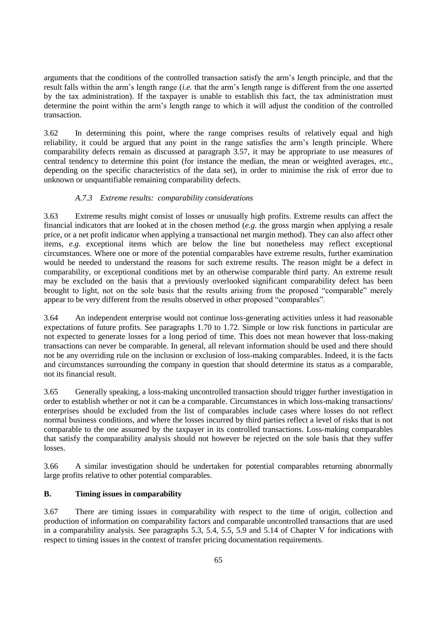arguments that the conditions of the controlled transaction satisfy the arm's length principle, and that the result falls within the arm's length range (*i.e.* that the arm's length range is different from the one asserted by the tax administration). If the taxpayer is unable to establish this fact, the tax administration must determine the point within the arm's length range to which it will adjust the condition of the controlled transaction.

3.62 In determining this point, where the range comprises results of relatively equal and high reliability, it could be argued that any point in the range satisfies the arm's length principle. Where comparability defects remain as discussed at paragraph 3.57, it may be appropriate to use measures of central tendency to determine this point (for instance the median, the mean or weighted averages, etc., depending on the specific characteristics of the data set), in order to minimise the risk of error due to unknown or unquantifiable remaining comparability defects.

## *A.7.3 Extreme results: comparability considerations*

3.63 Extreme results might consist of losses or unusually high profits. Extreme results can affect the financial indicators that are looked at in the chosen method (*e.g.* the gross margin when applying a resale price, or a net profit indicator when applying a transactional net margin method). They can also affect other items, *e.g.* exceptional items which are below the line but nonetheless may reflect exceptional circumstances. Where one or more of the potential comparables have extreme results, further examination would be needed to understand the reasons for such extreme results. The reason might be a defect in comparability, or exceptional conditions met by an otherwise comparable third party. An extreme result may be excluded on the basis that a previously overlooked significant comparability defect has been brought to light, not on the sole basis that the results arising from the proposed "comparable" merely appear to be very different from the results observed in other proposed "comparables".

3.64 An independent enterprise would not continue loss-generating activities unless it had reasonable expectations of future profits. See paragraphs 1.70 to 1.72. Simple or low risk functions in particular are not expected to generate losses for a long period of time. This does not mean however that loss-making transactions can never be comparable. In general, all relevant information should be used and there should not be any overriding rule on the inclusion or exclusion of loss-making comparables. Indeed, it is the facts and circumstances surrounding the company in question that should determine its status as a comparable, not its financial result.

3.65 Generally speaking, a loss-making uncontrolled transaction should trigger further investigation in order to establish whether or not it can be a comparable. Circumstances in which loss-making transactions/ enterprises should be excluded from the list of comparables include cases where losses do not reflect normal business conditions, and where the losses incurred by third parties reflect a level of risks that is not comparable to the one assumed by the taxpayer in its controlled transactions. Loss-making comparables that satisfy the comparability analysis should not however be rejected on the sole basis that they suffer losses.

3.66 A similar investigation should be undertaken for potential comparables returning abnormally large profits relative to other potential comparables.

### **B. Timing issues in comparability**

3.67 There are timing issues in comparability with respect to the time of origin, collection and production of information on comparability factors and comparable uncontrolled transactions that are used in a comparability analysis. See paragraphs 5.3, 5.4, 5.5, 5.9 and 5.14 of Chapter V for indications with respect to timing issues in the context of transfer pricing documentation requirements.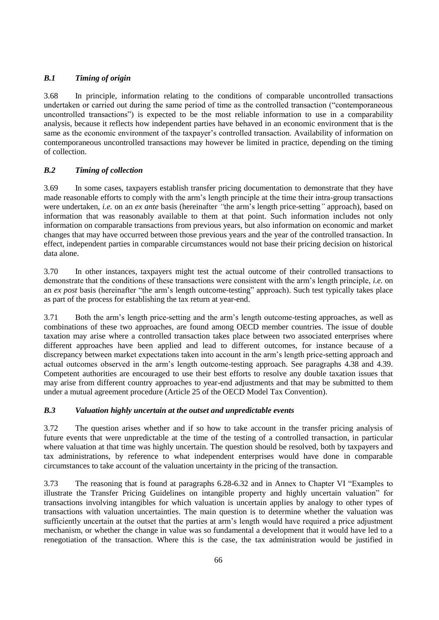# *B.1 Timing of origin*

3.68 In principle, information relating to the conditions of comparable uncontrolled transactions undertaken or carried out during the same period of time as the controlled transaction ("contemporaneous uncontrolled transactions") is expected to be the most reliable information to use in a comparability analysis, because it reflects how independent parties have behaved in an economic environment that is the same as the economic environment of the taxpayer's controlled transaction. Availability of information on contemporaneous uncontrolled transactions may however be limited in practice, depending on the timing of collection.

# *B.2 Timing of collection*

3.69 In some cases, taxpayers establish transfer pricing documentation to demonstrate that they have made reasonable efforts to comply with the arm's length principle at the time their intra-group transactions were undertaken, *i.e.* on an *ex ante* basis (hereinafter *"*the arm's length price-setting*"* approach), based on information that was reasonably available to them at that point. Such information includes not only information on comparable transactions from previous years, but also information on economic and market changes that may have occurred between those previous years and the year of the controlled transaction. In effect, independent parties in comparable circumstances would not base their pricing decision on historical data alone.

3.70 In other instances, taxpayers might test the actual outcome of their controlled transactions to demonstrate that the conditions of these transactions were consistent with the arm's length principle, *i.e.* on an *ex post* basis (hereinafter "the arm's length outcome*-*testing" approach). Such test typically takes place as part of the process for establishing the tax return at year-end.

3.71 Both the arm's length price-setting and the arm's length outcome-testing approaches, as well as combinations of these two approaches, are found among OECD member countries. The issue of double taxation may arise where a controlled transaction takes place between two associated enterprises where different approaches have been applied and lead to different outcomes, for instance because of a discrepancy between market expectations taken into account in the arm's length price-setting approach and actual outcomes observed in the arm's length outcome-testing approach. See paragraphs 4.38 and 4.39. Competent authorities are encouraged to use their best efforts to resolve any double taxation issues that may arise from different country approaches to year-end adjustments and that may be submitted to them under a mutual agreement procedure (Article 25 of the OECD Model Tax Convention).

### *B.3 Valuation highly uncertain at the outset and unpredictable events*

3.72 The question arises whether and if so how to take account in the transfer pricing analysis of future events that were unpredictable at the time of the testing of a controlled transaction, in particular where valuation at that time was highly uncertain. The question should be resolved, both by taxpayers and tax administrations, by reference to what independent enterprises would have done in comparable circumstances to take account of the valuation uncertainty in the pricing of the transaction.

3.73 The reasoning that is found at paragraphs 6.28-6.32 and in Annex to Chapter VI "Examples to illustrate the Transfer Pricing Guidelines on intangible property and highly uncertain valuation" for transactions involving intangibles for which valuation is uncertain applies by analogy to other types of transactions with valuation uncertainties. The main question is to determine whether the valuation was sufficiently uncertain at the outset that the parties at arm's length would have required a price adjustment mechanism, or whether the change in value was so fundamental a development that it would have led to a renegotiation of the transaction. Where this is the case, the tax administration would be justified in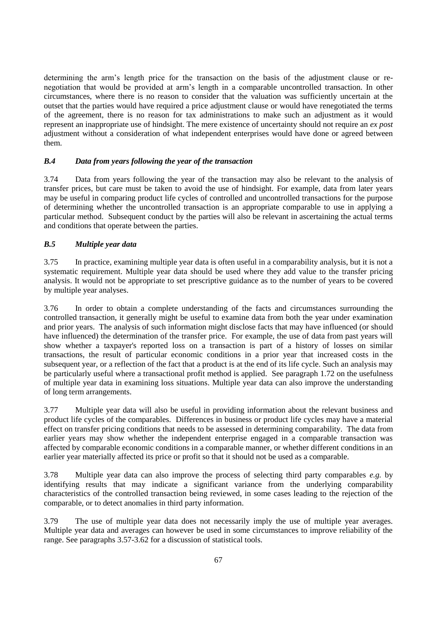determining the arm's length price for the transaction on the basis of the adjustment clause or renegotiation that would be provided at arm's length in a comparable uncontrolled transaction. In other circumstances, where there is no reason to consider that the valuation was sufficiently uncertain at the outset that the parties would have required a price adjustment clause or would have renegotiated the terms of the agreement, there is no reason for tax administrations to make such an adjustment as it would represent an inappropriate use of hindsight. The mere existence of uncertainty should not require an *ex post* adjustment without a consideration of what independent enterprises would have done or agreed between them.

#### *B.4 Data from years following the year of the transaction*

3.74 Data from years following the year of the transaction may also be relevant to the analysis of transfer prices, but care must be taken to avoid the use of hindsight. For example, data from later years may be useful in comparing product life cycles of controlled and uncontrolled transactions for the purpose of determining whether the uncontrolled transaction is an appropriate comparable to use in applying a particular method. Subsequent conduct by the parties will also be relevant in ascertaining the actual terms and conditions that operate between the parties.

#### *B.5 Multiple year data*

3.75 In practice, examining multiple year data is often useful in a comparability analysis, but it is not a systematic requirement. Multiple year data should be used where they add value to the transfer pricing analysis. It would not be appropriate to set prescriptive guidance as to the number of years to be covered by multiple year analyses.

3.76 In order to obtain a complete understanding of the facts and circumstances surrounding the controlled transaction, it generally might be useful to examine data from both the year under examination and prior years. The analysis of such information might disclose facts that may have influenced (or should have influenced) the determination of the transfer price. For example, the use of data from past years will show whether a taxpayer's reported loss on a transaction is part of a history of losses on similar transactions, the result of particular economic conditions in a prior year that increased costs in the subsequent year, or a reflection of the fact that a product is at the end of its life cycle. Such an analysis may be particularly useful where a transactional profit method is applied. See paragraph 1.72 on the usefulness of multiple year data in examining loss situations. Multiple year data can also improve the understanding of long term arrangements.

3.77 Multiple year data will also be useful in providing information about the relevant business and product life cycles of the comparables. Differences in business or product life cycles may have a material effect on transfer pricing conditions that needs to be assessed in determining comparability. The data from earlier years may show whether the independent enterprise engaged in a comparable transaction was affected by comparable economic conditions in a comparable manner, or whether different conditions in an earlier year materially affected its price or profit so that it should not be used as a comparable.

3.78 Multiple year data can also improve the process of selecting third party comparables *e.g.* by identifying results that may indicate a significant variance from the underlying comparability characteristics of the controlled transaction being reviewed, in some cases leading to the rejection of the comparable, or to detect anomalies in third party information.

3.79 The use of multiple year data does not necessarily imply the use of multiple year averages. Multiple year data and averages can however be used in some circumstances to improve reliability of the range. See paragraphs 3.57-3.62 for a discussion of statistical tools.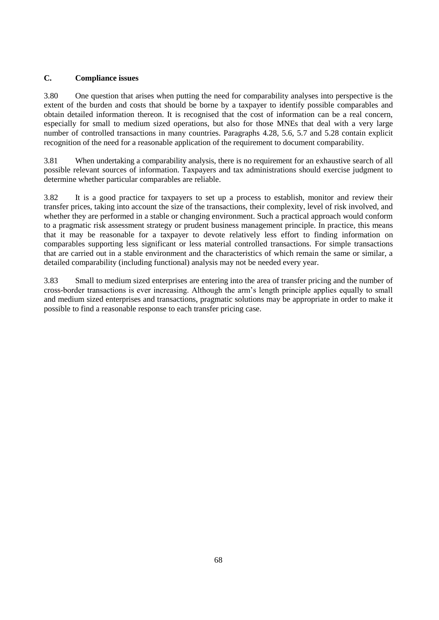# **C. Compliance issues**

3.80 One question that arises when putting the need for comparability analyses into perspective is the extent of the burden and costs that should be borne by a taxpayer to identify possible comparables and obtain detailed information thereon. It is recognised that the cost of information can be a real concern, especially for small to medium sized operations, but also for those MNEs that deal with a very large number of controlled transactions in many countries. Paragraphs 4.28, 5.6, 5.7 and 5.28 contain explicit recognition of the need for a reasonable application of the requirement to document comparability.

3.81 When undertaking a comparability analysis, there is no requirement for an exhaustive search of all possible relevant sources of information. Taxpayers and tax administrations should exercise judgment to determine whether particular comparables are reliable.

3.82 It is a good practice for taxpayers to set up a process to establish, monitor and review their transfer prices, taking into account the size of the transactions, their complexity, level of risk involved, and whether they are performed in a stable or changing environment. Such a practical approach would conform to a pragmatic risk assessment strategy or prudent business management principle. In practice, this means that it may be reasonable for a taxpayer to devote relatively less effort to finding information on comparables supporting less significant or less material controlled transactions. For simple transactions that are carried out in a stable environment and the characteristics of which remain the same or similar, a detailed comparability (including functional) analysis may not be needed every year.

3.83 Small to medium sized enterprises are entering into the area of transfer pricing and the number of cross-border transactions is ever increasing. Although the arm's length principle applies equally to small and medium sized enterprises and transactions, pragmatic solutions may be appropriate in order to make it possible to find a reasonable response to each transfer pricing case.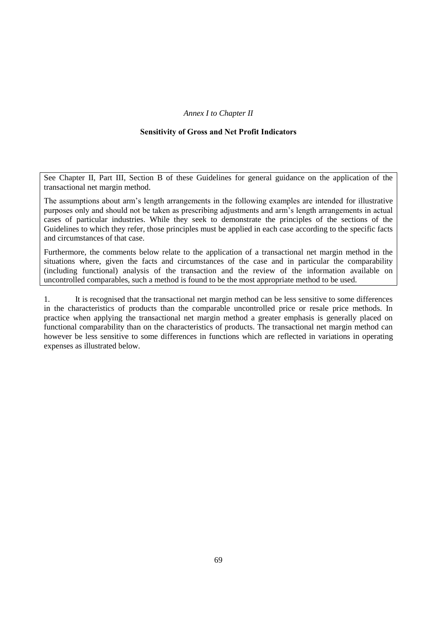### *Annex I to Chapter II*

### **Sensitivity of Gross and Net Profit Indicators**

See Chapter II, Part III, Section B of these Guidelines for general guidance on the application of the transactional net margin method.

The assumptions about arm's length arrangements in the following examples are intended for illustrative purposes only and should not be taken as prescribing adjustments and arm's length arrangements in actual cases of particular industries. While they seek to demonstrate the principles of the sections of the Guidelines to which they refer, those principles must be applied in each case according to the specific facts and circumstances of that case.

Furthermore, the comments below relate to the application of a transactional net margin method in the situations where, given the facts and circumstances of the case and in particular the comparability (including functional) analysis of the transaction and the review of the information available on uncontrolled comparables, such a method is found to be the most appropriate method to be used.

1. It is recognised that the transactional net margin method can be less sensitive to some differences in the characteristics of products than the comparable uncontrolled price or resale price methods. In practice when applying the transactional net margin method a greater emphasis is generally placed on functional comparability than on the characteristics of products. The transactional net margin method can however be less sensitive to some differences in functions which are reflected in variations in operating expenses as illustrated below.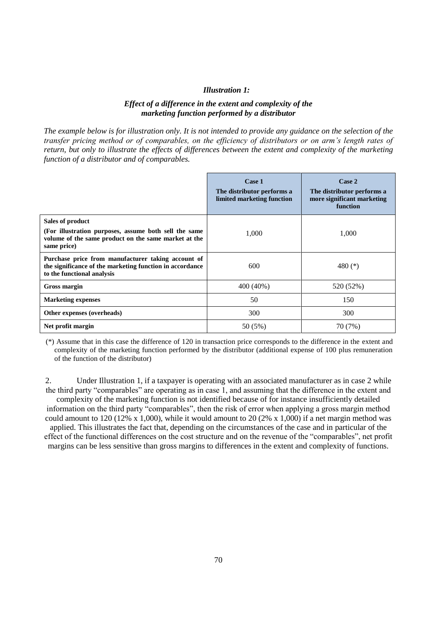#### *Illustration 1:*

### *Effect of a difference in the extent and complexity of the marketing function performed by a distributor*

*The example below is for illustration only. It is not intended to provide any guidance on the selection of the transfer pricing method or of comparables, on the efficiency of distributors or on arm's length rates of return, but only to illustrate the effects of differences between the extent and complexity of the marketing function of a distributor and of comparables.*

|                                                                                                                                                  | Case 1<br>The distributor performs a<br>limited marketing function | Case 2<br>The distributor performs a<br>more significant marketing<br>function |
|--------------------------------------------------------------------------------------------------------------------------------------------------|--------------------------------------------------------------------|--------------------------------------------------------------------------------|
| Sales of product<br>(For illustration purposes, assume both sell the same<br>volume of the same product on the same market at the<br>same price) | 1,000                                                              | 1,000                                                                          |
| Purchase price from manufacturer taking account of<br>the significance of the marketing function in accordance<br>to the functional analysis     | 600                                                                | 480 $(*)$                                                                      |
| Gross margin                                                                                                                                     | 400 (40%)                                                          | 520 (52%)                                                                      |
| <b>Marketing expenses</b>                                                                                                                        | 50                                                                 | 150                                                                            |
| Other expenses (overheads)                                                                                                                       | 300                                                                | 300                                                                            |
| Net profit margin                                                                                                                                | 50 (5%)                                                            | 70 (7%)                                                                        |

(\*) Assume that in this case the difference of 120 in transaction price corresponds to the difference in the extent and complexity of the marketing function performed by the distributor (additional expense of 100 plus remuneration of the function of the distributor)

2. Under Illustration 1, if a taxpayer is operating with an associated manufacturer as in case 2 while the third party "comparables" are operating as in case 1, and assuming that the difference in the extent and complexity of the marketing function is not identified because of for instance insufficiently detailed information on the third party "comparables", then the risk of error when applying a gross margin method could amount to 120 (12% x 1,000), while it would amount to 20 (2% x 1,000) if a net margin method was applied. This illustrates the fact that, depending on the circumstances of the case and in particular of the effect of the functional differences on the cost structure and on the revenue of the "comparables", net profit margins can be less sensitive than gross margins to differences in the extent and complexity of functions.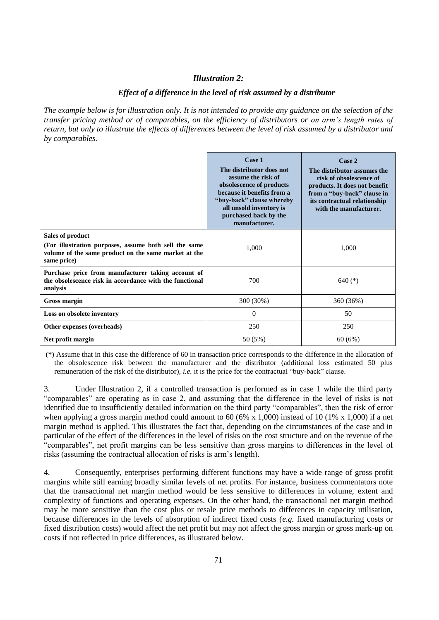### *Illustration 2:*

### *Effect of a difference in the level of risk assumed by a distributor*

*The example below is for illustration only. It is not intended to provide any guidance on the selection of the transfer pricing method or of comparables, on the efficiency of distributors or on arm's length rates of return, but only to illustrate the effects of differences between the level of risk assumed by a distributor and by comparables.*

|                                                                                                                                                         | Case 1<br>The distributor does not<br>assume the risk of<br>obsolescence of products<br>because it benefits from a<br>"buy-back" clause whereby<br>all unsold inventory is<br>purchased back by the<br>manufacturer. | Case 2<br>The distributor assumes the<br>risk of obsolescence of<br>products. It does not benefit<br>from a "buy-back" clause in<br>its contractual relationship<br>with the manufacturer. |
|---------------------------------------------------------------------------------------------------------------------------------------------------------|----------------------------------------------------------------------------------------------------------------------------------------------------------------------------------------------------------------------|--------------------------------------------------------------------------------------------------------------------------------------------------------------------------------------------|
| <b>Sales of product</b><br>(For illustration purposes, assume both sell the same<br>volume of the same product on the same market at the<br>same price) | 1,000                                                                                                                                                                                                                | 1,000                                                                                                                                                                                      |
| Purchase price from manufacturer taking account of<br>the obsolescence risk in accordance with the functional<br>analysis                               | 700                                                                                                                                                                                                                  | 640 $(*)$                                                                                                                                                                                  |
| <b>Gross margin</b>                                                                                                                                     | 300 (30%)                                                                                                                                                                                                            | 360 (36%)                                                                                                                                                                                  |
| Loss on obsolete inventory                                                                                                                              | $\Omega$                                                                                                                                                                                                             | 50                                                                                                                                                                                         |
| Other expenses (overheads)                                                                                                                              | 250                                                                                                                                                                                                                  | 250                                                                                                                                                                                        |
| Net profit margin                                                                                                                                       | 50 (5%)                                                                                                                                                                                                              | 60(6%)                                                                                                                                                                                     |

(\*) Assume that in this case the difference of 60 in transaction price corresponds to the difference in the allocation of the obsolescence risk between the manufacturer and the distributor (additional loss estimated 50 plus remuneration of the risk of the distributor), *i.e.* it is the price for the contractual "buy-back" clause.

3. Under Illustration 2, if a controlled transaction is performed as in case 1 while the third party "comparables" are operating as in case 2, and assuming that the difference in the level of risks is not identified due to insufficiently detailed information on the third party "comparables", then the risk of error when applying a gross margin method could amount to 60 (6% x 1,000) instead of 10 (1% x 1,000) if a net margin method is applied. This illustrates the fact that, depending on the circumstances of the case and in particular of the effect of the differences in the level of risks on the cost structure and on the revenue of the "comparables", net profit margins can be less sensitive than gross margins to differences in the level of risks (assuming the contractual allocation of risks is arm's length).

4. Consequently, enterprises performing different functions may have a wide range of gross profit margins while still earning broadly similar levels of net profits. For instance, business commentators note that the transactional net margin method would be less sensitive to differences in volume, extent and complexity of functions and operating expenses. On the other hand, the transactional net margin method may be more sensitive than the cost plus or resale price methods to differences in capacity utilisation, because differences in the levels of absorption of indirect fixed costs (*e.g.* fixed manufacturing costs or fixed distribution costs) would affect the net profit but may not affect the gross margin or gross mark-up on costs if not reflected in price differences, as illustrated below.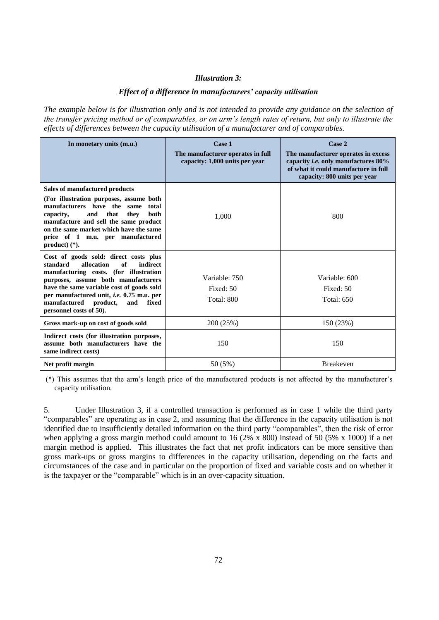#### *Illustration 3:*

#### *Effect of a difference in manufacturers' capacity utilisation*

*The example below is for illustration only and is not intended to provide any guidance on the selection of the transfer pricing method or of comparables, or on arm's length rates of return, but only to illustrate the effects of differences between the capacity utilisation of a manufacturer and of comparables.*

| In monetary units (m.u.)                                                                                                                                                                                                                                                                                                            | Case 1<br>The manufacturer operates in full<br>capacity: 1,000 units per year | Case 2<br>The manufacturer operates in excess<br>capacity <i>i.e.</i> only manufactures 80%<br>of what it could manufacture in full<br>capacity: 800 units per year |
|-------------------------------------------------------------------------------------------------------------------------------------------------------------------------------------------------------------------------------------------------------------------------------------------------------------------------------------|-------------------------------------------------------------------------------|---------------------------------------------------------------------------------------------------------------------------------------------------------------------|
| Sales of manufactured products<br>(For illustration purposes, assume both<br>manufacturers have the<br>same<br>total<br>and<br>that<br>they<br>both<br>capacity,<br>manufacture and sell the same product<br>on the same market which have the same<br>price of 1 m.u. per manufactured<br>product) $(*)$ .                         | 1,000                                                                         | 800                                                                                                                                                                 |
| Cost of goods sold: direct costs plus<br>standard<br>allocation<br>indirect<br>of<br>manufacturing costs. (for illustration<br>purposes, assume both manufacturers<br>have the same variable cost of goods sold<br>per manufactured unit, i.e. 0.75 m.u. per<br>manufactured<br>product,<br>and<br>fixed<br>personnel costs of 50). | Variable: 750<br>Fixed: 50<br><b>Total: 800</b>                               | Variable: 600<br>Fixed: 50<br><b>Total: 650</b>                                                                                                                     |
| Gross mark-up on cost of goods sold                                                                                                                                                                                                                                                                                                 | 200 (25%)                                                                     | 150 (23%)                                                                                                                                                           |
| Indirect costs (for illustration purposes,<br>assume both manufacturers have the<br>same indirect costs)                                                                                                                                                                                                                            | 150                                                                           | 150                                                                                                                                                                 |
| Net profit margin                                                                                                                                                                                                                                                                                                                   | 50 (5%)                                                                       | <b>Breakeven</b>                                                                                                                                                    |

(\*) This assumes that the arm's length price of the manufactured products is not affected by the manufacturer's capacity utilisation.

5. Under Illustration 3, if a controlled transaction is performed as in case 1 while the third party "comparables" are operating as in case 2, and assuming that the difference in the capacity utilisation is not identified due to insufficiently detailed information on the third party "comparables", then the risk of error when applying a gross margin method could amount to 16 (2% x 800) instead of 50 (5% x 1000) if a net margin method is applied. This illustrates the fact that net profit indicators can be more sensitive than gross mark-ups or gross margins to differences in the capacity utilisation, depending on the facts and circumstances of the case and in particular on the proportion of fixed and variable costs and on whether it is the taxpayer or the "comparable" which is in an over-capacity situation.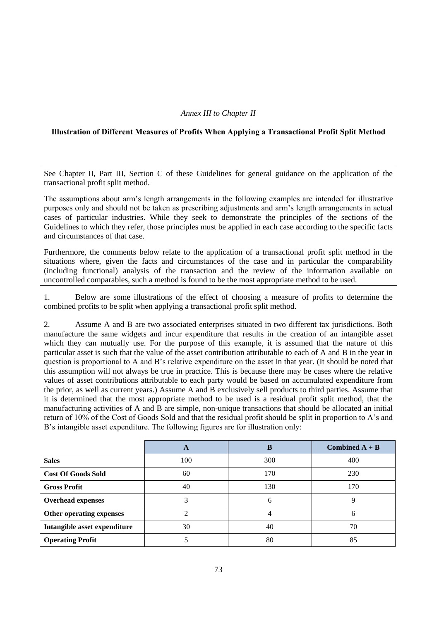# *Annex III to Chapter II*

### **Illustration of Different Measures of Profits When Applying a Transactional Profit Split Method**

See Chapter II, Part III, Section C of these Guidelines for general guidance on the application of the transactional profit split method.

The assumptions about arm's length arrangements in the following examples are intended for illustrative purposes only and should not be taken as prescribing adjustments and arm's length arrangements in actual cases of particular industries. While they seek to demonstrate the principles of the sections of the Guidelines to which they refer, those principles must be applied in each case according to the specific facts and circumstances of that case.

Furthermore, the comments below relate to the application of a transactional profit split method in the situations where, given the facts and circumstances of the case and in particular the comparability (including functional) analysis of the transaction and the review of the information available on uncontrolled comparables, such a method is found to be the most appropriate method to be used.

1. Below are some illustrations of the effect of choosing a measure of profits to determine the combined profits to be split when applying a transactional profit split method.

2. Assume A and B are two associated enterprises situated in two different tax jurisdictions. Both manufacture the same widgets and incur expenditure that results in the creation of an intangible asset which they can mutually use. For the purpose of this example, it is assumed that the nature of this particular asset is such that the value of the asset contribution attributable to each of A and B in the year in question is proportional to A and B's relative expenditure on the asset in that year. (It should be noted that this assumption will not always be true in practice. This is because there may be cases where the relative values of asset contributions attributable to each party would be based on accumulated expenditure from the prior, as well as current years.) Assume A and B exclusively sell products to third parties. Assume that it is determined that the most appropriate method to be used is a residual profit split method, that the manufacturing activities of A and B are simple, non-unique transactions that should be allocated an initial return of 10% of the Cost of Goods Sold and that the residual profit should be split in proportion to A's and B's intangible asset expenditure. The following figures are for illustration only:

|                              | A              | в   | Combined $A + B$ |
|------------------------------|----------------|-----|------------------|
| <b>Sales</b>                 | 100            | 300 | 400              |
| <b>Cost Of Goods Sold</b>    | 60             | 170 | 230              |
| <b>Gross Profit</b>          | 40             | 130 | 170              |
| <b>Overhead expenses</b>     | 3              | 6   | 9                |
| Other operating expenses     | $\mathfrak{D}$ |     | b                |
| Intangible asset expenditure | 30             | 40  | 70               |
| <b>Operating Profit</b>      |                | 80  | 85               |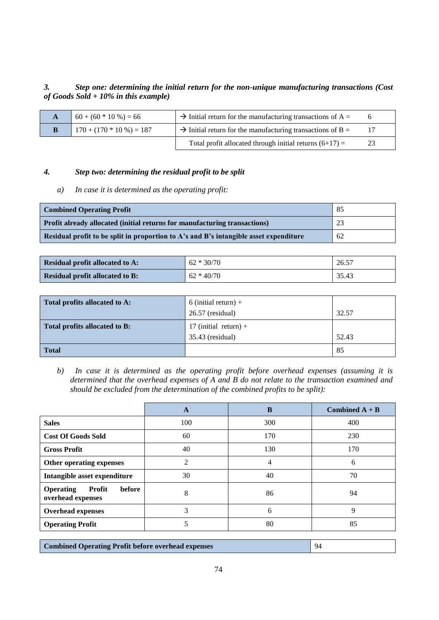*3. Step one: determining the initial return for the non-unique manufacturing transactions (Cost of Goods Sold + 10% in this example)*

| A | $60 + (60 * 10 %) = 66$    | $\rightarrow$ Initial return for the manufacturing transactions of A = |    |
|---|----------------------------|------------------------------------------------------------------------|----|
|   | $170 + (170 * 10 %) = 187$ | $\rightarrow$ Initial return for the manufacturing transactions of B = |    |
|   |                            | Total profit allocated through initial returns $(6+17)$ =              | 23 |

#### *4. Step two: determining the residual profit to be split*

*a) In case it is determined as the operating profit:*

| <b>Combined Operating Profit</b>                                                      | -85 |
|---------------------------------------------------------------------------------------|-----|
| <b>Profit already allocated (initial returns for manufacturing transactions)</b>      |     |
| Residual profit to be split in proportion to A's and B's intangible asset expenditure | 62  |

| <b>Residual profit allocated to A:</b> | $62 * 30/70$ | $-26.57$ |
|----------------------------------------|--------------|----------|
| <b>Residual profit allocated to B:</b> | $62 * 40/70$ | 35.43    |

| Total profits allocated to A: | $6$ (initial return) +<br>$26.57$ (residual) | 32.57 |
|-------------------------------|----------------------------------------------|-------|
| Total profits allocated to B: | 17 (initial return) $+$<br>35.43 (residual)  | 52.43 |
| <b>Total</b>                  |                                              | 85    |

*b) In case it is determined as the operating profit before overhead expenses (assuming it is determined that the overhead expenses of A and B do not relate to the transaction examined and should be excluded from the determination of the combined profits to be split):*

|                                                           | A              | B              | Combined $A + B$ |
|-----------------------------------------------------------|----------------|----------------|------------------|
| <b>Sales</b>                                              | 100            | 300            | 400              |
| <b>Cost Of Goods Sold</b>                                 | 60             | 170            | 230              |
| <b>Gross Profit</b>                                       | 40             | 130            | 170              |
| Other operating expenses                                  | $\overline{c}$ | $\overline{4}$ | 6                |
| Intangible asset expenditure                              | 30             | 40             | 70               |
| Profit<br>before<br><b>Operating</b><br>overhead expenses | 8              | 86             | 94               |
| <b>Overhead expenses</b>                                  | 3              | 6              | 9                |
| <b>Operating Profit</b>                                   | 5              | 80             | 85               |

**Combined Operating Profit before overhead expenses** 94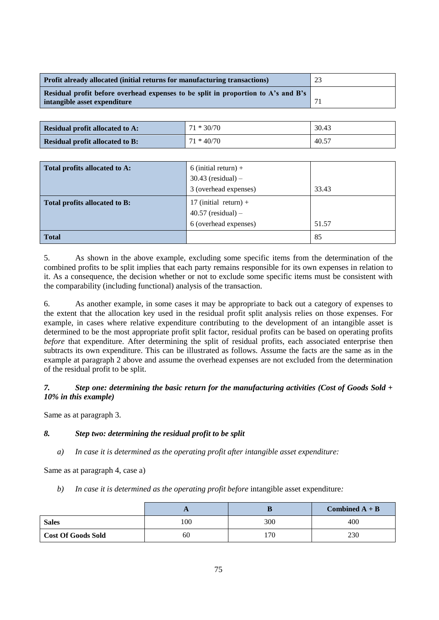| Profit already allocated (initial returns for manufacturing transactions)                                         | 23 |
|-------------------------------------------------------------------------------------------------------------------|----|
| Residual profit before overhead expenses to be split in proportion to A's and B's<br>intangible asset expenditure |    |

| <b>Residual profit allocated to A:</b> | 71 * 30/70 | 30.43 |
|----------------------------------------|------------|-------|
| <b>Residual profit allocated to B:</b> | 71 * 40/70 | 40.57 |

| Total profits allocated to A: | $6$ (initial return) +<br>$30.43$ (residual) – |       |
|-------------------------------|------------------------------------------------|-------|
|                               | 3 (overhead expenses)                          | 33.43 |
| Total profits allocated to B: | 17 (initial return) +                          |       |
|                               | $40.57$ (residual) –                           |       |
|                               | 6 (overhead expenses)                          | 51.57 |
| <b>Total</b>                  |                                                | 85    |

5. As shown in the above example, excluding some specific items from the determination of the combined profits to be split implies that each party remains responsible for its own expenses in relation to it. As a consequence, the decision whether or not to exclude some specific items must be consistent with the comparability (including functional) analysis of the transaction.

6. As another example, in some cases it may be appropriate to back out a category of expenses to the extent that the allocation key used in the residual profit split analysis relies on those expenses. For example, in cases where relative expenditure contributing to the development of an intangible asset is determined to be the most appropriate profit split factor, residual profits can be based on operating profits *before* that expenditure. After determining the split of residual profits, each associated enterprise then subtracts its own expenditure. This can be illustrated as follows. Assume the facts are the same as in the example at paragraph 2 above and assume the overhead expenses are not excluded from the determination of the residual profit to be split.

# *7. Step one: determining the basic return for the manufacturing activities (Cost of Goods Sold + 10% in this example)*

Same as at paragraph 3.

# *8. Step two: determining the residual profit to be split*

*a) In case it is determined as the operating profit after intangible asset expenditure:*

Same as at paragraph 4, case a)

*b) In case it is determined as the operating profit before* intangible asset expenditure*:*

|                           | n   |     | Combined $A + B$ |
|---------------------------|-----|-----|------------------|
| <b>Sales</b>              | 100 | 300 | 400              |
| <b>Cost Of Goods Sold</b> | 60  | 170 | 230              |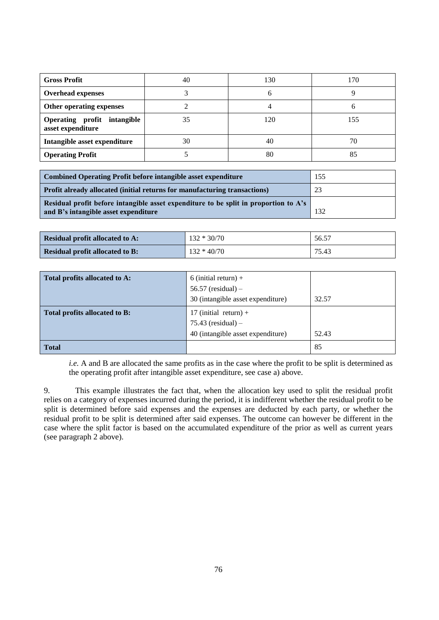| <b>Gross Profit</b>                              | 40 | 130 | 170 |
|--------------------------------------------------|----|-----|-----|
| <b>Overhead expenses</b>                         |    | O   |     |
| Other operating expenses                         |    |     |     |
| Operating profit intangible<br>asset expenditure | 35 | 120 | 155 |
| Intangible asset expenditure                     | 30 | 40  | 70  |
| <b>Operating Profit</b>                          |    | 80  | 85  |

| <b>Combined Operating Profit before intangible asset expenditure</b>                                                         | 155 |
|------------------------------------------------------------------------------------------------------------------------------|-----|
| Profit already allocated (initial returns for manufacturing transactions)                                                    | 23  |
| Residual profit before intangible asset expenditure to be split in proportion to A's<br>and B's intangible asset expenditure | 132 |

| <b>Residual profit allocated to A:</b> | $132 * 30/70$ | 56.57 |
|----------------------------------------|---------------|-------|
| <b>Residual profit allocated to B:</b> | $132 * 40/70$ | 75.43 |

| Total profits allocated to A: | $6$ (initial return) +            |       |
|-------------------------------|-----------------------------------|-------|
|                               | $56.57$ (residual) –              |       |
|                               | 30 (intangible asset expenditure) | 32.57 |
| Total profits allocated to B: | 17 (initial return) +             |       |
|                               | $75.43$ (residual) –              |       |
|                               | 40 (intangible asset expenditure) | 52.43 |
| <b>Total</b>                  |                                   | 85    |

*i.e.* A and B are allocated the same profits as in the case where the profit to be split is determined as the operating profit after intangible asset expenditure, see case a) above.

9. This example illustrates the fact that, when the allocation key used to split the residual profit relies on a category of expenses incurred during the period, it is indifferent whether the residual profit to be split is determined before said expenses and the expenses are deducted by each party, or whether the residual profit to be split is determined after said expenses. The outcome can however be different in the case where the split factor is based on the accumulated expenditure of the prior as well as current years (see paragraph 2 above).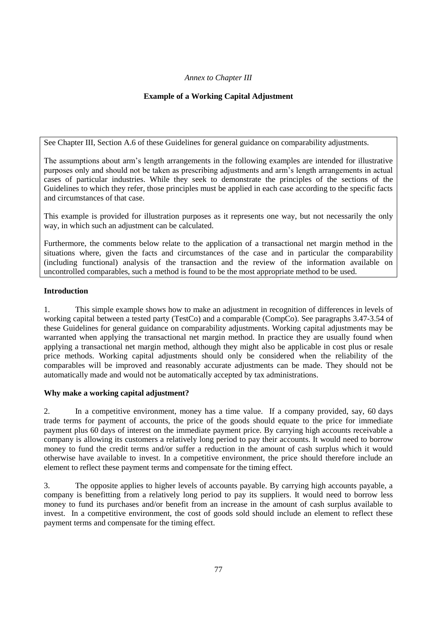# *Annex to Chapter III*

# **Example of a Working Capital Adjustment**

See Chapter III, Section A.6 of these Guidelines for general guidance on comparability adjustments.

The assumptions about arm's length arrangements in the following examples are intended for illustrative purposes only and should not be taken as prescribing adjustments and arm's length arrangements in actual cases of particular industries. While they seek to demonstrate the principles of the sections of the Guidelines to which they refer, those principles must be applied in each case according to the specific facts and circumstances of that case.

This example is provided for illustration purposes as it represents one way, but not necessarily the only way, in which such an adjustment can be calculated.

Furthermore, the comments below relate to the application of a transactional net margin method in the situations where, given the facts and circumstances of the case and in particular the comparability (including functional) analysis of the transaction and the review of the information available on uncontrolled comparables, such a method is found to be the most appropriate method to be used.

#### **Introduction**

1. This simple example shows how to make an adjustment in recognition of differences in levels of working capital between a tested party (TestCo) and a comparable (CompCo). See paragraphs 3.47-3.54 of these Guidelines for general guidance on comparability adjustments. Working capital adjustments may be warranted when applying the transactional net margin method. In practice they are usually found when applying a transactional net margin method, although they might also be applicable in cost plus or resale price methods. Working capital adjustments should only be considered when the reliability of the comparables will be improved and reasonably accurate adjustments can be made. They should not be automatically made and would not be automatically accepted by tax administrations.

### **Why make a working capital adjustment?**

2. In a competitive environment, money has a time value. If a company provided, say, 60 days trade terms for payment of accounts, the price of the goods should equate to the price for immediate payment plus 60 days of interest on the immediate payment price. By carrying high accounts receivable a company is allowing its customers a relatively long period to pay their accounts. It would need to borrow money to fund the credit terms and/or suffer a reduction in the amount of cash surplus which it would otherwise have available to invest. In a competitive environment, the price should therefore include an element to reflect these payment terms and compensate for the timing effect.

3. The opposite applies to higher levels of accounts payable. By carrying high accounts payable, a company is benefitting from a relatively long period to pay its suppliers. It would need to borrow less money to fund its purchases and/or benefit from an increase in the amount of cash surplus available to invest. In a competitive environment, the cost of goods sold should include an element to reflect these payment terms and compensate for the timing effect.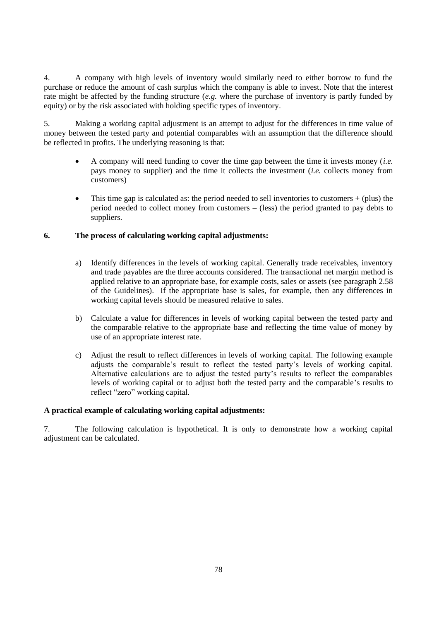4. A company with high levels of inventory would similarly need to either borrow to fund the purchase or reduce the amount of cash surplus which the company is able to invest. Note that the interest rate might be affected by the funding structure (*e.g.* where the purchase of inventory is partly funded by equity) or by the risk associated with holding specific types of inventory.

5. Making a working capital adjustment is an attempt to adjust for the differences in time value of money between the tested party and potential comparables with an assumption that the difference should be reflected in profits. The underlying reasoning is that:

- A company will need funding to cover the time gap between the time it invests money (*i.e.* pays money to supplier) and the time it collects the investment (*i.e.* collects money from customers)
- This time gap is calculated as: the period needed to sell inventories to customers + (plus) the period needed to collect money from customers – (less) the period granted to pay debts to suppliers.

# **6. The process of calculating working capital adjustments:**

- a) Identify differences in the levels of working capital. Generally trade receivables, inventory and trade payables are the three accounts considered. The transactional net margin method is applied relative to an appropriate base, for example costs, sales or assets (see paragraph 2.58 of the Guidelines). If the appropriate base is sales, for example, then any differences in working capital levels should be measured relative to sales.
- b) Calculate a value for differences in levels of working capital between the tested party and the comparable relative to the appropriate base and reflecting the time value of money by use of an appropriate interest rate.
- c) Adjust the result to reflect differences in levels of working capital. The following example adjusts the comparable's result to reflect the tested party's levels of working capital. Alternative calculations are to adjust the tested party's results to reflect the comparables levels of working capital or to adjust both the tested party and the comparable's results to reflect "zero" working capital.

### **A practical example of calculating working capital adjustments:**

7. The following calculation is hypothetical. It is only to demonstrate how a working capital adjustment can be calculated.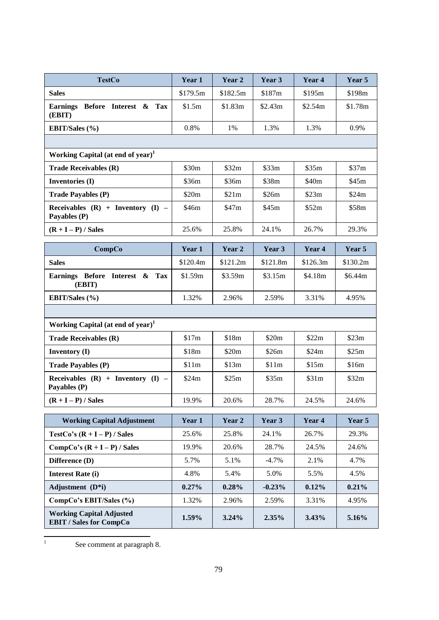| <b>TestCo</b>                                                     | Year 1   | Year 2   | Year 3   | Year 4            | Year 5   |
|-------------------------------------------------------------------|----------|----------|----------|-------------------|----------|
| <b>Sales</b>                                                      | \$179.5m | \$182.5m | \$187m   | \$195m            | \$198m   |
| <b>Earnings</b><br>Before Interest & Tax<br>(EBIT)                | \$1.5m   | \$1.83m  | \$2.43m  | \$2.54m           | \$1.78m  |
| <b>EBIT/Sales</b> (%)                                             | 0.8%     | 1%       | 1.3%     | 1.3%              | 0.9%     |
|                                                                   |          |          |          |                   |          |
| Working Capital (at end of year) <sup>1</sup>                     |          |          |          |                   |          |
| <b>Trade Receivables (R)</b>                                      | \$30m    | \$32m    | \$33m    | \$35m             | \$37m    |
| Inventories (I)                                                   | \$36m    | \$36m    | \$38m    | \$40 <sub>m</sub> | \$45m    |
| <b>Trade Payables (P)</b>                                         | \$20m    | \$21m    | \$26m    | \$23m             | \$24m    |
| Receivables $(R)$ + Inventory $(I)$ –<br>Payables (P)             | \$46m    | \$47m    | \$45m    | \$52m             | \$58m    |
| $(R + I - P)$ / Sales                                             | 25.6%    | 25.8%    | 24.1%    | 26.7%             | 29.3%    |
| <b>CompCo</b>                                                     | Year 1   | Year 2   | Year 3   | Year 4            | Year 5   |
| <b>Sales</b>                                                      | \$120.4m | \$121.2m | \$121.8m | \$126.3m          | \$130.2m |
| Earnings Before Interest<br>&<br>Tax<br>(EBIT)                    | \$1.59m  | \$3.59m  | \$3.15m  | \$4.18m           | \$6.44m  |
| <b>EBIT/Sales</b> (%)                                             | 1.32%    | 2.96%    | 2.59%    | 3.31%             | 4.95%    |
|                                                                   |          |          |          |                   |          |
| Working Capital (at end of year) <sup>1</sup>                     |          |          |          |                   |          |
| <b>Trade Receivables (R)</b>                                      | \$17m    | \$18m    | \$20m    | \$22m             | \$23m    |
| <b>Inventory</b> (I)                                              | \$18m    | \$20m    | \$26m    | \$24m             | \$25m    |
| <b>Trade Payables (P)</b>                                         | \$11m    | \$13m    | \$11m    | \$15m             | \$16m    |
| Receivables $(R)$ + Inventory $(I)$ –<br>Payables (P)             | \$24m    | \$25m    | \$35m    | \$31m             | \$32m    |
| $(R + I - P)$ / Sales                                             | 19.9%    | 20.6%    | 28.7%    | 24.5%             | 24.6%    |
| <b>Working Capital Adjustment</b>                                 | Year 1   | Year 2   | Year 3   | Year 4            | Year 5   |
| TestCo's $(R + I - P)$ / Sales                                    | 25.6%    | 25.8%    | 24.1%    | 26.7%             | 29.3%    |
| CompCo's $(R + I - P)$ / Sales                                    | 19.9%    | 20.6%    | 28.7%    | 24.5%             | 24.6%    |
| Difference (D)                                                    | 5.7%     | 5.1%     | $-4.7%$  | 2.1%              | 4.7%     |
| <b>Interest Rate (i)</b>                                          | 4.8%     | 5.4%     | 5.0%     | 5.5%              | 4.5%     |
| Adjustment $(D^*i)$                                               | 0.27%    | 0.28%    | $-0.23%$ | 0.12%             | 0.21%    |
| CompCo's EBIT/Sales (%)                                           | 1.32%    | 2.96%    | 2.59%    | 3.31%             | 4.95%    |
| <b>Working Capital Adjusted</b><br><b>EBIT / Sales for CompCo</b> | 1.59%    | 3.24%    | 2.35%    | 3.43%             | 5.16%    |

See comment at paragraph 8.

 $\frac{1}{1}$